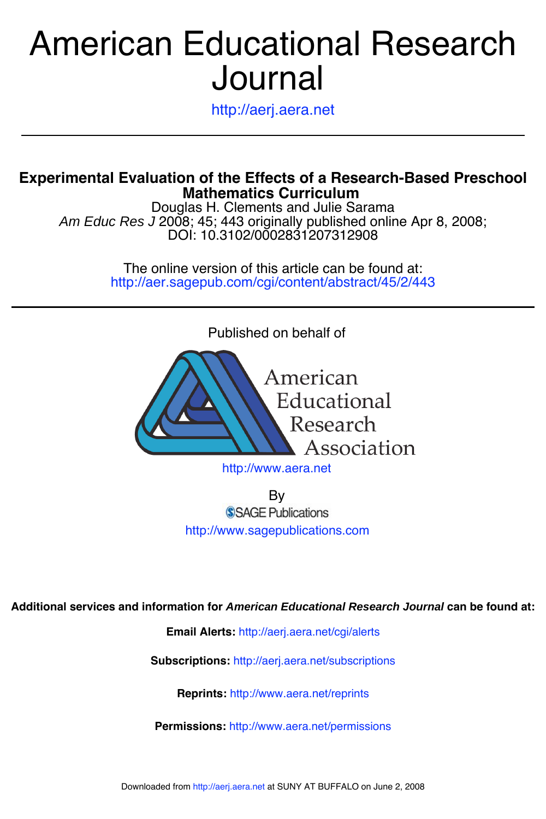# Journal American Educational Research

http://aerj.aera.net

### **Mathematics Curriculum Experimental Evaluation of the Effects of a Research-Based Preschool**

DOI: 10.3102/0002831207312908 Am Educ Res J 2008; 45; 443 originally published online Apr 8, 2008; Douglas H. Clements and Julie Sarama

> http://aer.sagepub.com/cgi/content/abstract/45/2/443 The online version of this article can be found at:



<http://www.aera.net>

By SSAGE Publications http://www.sagepublications.com

**Additional services and information for American Educational Research Journal can be found at:**

**Email Alerts:** <http://aerj.aera.net/cgi/alerts>

**Subscriptions:** <http://aerj.aera.net/subscriptions>

**Reprints:** <http://www.aera.net/reprints>

**Permissions:** <http://www.aera.net/permissions>

Downloaded from [http://aerj.aera.net](http://aer.sagepub.com) at SUNY AT BUFFALO on June 2, 2008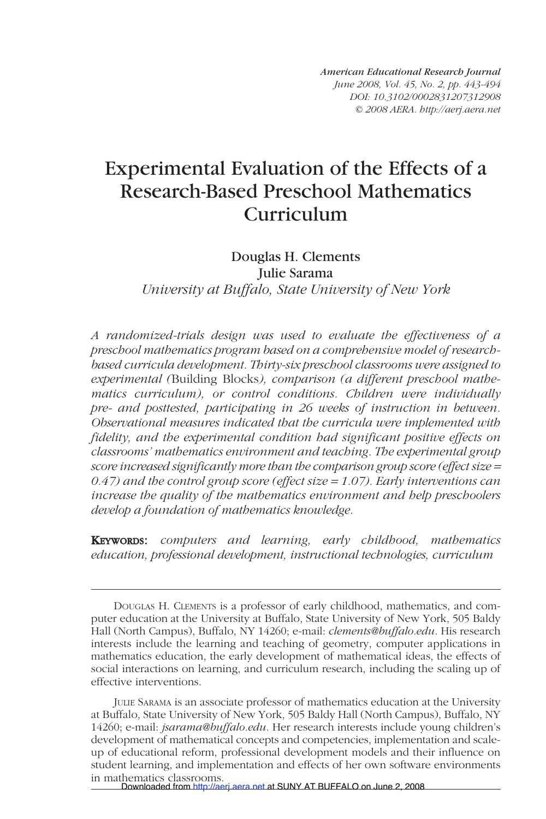*American Educational Research Journal June 2008, Vol. 45, No. 2, pp. 443-494 DOI: 10.3102/0002831207312908 © 2008 AERA. http://aerj.aera.net*

## Experimental Evaluation of the Effects of a Research-Based Preschool Mathematics Curriculum

### Douglas H. Clements Julie Sarama *University at Buffalo, State University of New York*

*A randomized-trials design was used to evaluate the effectiveness of a preschool mathematics program based on a comprehensive model ofresearchbased curricula development. Thirty-six preschool classrooms were assigned to experimental (*Building Blocks*), comparison (a different preschool mathematics curriculum), or control conditions. Children were individually pre- and posttested, participating in 26 weeks of instruction in between. Observational measures indicated that the curricula were implemented with fidelity, and the experimental condition had significant positive effects on classrooms' mathematics environment and teaching. The experimental group score increased significantly more than the comparison group score (effect size* <sup>=</sup> *0.47) and the control group score (effect size* <sup>=</sup> *1.07). Early interventions can increase the quality of the mathematics environment and help preschoolers develop a foundation of mathematics knowledge.*

KEYWORDS: *computers and learning, early childhood, mathematics education, professional development, instructional technologies, curriculum*

JULIE SARAMA is an associate professor of mathematics education at the University at Buffalo, State University of New York, 505 Baldy Hall (North Campus), Buffalo, NY 14260; e-mail: *jsarama@buffalo.edu*. Her research interests include young children's development of mathematical concepts and competencies, implementation and scaleup of educational reform, professional development models and their influence on student learning, and implementation and effects of her own software environments in mathematics classrooms.

Downloaded from [http://aerj.aera.net](http://aer.sagepub.com) at SUNY AT BUFFALO on June 2, 2008

DOUGLAS H. CLEMENTS is a professor of early childhood, mathematics, and computer education at the University at Buffalo, State University of New York, 505 Baldy Hall (North Campus), Buffalo, NY 14260; e-mail: *clements@buffalo.edu*. His research interests include the learning and teaching of geometry, computer applications in mathematics education, the early development of mathematical ideas, the effects of social interactions on learning, and curriculum research, including the scaling up of effective interventions.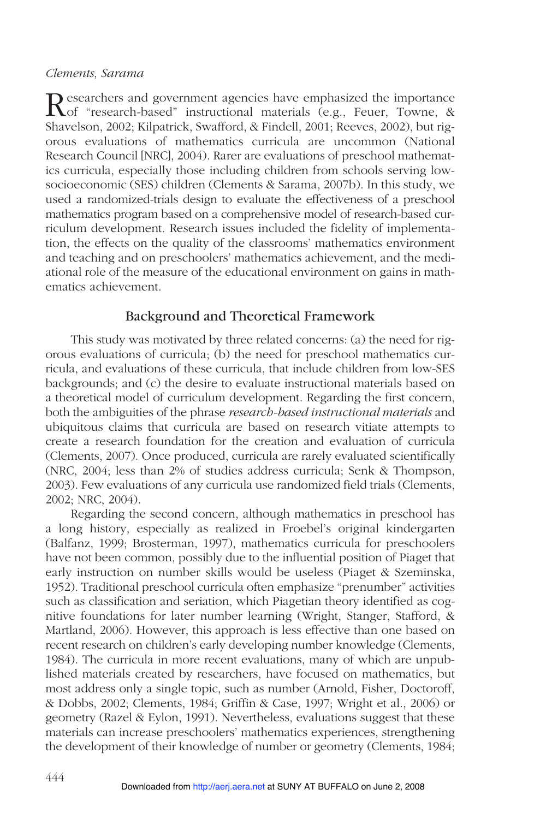Researchers and government agencies have emphasized the importance<br>of "research-based" instructional materials (e.g., Feuer, Towne, & Shavelson, 2002; Kilpatrick, Swafford, & Findell, 2001; Reeves, 2002), but rigorous evaluations of mathematics curricula are uncommon (National Research Council [NRC], 2004). Rarer are evaluations of preschool mathematics curricula, especially those including children from schools serving lowsocioeconomic (SES) children (Clements & Sarama, 2007b). In this study, we used a randomized-trials design to evaluate the effectiveness of a preschool mathematics program based on a comprehensive model of research-based curriculum development. Research issues included the fidelity of implementation, the effects on the quality of the classrooms' mathematics environment and teaching and on preschoolers' mathematics achievement, and the mediational role of the measure of the educational environment on gains in mathematics achievement.

### Background and Theoretical Framework

This study was motivated by three related concerns: (a) the need for rigorous evaluations of curricula; (b) the need for preschool mathematics curricula, and evaluations of these curricula, that include children from low-SES backgrounds; and (c) the desire to evaluate instructional materials based on a theoretical model of curriculum development. Regarding the first concern, both the ambiguities of the phrase *research-based instructional materials* and ubiquitous claims that curricula are based on research vitiate attempts to create a research foundation for the creation and evaluation of curricula (Clements, 2007). Once produced, curricula are rarely evaluated scientifically (NRC, 2004; less than 2% of studies address curricula; Senk & Thompson, 2003). Few evaluations of any curricula use randomized field trials (Clements, 2002; NRC, 2004).

Regarding the second concern, although mathematics in preschool has a long history, especially as realized in Froebel's original kindergarten (Balfanz, 1999; Brosterman, 1997), mathematics curricula for preschoolers have not been common, possibly due to the influential position of Piaget that early instruction on number skills would be useless (Piaget & Szeminska, 1952). Traditional preschool curricula often emphasize "prenumber" activities such as classification and seriation, which Piagetian theory identified as cognitive foundations for later number learning (Wright, Stanger, Stafford, & Martland, 2006). However, this approach is less effective than one based on recent research on children's early developing number knowledge (Clements, 1984). The curricula in more recent evaluations, many of which are unpublished materials created by researchers, have focused on mathematics, but most address only a single topic, such as number (Arnold, Fisher, Doctoroff, & Dobbs, 2002; Clements, 1984; Griffin & Case, 1997; Wright et al., 2006) or geometry (Razel & Eylon, 1991). Nevertheless, evaluations suggest that these materials can increase preschoolers' mathematics experiences, strengthening the development of their knowledge of number or geometry (Clements, 1984;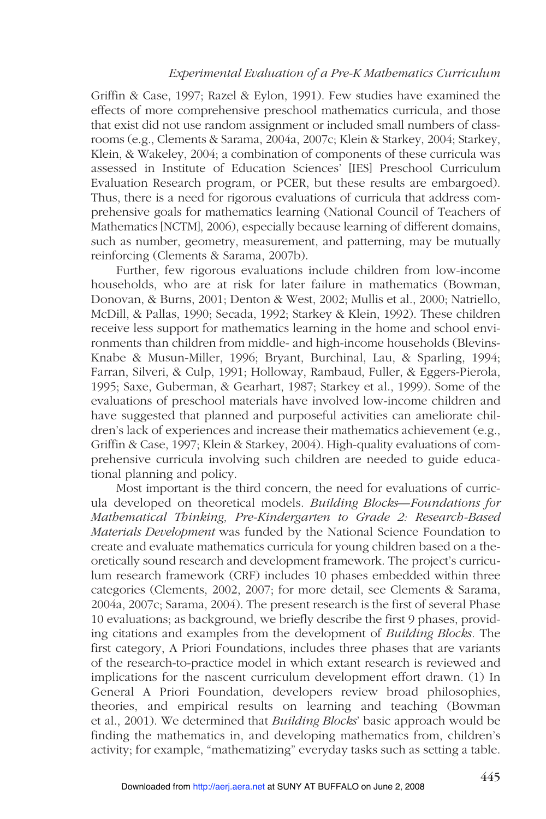Griffin & Case, 1997; Razel & Eylon, 1991). Few studies have examined the effects of more comprehensive preschool mathematics curricula, and those that exist did not use random assignment or included small numbers of classrooms (e.g., Clements & Sarama, 2004a, 2007c; Klein & Starkey, 2004; Starkey, Klein, & Wakeley, 2004; a combination of components of these curricula was assessed in Institute of Education Sciences' [IES] Preschool Curriculum Evaluation Research program, or PCER, but these results are embargoed). Thus, there is a need for rigorous evaluations of curricula that address comprehensive goals for mathematics learning (National Council of Teachers of Mathematics [NCTM], 2006), especially because learning of different domains, such as number, geometry, measurement, and patterning, may be mutually reinforcing (Clements & Sarama, 2007b).

Further, few rigorous evaluations include children from low-income households, who are at risk for later failure in mathematics (Bowman, Donovan, & Burns, 2001; Denton & West, 2002; Mullis et al., 2000; Natriello, McDill, & Pallas, 1990; Secada, 1992; Starkey & Klein, 1992). These children receive less support for mathematics learning in the home and school environments than children from middle- and high-income households (Blevins-Knabe & Musun-Miller, 1996; Bryant, Burchinal, Lau, & Sparling, 1994; Farran, Silveri, & Culp, 1991; Holloway, Rambaud, Fuller, & Eggers-Pierola, 1995; Saxe, Guberman, & Gearhart, 1987; Starkey et al., 1999). Some of the evaluations of preschool materials have involved low-income children and have suggested that planned and purposeful activities can ameliorate children's lack of experiences and increase their mathematics achievement (e.g., Griffin & Case, 1997; Klein & Starkey, 2004). High-quality evaluations of comprehensive curricula involving such children are needed to guide educational planning and policy.

Most important is the third concern, the need for evaluations of curricula developed on theoretical models. *Building Blocks—Foundations for Mathematical Thinking, Pre-Kindergarten to Grade 2: Research-Based Materials Development* was funded by the National Science Foundation to create and evaluate mathematics curricula for young children based on a theoretically sound research and development framework. The project's curriculum research framework (CRF) includes 10 phases embedded within three categories (Clements, 2002, 2007; for more detail, see Clements & Sarama, 2004a, 2007c; Sarama, 2004). The present research is the first of several Phase 10 evaluations; as background, we briefly describe the first 9 phases, providing citations and examples from the development of *Building Blocks.* The first category, A Priori Foundations, includes three phases that are variants of the research-to-practice model in which extant research is reviewed and implications for the nascent curriculum development effort drawn. (1) In General A Priori Foundation, developers review broad philosophies, theories, and empirical results on learning and teaching (Bowman et al., 2001). We determined that *Building Blocks*' basic approach would be finding the mathematics in, and developing mathematics from, children's activity; for example, "mathematizing" everyday tasks such as setting a table.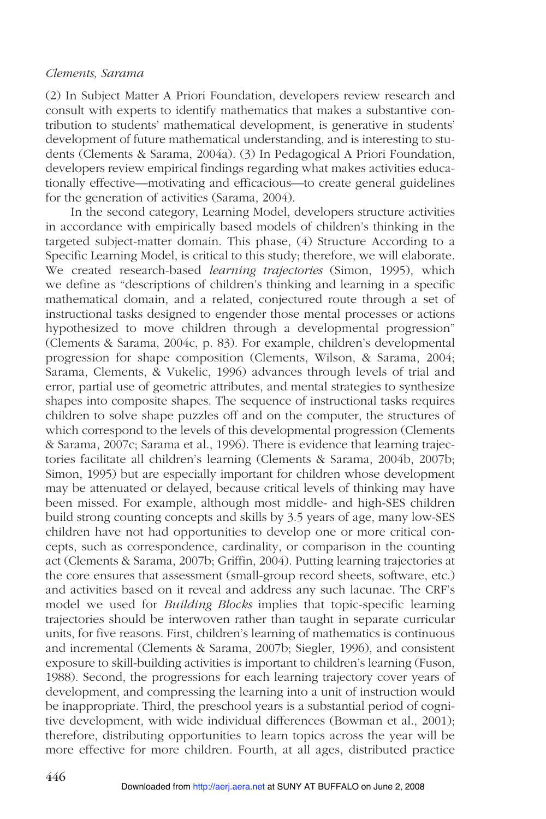(2) In Subject Matter A Priori Foundation, developers review research and consult with experts to identify mathematics that makes a substantive contribution to students' mathematical development, is generative in students' development of future mathematical understanding, and is interesting to students (Clements & Sarama, 2004a). (3) In Pedagogical A Priori Foundation, developers review empirical findings regarding what makes activities educationally effective—motivating and efficacious—to create general guidelines for the generation of activities (Sarama, 2004).

In the second category, Learning Model, developers structure activities in accordance with empirically based models of children's thinking in the targeted subject-matter domain. This phase, (4) Structure According to a Specific Learning Model, is critical to this study; therefore, we will elaborate. We created research-based *learning trajectories* (Simon, 1995), which we define as "descriptions of children's thinking and learning in a specific mathematical domain, and a related, conjectured route through a set of instructional tasks designed to engender those mental processes or actions hypothesized to move children through a developmental progression" (Clements & Sarama, 2004c, p. 83). For example, children's developmental progression for shape composition (Clements, Wilson, & Sarama, 2004; Sarama, Clements, & Vukelic, 1996) advances through levels of trial and error, partial use of geometric attributes, and mental strategies to synthesize shapes into composite shapes. The sequence of instructional tasks requires children to solve shape puzzles off and on the computer, the structures of which correspond to the levels of this developmental progression (Clements & Sarama, 2007c; Sarama et al., 1996). There is evidence that learning trajectories facilitate all children's learning (Clements & Sarama, 2004b, 2007b; Simon, 1995) but are especially important for children whose development may be attenuated or delayed, because critical levels of thinking may have been missed. For example, although most middle- and high-SES children build strong counting concepts and skills by 3.5 years of age, many low-SES children have not had opportunities to develop one or more critical concepts, such as correspondence, cardinality, or comparison in the counting act (Clements & Sarama, 2007b; Griffin, 2004). Putting learning trajectories at the core ensures that assessment (small-group record sheets, software, etc.) and activities based on it reveal and address any such lacunae. The CRF's model we used for *Building Blocks* implies that topic-specific learning trajectories should be interwoven rather than taught in separate curricular units, for five reasons. First, children's learning of mathematics is continuous and incremental (Clements & Sarama, 2007b; Siegler, 1996), and consistent exposure to skill-building activities is important to children's learning (Fuson, 1988). Second, the progressions for each learning trajectory cover years of development, and compressing the learning into a unit of instruction would be inappropriate. Third, the preschool years is a substantial period of cognitive development, with wide individual differences (Bowman et al., 2001); therefore, distributing opportunities to learn topics across the year will be more effective for more children. Fourth, at all ages, distributed practice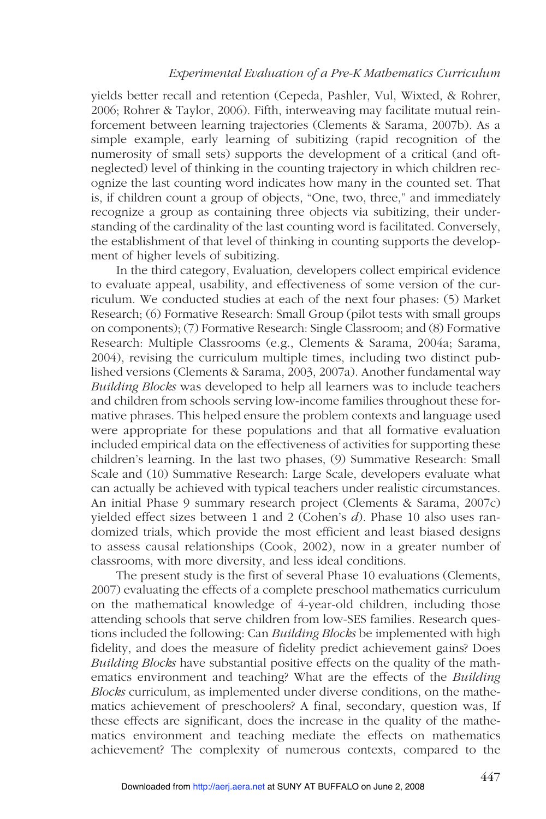yields better recall and retention (Cepeda, Pashler, Vul, Wixted, & Rohrer, 2006; Rohrer & Taylor, 2006). Fifth, interweaving may facilitate mutual reinforcement between learning trajectories (Clements & Sarama, 2007b). As a simple example, early learning of subitizing (rapid recognition of the numerosity of small sets) supports the development of a critical (and oftneglected) level of thinking in the counting trajectory in which children recognize the last counting word indicates how many in the counted set. That is, if children count a group of objects, "One, two, three," and immediately recognize a group as containing three objects via subitizing, their understanding of the cardinality of the last counting word is facilitated. Conversely, the establishment of that level of thinking in counting supports the development of higher levels of subitizing.

In the third category, Evaluation*,* developers collect empirical evidence to evaluate appeal, usability, and effectiveness of some version of the curriculum. We conducted studies at each of the next four phases: (5) Market Research; (6) Formative Research: Small Group (pilot tests with small groups on components); (7) Formative Research: Single Classroom; and (8) Formative Research: Multiple Classrooms (e.g., Clements & Sarama, 2004a; Sarama, 2004), revising the curriculum multiple times, including two distinct published versions (Clements & Sarama, 2003, 2007a). Another fundamental way *Building Blocks* was developed to help all learners was to include teachers and children from schools serving low-income families throughout these formative phrases. This helped ensure the problem contexts and language used were appropriate for these populations and that all formative evaluation included empirical data on the effectiveness of activities for supporting these children's learning. In the last two phases, (9) Summative Research: Small Scale and (10) Summative Research: Large Scale, developers evaluate what can actually be achieved with typical teachers under realistic circumstances. An initial Phase 9 summary research project (Clements & Sarama, 2007c) yielded effect sizes between 1 and 2 (Cohen's *d*). Phase 10 also uses randomized trials, which provide the most efficient and least biased designs to assess causal relationships (Cook, 2002), now in a greater number of classrooms, with more diversity, and less ideal conditions.

The present study is the first of several Phase 10 evaluations (Clements, 2007) evaluating the effects of a complete preschool mathematics curriculum on the mathematical knowledge of 4-year-old children, including those attending schools that serve children from low-SES families. Research questions included the following: Can *Building Blocks* be implemented with high fidelity, and does the measure of fidelity predict achievement gains? Does *Building Blocks* have substantial positive effects on the quality of the mathematics environment and teaching? What are the effects of the *Building Blocks* curriculum, as implemented under diverse conditions, on the mathematics achievement of preschoolers? A final, secondary, question was, If these effects are significant, does the increase in the quality of the mathematics environment and teaching mediate the effects on mathematics achievement? The complexity of numerous contexts, compared to the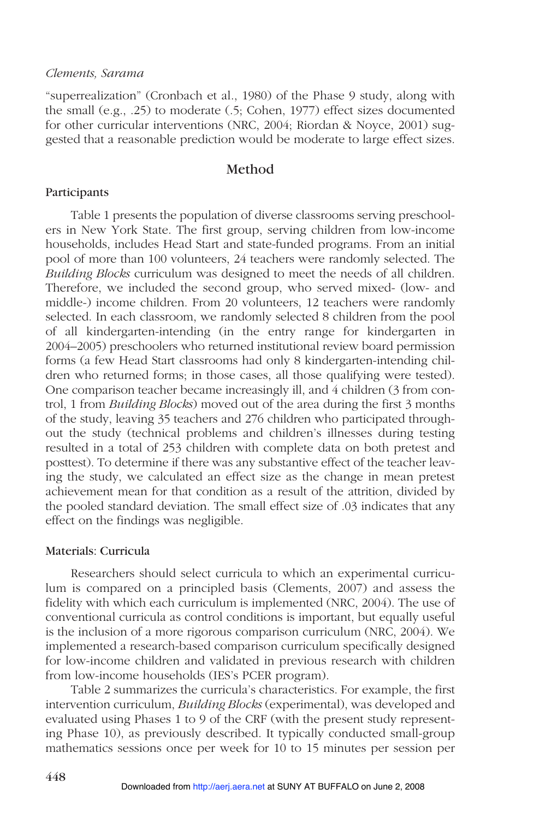"superrealization" (Cronbach et al., 1980) of the Phase 9 study, along with the small (e.g., .25) to moderate (.5; Cohen, 1977) effect sizes documented for other curricular interventions (NRC, 2004; Riordan & Noyce, 2001) suggested that a reasonable prediction would be moderate to large effect sizes.

### Method

### Participants

Table 1 presents the population of diverse classrooms serving preschoolers in New York State. The first group, serving children from low-income households, includes Head Start and state-funded programs. From an initial pool of more than 100 volunteers, 24 teachers were randomly selected. The *Building Blocks* curriculum was designed to meet the needs of all children. Therefore, we included the second group, who served mixed- (low- and middle-) income children. From 20 volunteers, 12 teachers were randomly selected. In each classroom, we randomly selected 8 children from the pool of all kindergarten-intending (in the entry range for kindergarten in 2004–2005) preschoolers who returned institutional review board permission forms (a few Head Start classrooms had only 8 kindergarten-intending children who returned forms; in those cases, all those qualifying were tested). One comparison teacher became increasingly ill, and 4 children (3 from control, 1 from *Building Blocks*) moved out of the area during the first 3 months of the study, leaving 35 teachers and 276 children who participated throughout the study (technical problems and children's illnesses during testing resulted in a total of 253 children with complete data on both pretest and posttest). To determine if there was any substantive effect of the teacher leaving the study, we calculated an effect size as the change in mean pretest achievement mean for that condition as a result of the attrition, divided by the pooled standard deviation. The small effect size of .03 indicates that any effect on the findings was negligible.

#### Materials: Curricula

Researchers should select curricula to which an experimental curriculum is compared on a principled basis (Clements, 2007) and assess the fidelity with which each curriculum is implemented (NRC, 2004). The use of conventional curricula as control conditions is important, but equally useful is the inclusion of a more rigorous comparison curriculum (NRC, 2004). We implemented a research-based comparison curriculum specifically designed for low-income children and validated in previous research with children from low-income households (IES's PCER program).

Table 2 summarizes the curricula's characteristics. For example, the first intervention curriculum, *Building Blocks* (experimental), was developed and evaluated using Phases 1 to 9 of the CRF (with the present study representing Phase 10), as previously described. It typically conducted small-group mathematics sessions once per week for 10 to 15 minutes per session per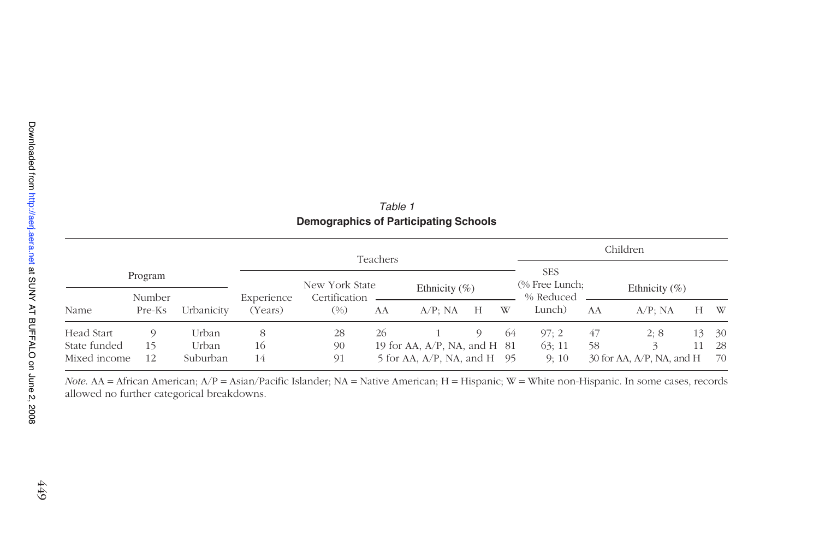| Table 1                                      |
|----------------------------------------------|
| <b>Demographics of Participating Schools</b> |

|                                            |                   |                            |               |                                 | Teachers |                                                                     |   |    |                                           | Children |                                         |          |                   |  |
|--------------------------------------------|-------------------|----------------------------|---------------|---------------------------------|----------|---------------------------------------------------------------------|---|----|-------------------------------------------|----------|-----------------------------------------|----------|-------------------|--|
|                                            | Program<br>Number |                            | Experience    | New York State<br>Certification |          | Ethnicity $(\% )$                                                   |   |    | <b>SES</b><br>(% Free Lunch:<br>% Reduced |          | Ethnicity $(\% )$                       |          |                   |  |
| Name                                       | Pre-Ks            | Urbanicity                 | (Years)       | (%)                             | AA       | $A/P$ ; NA                                                          | Н | W  | Lunch)                                    | AA       | A/P: NA                                 | H        | W                 |  |
| Head Start<br>State funded<br>Mixed income | 15<br>12          | Urban<br>Urban<br>Suburban | 8<br>16<br>14 | 28<br>90<br>91                  | 26       | 19 for AA, $A/P$ , NA, and H $81$<br>5 for AA, $A/P$ , NA, and H 95 |   | 64 | 97:2<br>63:11<br>9:10                     | 47<br>58 | 2:8<br>3<br>$30$ for AA, A/P, NA, and H | 13<br>11 | - 30<br>-28<br>70 |  |

*Note*. AA = African American; A/P <sup>=</sup> Asian/Pacific Islander; NA <sup>=</sup> Native American; H <sup>=</sup> Hispanic; W <sup>=</sup> White non-Hispanic. In some cases, records allowed no further categorical breakdowns.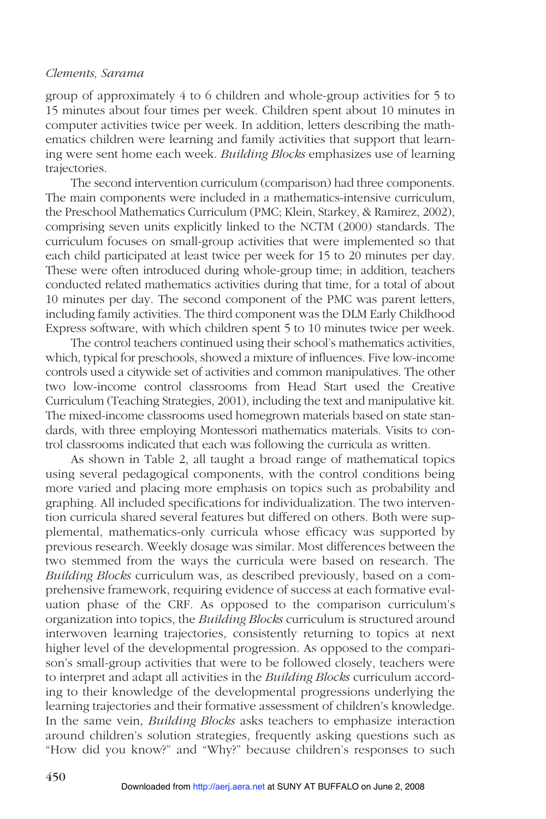group of approximately 4 to 6 children and whole-group activities for 5 to 15 minutes about four times per week. Children spent about 10 minutes in computer activities twice per week. In addition, letters describing the mathematics children were learning and family activities that support that learning were sent home each week. *Building Blocks* emphasizes use of learning trajectories.

The second intervention curriculum (comparison) had three components. The main components were included in a mathematics-intensive curriculum, the Preschool Mathematics Curriculum (PMC; Klein, Starkey, & Ramirez, 2002), comprising seven units explicitly linked to the NCTM (2000) standards. The curriculum focuses on small-group activities that were implemented so that each child participated at least twice per week for 15 to 20 minutes per day. These were often introduced during whole-group time; in addition, teachers conducted related mathematics activities during that time, for a total of about 10 minutes per day. The second component of the PMC was parent letters, including family activities. The third component was the DLM Early Childhood Express software, with which children spent 5 to 10 minutes twice per week.

The control teachers continued using their school's mathematics activities, which, typical for preschools, showed a mixture of influences. Five low-income controls used a citywide set of activities and common manipulatives. The other two low-income control classrooms from Head Start used the Creative Curriculum (Teaching Strategies, 2001), including the text and manipulative kit. The mixed-income classrooms used homegrown materials based on state standards, with three employing Montessori mathematics materials. Visits to control classrooms indicated that each was following the curricula as written.

As shown in Table 2, all taught a broad range of mathematical topics using several pedagogical components, with the control conditions being more varied and placing more emphasis on topics such as probability and graphing. All included specifications for individualization. The two intervention curricula shared several features but differed on others. Both were supplemental, mathematics-only curricula whose efficacy was supported by previous research. Weekly dosage was similar. Most differences between the two stemmed from the ways the curricula were based on research. The *Building Blocks* curriculum was, as described previously, based on a comprehensive framework, requiring evidence of success at each formative evaluation phase of the CRF. As opposed to the comparison curriculum's organization into topics, the *Building Blocks* curriculum is structured around interwoven learning trajectories, consistently returning to topics at next higher level of the developmental progression. As opposed to the comparison's small-group activities that were to be followed closely, teachers were to interpret and adapt all activities in the *Building Blocks* curriculum according to their knowledge of the developmental progressions underlying the learning trajectories and their formative assessment of children's knowledge. In the same vein, *Building Blocks* asks teachers to emphasize interaction around children's solution strategies, frequently asking questions such as "How did you know?" and "Why?" because children's responses to such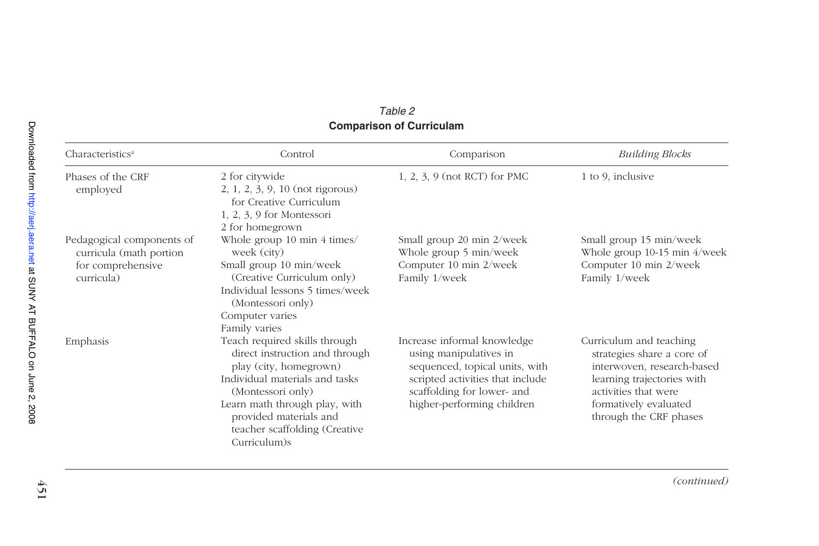| Characteristics <sup>a</sup>                                                            | Control                                                                                                                                                                                                                                                      | Comparison                                                                                                                                                                              | <b>Building Blocks</b>                                                                                                                                                                       |
|-----------------------------------------------------------------------------------------|--------------------------------------------------------------------------------------------------------------------------------------------------------------------------------------------------------------------------------------------------------------|-----------------------------------------------------------------------------------------------------------------------------------------------------------------------------------------|----------------------------------------------------------------------------------------------------------------------------------------------------------------------------------------------|
| Phases of the CRF<br>employed                                                           | 2 for citywide<br>2, 1, 2, 3, 9, 10 (not rigorous)<br>for Creative Curriculum<br>$1, 2, 3, 9$ for Montessori<br>2 for homegrown                                                                                                                              | $1, 2, 3, 9$ (not RCT) for PMC                                                                                                                                                          | 1 to 9, inclusive                                                                                                                                                                            |
| Pedagogical components of<br>curricula (math portion<br>for comprehensive<br>curricula) | Whole group 10 min 4 times/<br>week (city)<br>Small group 10 min/week<br>(Creative Curriculum only)<br>Individual lessons 5 times/week<br>(Montessori only)<br>Computer varies<br>Family varies                                                              | Small group 20 min 2/week<br>Whole group 5 min/week<br>Computer 10 min 2/week<br>Family 1/week                                                                                          | Small group 15 min/week<br>Whole group 10-15 min 4/week<br>Computer 10 min 2/week<br>Family 1/week                                                                                           |
| Emphasis                                                                                | Teach required skills through<br>direct instruction and through<br>play (city, homegrown)<br>Individual materials and tasks<br>(Montessori only)<br>Learn math through play, with<br>provided materials and<br>teacher scaffolding (Creative<br>Curriculum)s | Increase informal knowledge<br>using manipulatives in<br>sequenced, topical units, with<br>scripted activities that include<br>scaffolding for lower- and<br>higher-performing children | Curriculum and teaching<br>strategies share a core of<br>interwoven, research-based<br>learning trajectories with<br>activities that were<br>formatively evaluated<br>through the CRF phases |

Table 2 **Comparison of Curriculam**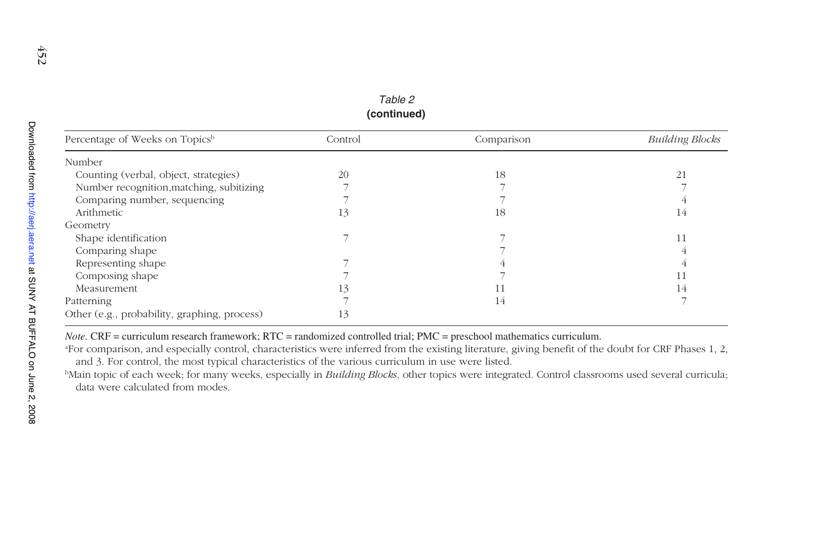|                                              | $\mu$   |            |                        |
|----------------------------------------------|---------|------------|------------------------|
| Percentage of Weeks on Topics <sup>b</sup>   | Control | Comparison | <b>Building Blocks</b> |
| Number                                       |         |            |                        |
| Counting (verbal, object, strategies)        | 20      | 18         | 21                     |
| Number recognition, matching, subitizing     |         |            |                        |
| Comparing number, sequencing                 |         |            |                        |
| Arithmetic                                   | 13      | 18         | 14                     |
| Geometry                                     |         |            |                        |
| Shape identification                         |         |            | 11                     |
| Comparing shape                              |         |            |                        |
| Representing shape                           |         |            |                        |
| Composing shape                              |         |            |                        |
| Measurement                                  |         |            | 14                     |
| Patterning                                   |         | 14         |                        |
| Other (e.g., probability, graphing, process) | 13      |            |                        |

Table 2**(continued)**

*Note.* CRF = curriculum research framework; RTC = randomized controlled trial; PMC = preschool mathematics curriculum.

<sup>a</sup>For comparison, and especially control, characteristics were inferred from the existing literature, giving benefit of the doubt for CRF Phases 1, 2, and 3. For control, the most typical characteristics of the various curriculum in use were listed.

bMain topic of each week; for many weeks, especially in *Building Blocks*, other topics were integrated. Control classrooms used several curricula; data were calculated from modes.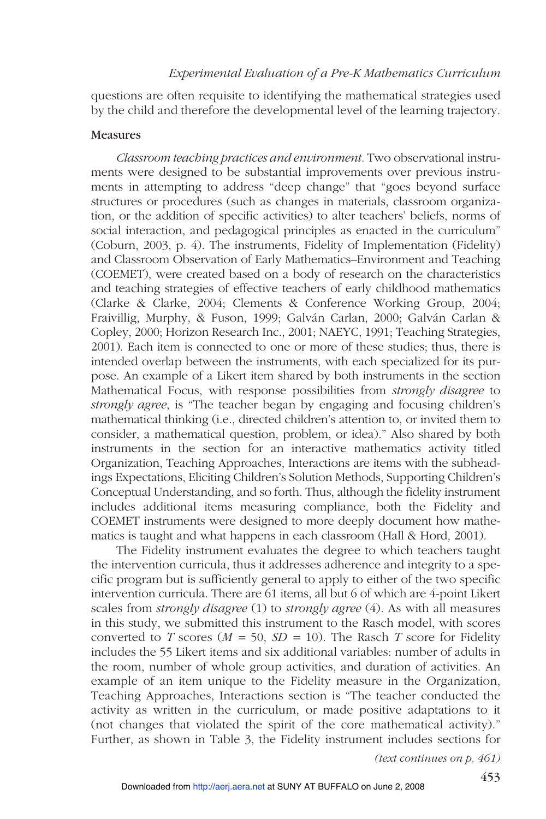questions are often requisite to identifying the mathematical strategies used by the child and therefore the developmental level of the learning trajectory.

#### Measures

*Classroom teaching practices and environment.* Two observational instruments were designed to be substantial improvements over previous instruments in attempting to address "deep change" that "goes beyond surface structures or procedures (such as changes in materials, classroom organization, or the addition of specific activities) to alter teachers' beliefs, norms of social interaction, and pedagogical principles as enacted in the curriculum" (Coburn, 2003, p. 4). The instruments, Fidelity of Implementation (Fidelity) and Classroom Observation of Early Mathematics–Environment and Teaching (COEMET), were created based on a body of research on the characteristics and teaching strategies of effective teachers of early childhood mathematics (Clarke & Clarke, 2004; Clements & Conference Working Group, 2004; Fraivillig, Murphy, & Fuson, 1999; Galván Carlan, 2000; Galván Carlan & Copley, 2000; Horizon Research Inc., 2001; NAEYC, 1991; Teaching Strategies, 2001). Each item is connected to one or more of these studies; thus, there is intended overlap between the instruments, with each specialized for its purpose. An example of a Likert item shared by both instruments in the section Mathematical Focus, with response possibilities from *strongly disagree* to *strongly agree*, is "The teacher began by engaging and focusing children's mathematical thinking (i.e., directed children's attention to, or invited them to consider, a mathematical question, problem, or idea)." Also shared by both instruments in the section for an interactive mathematics activity titled Organization, Teaching Approaches, Interactions are items with the subheadings Expectations, Eliciting Children's Solution Methods, Supporting Children's Conceptual Understanding, and so forth. Thus, although the fidelity instrument includes additional items measuring compliance, both the Fidelity and COEMET instruments were designed to more deeply document how mathematics is taught and what happens in each classroom (Hall & Hord, 2001).

The Fidelity instrument evaluates the degree to which teachers taught the intervention curricula, thus it addresses adherence and integrity to a specific program but is sufficiently general to apply to either of the two specific intervention curricula. There are 61 items, all but 6 of which are 4-point Likert scales from *strongly disagree* (1) to *strongly agree* (4). As with all measures in this study, we submitted this instrument to the Rasch model, with scores converted to *T* scores ( $M = 50$ ,  $SD = 10$ ). The Rasch *T* score for Fidelity includes the 55 Likert items and six additional variables: number of adults in the room, number of whole group activities, and duration of activities. An example of an item unique to the Fidelity measure in the Organization, Teaching Approaches, Interactions section is "The teacher conducted the activity as written in the curriculum, or made positive adaptations to it (not changes that violated the spirit of the core mathematical activity)." Further, as shown in Table 3, the Fidelity instrument includes sections for

*(text continues on p. 461)*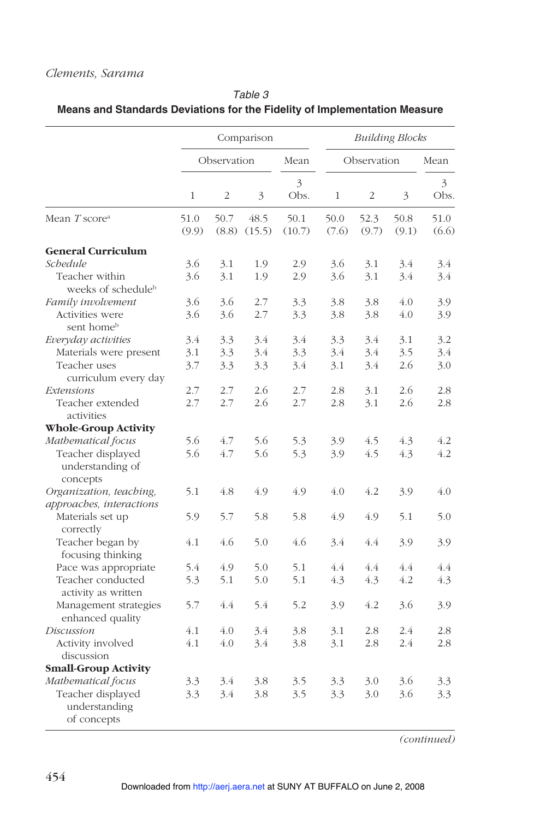|                                           |       | Comparison<br>Observation<br>$\overline{3}$<br>3<br>$\mathbf{1}$<br>$\overline{2}$<br>50.7<br>48.5<br>(8.8)<br>(15.5)<br>3.6<br>3.1<br>1.9<br>3.6<br>3.1<br>1.9<br>3.6<br>3.6<br>2.7<br>3.6<br>2.7<br>3.6<br>3.4<br>3.4<br>3.3<br>3.3<br>3.4<br>3.1<br>3.7<br>3.3<br>3.3<br>2.6<br>2.7<br>2.7<br>2.7<br>2.7<br>2.7<br>2.6<br>2.7<br>5.6<br>4.7<br>5.6<br>5.6<br>4.7<br>5.6<br>5.1<br>4.8<br>4.9<br>4.9<br>5.9<br>5.7<br>5.8<br>4.6<br>4.1<br>4.6<br>5.0<br>5.4<br>4.9<br>5.1<br>5.0<br>5.3<br>5.1<br>5.0<br>5.1<br>4.4<br>5.7<br>5.4<br>4.1<br>4.0<br>3.4<br>4.1<br>4.0<br>3.4<br>3.3<br>3.4<br>3.8 |     |        |              | <b>Building Blocks</b> |       |           |
|-------------------------------------------|-------|-----------------------------------------------------------------------------------------------------------------------------------------------------------------------------------------------------------------------------------------------------------------------------------------------------------------------------------------------------------------------------------------------------------------------------------------------------------------------------------------------------------------------------------------------------------------------------------------------------|-----|--------|--------------|------------------------|-------|-----------|
|                                           |       |                                                                                                                                                                                                                                                                                                                                                                                                                                                                                                                                                                                                     |     | Mean   |              | Observation            |       | Mean      |
|                                           |       |                                                                                                                                                                                                                                                                                                                                                                                                                                                                                                                                                                                                     |     | Obs.   | $\mathbf{1}$ | $\overline{2}$         | 3     | 3<br>Obs. |
| Mean T score <sup>a</sup>                 | 51.0  |                                                                                                                                                                                                                                                                                                                                                                                                                                                                                                                                                                                                     |     | 50.1   | 50.0         | 52.3                   | 50.8  | 51.0      |
|                                           | (9.9) |                                                                                                                                                                                                                                                                                                                                                                                                                                                                                                                                                                                                     |     | (10.7) | (7.6)        | (9.7)                  | (9.1) | (6.6)     |
| <b>General Curriculum</b>                 |       |                                                                                                                                                                                                                                                                                                                                                                                                                                                                                                                                                                                                     |     |        |              |                        |       |           |
| Schedule                                  |       |                                                                                                                                                                                                                                                                                                                                                                                                                                                                                                                                                                                                     |     | 2.9    | 3.6          | 3.1                    | 3.4   | 3.4       |
| Teacher within                            |       |                                                                                                                                                                                                                                                                                                                                                                                                                                                                                                                                                                                                     |     | 2.9    | 3.6          | 3.1                    | 3.4   | 3.4       |
| weeks of schedule <sup>b</sup>            |       |                                                                                                                                                                                                                                                                                                                                                                                                                                                                                                                                                                                                     |     |        |              |                        |       |           |
| Family involvement                        |       |                                                                                                                                                                                                                                                                                                                                                                                                                                                                                                                                                                                                     |     | 3.3    | 3.8          | 3.8                    | 4.0   | 3.9       |
| Activities were<br>sent home <sup>b</sup> |       |                                                                                                                                                                                                                                                                                                                                                                                                                                                                                                                                                                                                     |     | 3.3    | 3.8          | 3.8                    | 4.0   | 3.9       |
| Everyday activities                       |       |                                                                                                                                                                                                                                                                                                                                                                                                                                                                                                                                                                                                     |     | 3.4    | 3.3          | 3.4                    | 3.1   | 3.2       |
| Materials were present                    |       |                                                                                                                                                                                                                                                                                                                                                                                                                                                                                                                                                                                                     |     | 3.3    | 3.4          | 3.4                    | 3.5   | 3.4       |
| Teacher uses                              |       |                                                                                                                                                                                                                                                                                                                                                                                                                                                                                                                                                                                                     |     | 3.4    | 3.1          | 3.4                    | 2.6   | 3.0       |
| curriculum every day                      |       |                                                                                                                                                                                                                                                                                                                                                                                                                                                                                                                                                                                                     |     |        |              |                        |       |           |
| Extensions                                |       |                                                                                                                                                                                                                                                                                                                                                                                                                                                                                                                                                                                                     |     |        | 2.8          | 3.1                    | 2.6   | 2.8       |
| Teacher extended<br>activities            |       |                                                                                                                                                                                                                                                                                                                                                                                                                                                                                                                                                                                                     |     |        | 2.8          | 3.1                    | 2.6   | 2.8       |
| <b>Whole-Group Activity</b>               |       |                                                                                                                                                                                                                                                                                                                                                                                                                                                                                                                                                                                                     |     |        |              |                        |       |           |
| Mathematical focus                        |       |                                                                                                                                                                                                                                                                                                                                                                                                                                                                                                                                                                                                     |     | 5.3    | 3.9          | 4.5                    | 4.3   | 4.2       |
| Teacher displayed                         |       |                                                                                                                                                                                                                                                                                                                                                                                                                                                                                                                                                                                                     |     | 5.3    | 3.9          | 4.5                    | 4.3   | 4.2       |
| understanding of<br>concepts              |       |                                                                                                                                                                                                                                                                                                                                                                                                                                                                                                                                                                                                     |     |        |              |                        |       |           |
| Organization, teaching,                   |       |                                                                                                                                                                                                                                                                                                                                                                                                                                                                                                                                                                                                     |     |        | 4.0          | 4.2                    | 3.9   | 4.0       |
| approaches, interactions                  |       |                                                                                                                                                                                                                                                                                                                                                                                                                                                                                                                                                                                                     |     |        |              |                        |       |           |
| Materials set up                          |       |                                                                                                                                                                                                                                                                                                                                                                                                                                                                                                                                                                                                     |     | 5.8    | 4.9          | 4.9                    | 5.1   | 5.0       |
| correctly                                 |       |                                                                                                                                                                                                                                                                                                                                                                                                                                                                                                                                                                                                     |     |        |              |                        |       |           |
| Teacher began by                          |       |                                                                                                                                                                                                                                                                                                                                                                                                                                                                                                                                                                                                     |     |        | 3.4          | 4.4                    | 3.9   | 3.9       |
| focusing thinking                         |       |                                                                                                                                                                                                                                                                                                                                                                                                                                                                                                                                                                                                     |     |        | 4.4          | 4.4                    | 4.4   | 4.4       |
| Pace was appropriate                      |       |                                                                                                                                                                                                                                                                                                                                                                                                                                                                                                                                                                                                     |     |        |              |                        |       |           |
| Teacher conducted<br>activity as written  |       |                                                                                                                                                                                                                                                                                                                                                                                                                                                                                                                                                                                                     |     |        | 4.3          | 4.3                    | 4.2   | 4.3       |
| Management strategies                     |       |                                                                                                                                                                                                                                                                                                                                                                                                                                                                                                                                                                                                     |     | 5.2    | 3.9          | 4.2                    | 3.6   | 3.9       |
| enhanced quality                          |       |                                                                                                                                                                                                                                                                                                                                                                                                                                                                                                                                                                                                     |     |        |              |                        |       |           |
| Discussion                                |       |                                                                                                                                                                                                                                                                                                                                                                                                                                                                                                                                                                                                     |     | 3.8    | 3.1          | 2.8                    | 2.4   | 2.8       |
| Activity involved                         |       |                                                                                                                                                                                                                                                                                                                                                                                                                                                                                                                                                                                                     |     | 3.8    | 3.1          | 2.8                    | 2.4   | 2.8       |
| discussion                                |       |                                                                                                                                                                                                                                                                                                                                                                                                                                                                                                                                                                                                     |     |        |              |                        |       |           |
| <b>Small-Group Activity</b>               |       |                                                                                                                                                                                                                                                                                                                                                                                                                                                                                                                                                                                                     |     |        |              |                        |       |           |
| Mathematical focus                        |       |                                                                                                                                                                                                                                                                                                                                                                                                                                                                                                                                                                                                     |     | 3.5    | 3.3          | 3.0                    | 3.6   | 3.3       |
| Teacher displayed                         | 3.3   | 3.4                                                                                                                                                                                                                                                                                                                                                                                                                                                                                                                                                                                                 | 3.8 | 3.5    | 3.3          | 3.0                    | 3.6   | 3.3       |
| understanding                             |       |                                                                                                                                                                                                                                                                                                                                                                                                                                                                                                                                                                                                     |     |        |              |                        |       |           |
| of concepts                               |       |                                                                                                                                                                                                                                                                                                                                                                                                                                                                                                                                                                                                     |     |        |              |                        |       |           |

### Table 3 **Means and Standards Deviations for the Fidelity of Implementation Measure**

Downloaded from [http://aerj.aera.net](http://aer.sagepub.com) at SUNY AT BUFFALO on June 2, 2008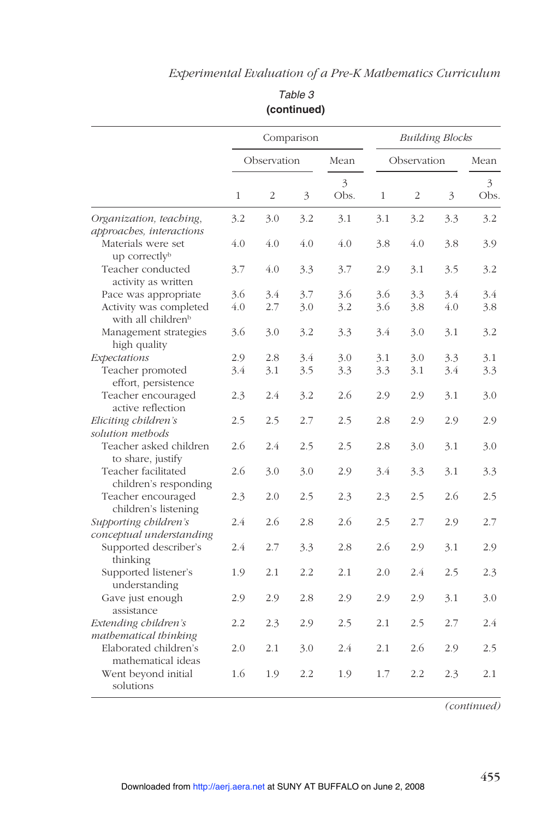|                                                          | Comparison<br>Observation<br>$\overline{3}$<br>$\overline{2}$<br>3<br>1<br>3.2<br>3.2<br>3.0<br>3.1<br>4.0<br>4.0<br>4.0<br>3.7<br>4.0<br>3.3<br>3.6<br>3.4<br>3.7<br>4.0<br>2.7<br>3.0<br>3.2<br>3.6<br>3.0<br>2.9<br>2.8<br>3.4<br>3.1<br>3.5<br>3.4<br>2.4<br>3.2<br>2.3<br>2.5<br>2.7<br>2.5<br>2.6<br>2.4<br>2.5<br>2.6<br>3.0<br>3.0<br>2.3<br>2.0<br>2.5<br>2.4<br>2.6<br>2.8<br>2.4<br>2.7<br>3.3<br>2.1<br>2.2<br>2.1<br>1.9<br>2.9<br>2.9<br>2.8<br>2.2<br>2.3<br>2.9<br>2.5<br>2.0<br>2.1 |     |     |      |     | <b>Building Blocks</b> |     |                                   |
|----------------------------------------------------------|------------------------------------------------------------------------------------------------------------------------------------------------------------------------------------------------------------------------------------------------------------------------------------------------------------------------------------------------------------------------------------------------------------------------------------------------------------------------------------------------------|-----|-----|------|-----|------------------------|-----|-----------------------------------|
|                                                          |                                                                                                                                                                                                                                                                                                                                                                                                                                                                                                      |     |     | Mean |     | Observation            |     | Mean                              |
|                                                          |                                                                                                                                                                                                                                                                                                                                                                                                                                                                                                      |     |     | Obs. | 1   | 2                      | 3   | $\overline{\mathfrak{Z}}$<br>Obs. |
| Organization, teaching,<br>approaches, interactions      |                                                                                                                                                                                                                                                                                                                                                                                                                                                                                                      |     |     |      | 3.1 | 3.2                    | 3.3 | 3.2                               |
| Materials were set<br>up correctlyb                      |                                                                                                                                                                                                                                                                                                                                                                                                                                                                                                      |     |     | 4.0  | 3.8 | 4.0                    | 3.8 | 3.9                               |
| Teacher conducted<br>activity as written                 |                                                                                                                                                                                                                                                                                                                                                                                                                                                                                                      |     |     | 3.7  | 2.9 | 3.1                    | 3.5 | 3.2                               |
| Pace was appropriate                                     |                                                                                                                                                                                                                                                                                                                                                                                                                                                                                                      |     |     | 3.6  | 3.6 | 3.3                    | 3.4 | 3.4                               |
| Activity was completed<br>with all children <sup>b</sup> |                                                                                                                                                                                                                                                                                                                                                                                                                                                                                                      |     |     | 3.2  | 3.6 | 3.8                    | 4.0 | 3.8                               |
| Management strategies<br>high quality                    |                                                                                                                                                                                                                                                                                                                                                                                                                                                                                                      |     |     | 3.3  | 3.4 | 3.0                    | 3.1 | 3.2                               |
| Expectations                                             |                                                                                                                                                                                                                                                                                                                                                                                                                                                                                                      |     |     | 3.0  | 3.1 | 3.0                    | 3.3 | 3.1                               |
| Teacher promoted<br>effort, persistence                  |                                                                                                                                                                                                                                                                                                                                                                                                                                                                                                      |     |     | 3.3  | 3.3 | 3.1                    | 3.4 | 3.3                               |
| Teacher encouraged<br>active reflection                  |                                                                                                                                                                                                                                                                                                                                                                                                                                                                                                      |     |     | 2.6  | 2.9 | 2.9                    | 3.1 | 3.0                               |
| Eliciting children's                                     |                                                                                                                                                                                                                                                                                                                                                                                                                                                                                                      |     |     | 2.5  | 2.8 | 2.9                    | 2.9 | 2.9                               |
| solution methods                                         |                                                                                                                                                                                                                                                                                                                                                                                                                                                                                                      |     |     |      |     |                        |     |                                   |
| Teacher asked children<br>to share, justify              |                                                                                                                                                                                                                                                                                                                                                                                                                                                                                                      |     |     | 2.5  | 2.8 | 3.0                    | 3.1 | 3.0                               |
| Teacher facilitated<br>children's responding             |                                                                                                                                                                                                                                                                                                                                                                                                                                                                                                      |     |     | 2.9  | 3.4 | 3.3                    | 3.1 | 3.3                               |
| Teacher encouraged<br>children's listening               |                                                                                                                                                                                                                                                                                                                                                                                                                                                                                                      |     |     | 2.3  | 2.3 | 2.5                    | 2.6 | 2.5                               |
| Supporting children's<br>conceptual understanding        |                                                                                                                                                                                                                                                                                                                                                                                                                                                                                                      |     |     | 2.6  | 2.5 | 2.7                    | 2.9 | 2.7                               |
| Supported describer's<br>thinking                        |                                                                                                                                                                                                                                                                                                                                                                                                                                                                                                      |     |     | 2.8  | 2.6 | 2.9                    | 3.1 | 2.9                               |
| Supported listener's<br>understanding                    |                                                                                                                                                                                                                                                                                                                                                                                                                                                                                                      |     |     |      | 2.0 | 2.4                    | 2.5 | 2.3                               |
| Gave just enough<br>assistance                           |                                                                                                                                                                                                                                                                                                                                                                                                                                                                                                      |     |     | 2.9  | 2.9 | 2.9                    | 3.1 | 3.0                               |
| Extending children's                                     |                                                                                                                                                                                                                                                                                                                                                                                                                                                                                                      |     |     |      | 2.1 | 2.5                    | 2.7 | 2.4                               |
| mathematical thinking                                    |                                                                                                                                                                                                                                                                                                                                                                                                                                                                                                      |     |     |      |     |                        |     |                                   |
| Elaborated children's<br>mathematical ideas              |                                                                                                                                                                                                                                                                                                                                                                                                                                                                                                      |     | 3.0 | 2.4  | 2.1 | 2.6                    | 2.9 | 2.5                               |
| Went beyond initial<br>solutions                         | 1.6                                                                                                                                                                                                                                                                                                                                                                                                                                                                                                  | 1.9 | 2.2 | 1.9  | 1.7 | 2.2                    | 2.3 | 2.1                               |

Table 3 **(continued)**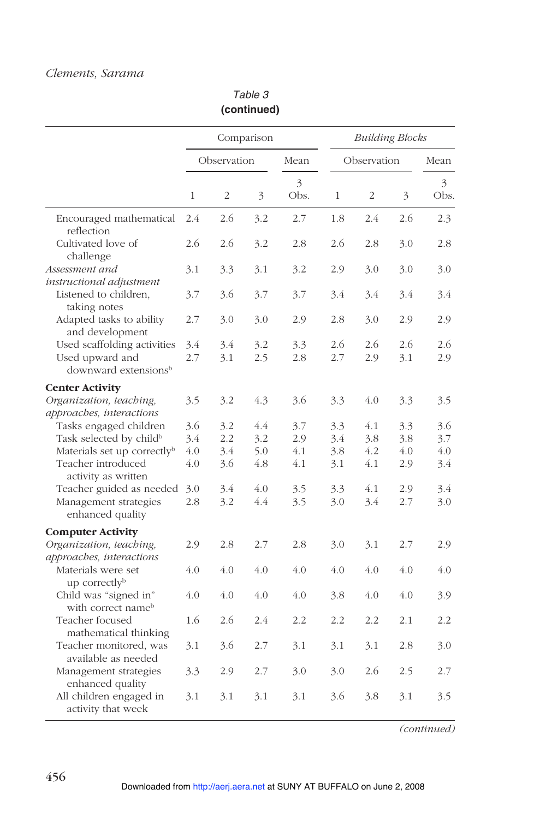|                                                                   |            |                | (continued) |                        |     |                        |            |            |
|-------------------------------------------------------------------|------------|----------------|-------------|------------------------|-----|------------------------|------------|------------|
|                                                                   |            |                | Comparison  |                        |     | <b>Building Blocks</b> |            |            |
|                                                                   |            | Observation    |             | Mean                   |     | Observation            |            | Mean       |
|                                                                   | 1          | $\overline{2}$ | 3           | $\overline{3}$<br>Obs. | 1   | $\overline{2}$         | 3          | 3<br>Obs.  |
| Encouraged mathematical<br>reflection                             | 2.4        | 2.6            | 3.2         | 2.7                    | 1.8 | 2.4                    | 2.6        | 2.3        |
| Cultivated love of<br>challenge                                   | 2.6        | 2.6            | 3.2         | 2.8                    | 2.6 | 2.8                    | 3.0        | 2.8        |
| Assessment and                                                    | 3.1        | 3.3            | 3.1         | 3.2                    | 2.9 | 3.0                    | 3.0        | 3.0        |
| instructional adjustment<br>Listened to children,<br>taking notes | 3.7        | 3.6            | 3.7         | 3.7                    | 3.4 | 3.4                    | 3.4        | 3.4        |
| Adapted tasks to ability<br>and development                       | 2.7        | 3.0            | 3.0         | 2.9                    | 2.8 | 3.0                    | 2.9        | 2.9        |
| Used scaffolding activities                                       | 3.4        | 3.4            | 3.2         | 3.3                    | 2.6 | 2.6                    | 2.6        | 2.6        |
| Used upward and<br>downward extensions <sup>b</sup>               | 2.7        | 3.1            | 2.5         | 2.8                    | 2.7 | 2.9                    | 3.1        | 2.9        |
| <b>Center Activity</b>                                            |            |                |             |                        |     |                        |            |            |
| Organization, teaching,                                           | 3.5        | 3.2            | 4.3         | 3.6                    | 3.3 | 4.0                    | 3.3        | 3.5        |
| approaches, interactions                                          |            |                |             |                        |     |                        |            |            |
| Tasks engaged children                                            | 3.6        | 3.2            | 4.4         | 3.7                    | 3.3 | 4.1                    | 3.3        | 3.6        |
| Task selected by child <sup>b</sup>                               | 3.4<br>4.0 | 2.2            | 3.2         | 2.9                    | 3.4 | 3.8                    | 3.8<br>4.0 | 3.7<br>4.0 |
| Materials set up correctly <sup>b</sup>                           |            | 3.4            | 5.0         | 4.1                    | 3.8 | 4.2                    |            |            |
| Teacher introduced<br>activity as written                         | 4.0        | 3.6            | 4.8         | 4.1                    | 3.1 | 4.1                    | 2.9        | 3.4        |
| Teacher guided as needed                                          | 3.0        | 3.4            | 4.0         | 3.5                    | 3.3 | 4.1                    | 2.9        | 3.4        |
| Management strategies<br>enhanced quality                         | 2.8        | 3.2            | 4.4         | 3.5                    | 3.0 | 3.4                    | 2.7        | 3.0        |
| <b>Computer Activity</b>                                          |            |                |             |                        |     |                        |            |            |
| Organization, teaching,                                           | 2.9        | 2.8            | 2.7         | 2.8                    | 3.0 | 3.1                    | 2.7        | 2.9        |
| approaches, interactions                                          |            |                |             |                        |     |                        |            |            |
| Materials were set<br>up correctly <sup>b</sup>                   | 4.0        | 4.0            | 4.0         | 4.0                    | 4.0 | 4.0                    | 4.0        | 4.0        |
| Child was "signed in"<br>with correct name <sup>b</sup>           | 4.0        | 4.0            | 4.0         | 4.0                    | 3.8 | 4.0                    | 4.0        | 3.9        |
| Teacher focused<br>mathematical thinking                          | 1.6        | 2.6            | 2.4         | 2.2                    | 2.2 | 2.2                    | 2.1        | 2.2        |
| Teacher monitored, was<br>available as needed                     | 3.1        | 3.6            | 2.7         | 3.1                    | 3.1 | 3.1                    | 2.8        | 3.0        |
| Management strategies<br>enhanced quality                         | 3.3        | 2.9            | 2.7         | 3.0                    | 3.0 | 2.6                    | 2.5        | 2.7        |
| All children engaged in<br>activity that week                     | 3.1        | 3.1            | 3.1         | 3.1                    | 3.6 | 3.8                    | 3.1        | 3.5        |

Table 3 **(continued)**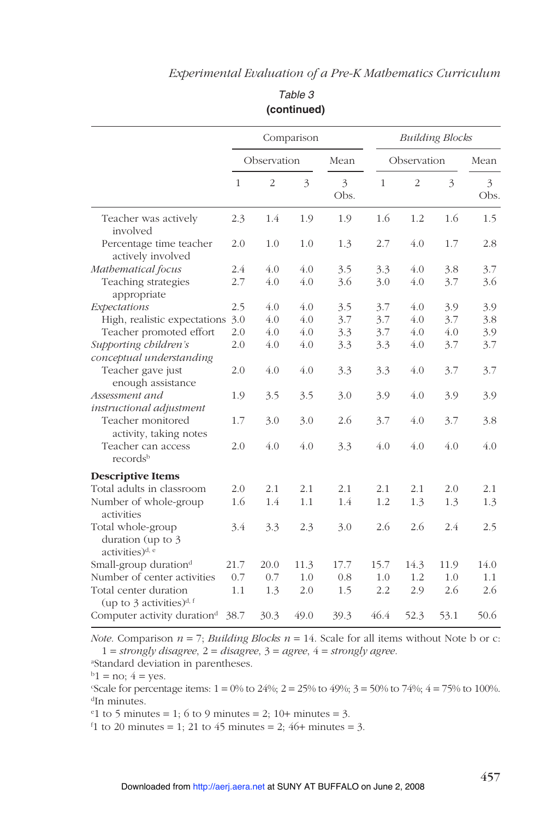|                                                      |                                                                                                                                              |                | (communed)     |           |              |                |                        |           |  |  |
|------------------------------------------------------|----------------------------------------------------------------------------------------------------------------------------------------------|----------------|----------------|-----------|--------------|----------------|------------------------|-----------|--|--|
|                                                      |                                                                                                                                              |                | Comparison     |           |              |                | <b>Building Blocks</b> |           |  |  |
|                                                      | Observation<br>$\mathbf{1}$<br>2.3<br>2.0<br>2.4<br>2.7<br>2.5<br>3.0<br>2.0<br>2.0<br>2.0<br>1.9<br>1.7<br>2.0<br>2.0<br>1.6<br>3.4<br>21.7 |                |                | Mean      |              | Observation    |                        |           |  |  |
|                                                      |                                                                                                                                              | $\overline{2}$ | $\mathfrak{Z}$ | 3<br>Obs. | $\mathbf{1}$ | $\overline{2}$ | $\overline{3}$         | 3<br>Obs. |  |  |
| Teacher was actively<br>involved                     |                                                                                                                                              | 1.4            | 1.9            | 1.9       | 1.6          | 1.2            | 1.6                    | 1.5       |  |  |
| Percentage time teacher<br>actively involved         |                                                                                                                                              | 1.0            | 1.0            | 1.3       | 2.7          | 4.0            | 1.7                    | 2.8       |  |  |
| Mathematical focus                                   |                                                                                                                                              | 4.0            | 4.0            | 3.5       | 3.3          | 4.0            | 3.8                    | 3.7       |  |  |
| Teaching strategies<br>appropriate                   |                                                                                                                                              | 4.0            | 4.0            | 3.6       | 3.0          | 4.0            | 3.7                    | 3.6       |  |  |
| Expectations                                         |                                                                                                                                              | 4.0            | 4.0            | 3.5       | 3.7          | 4.0            | 3.9                    | 3.9       |  |  |
| High, realistic expectations                         |                                                                                                                                              | 4.0            | 4.0            | 3.7       | 3.7          | 4.0            | 3.7                    | 3.8       |  |  |
| Teacher promoted effort                              |                                                                                                                                              | 4.0            | 4.0            | 3.3       | 3.7          | 4.0            | 4.0                    | 3.9       |  |  |
| Supporting children's                                |                                                                                                                                              | 4.0            | 4.0            | 3.3       | 3.3          | 4.0            | 3.7                    | 3.7       |  |  |
| conceptual understanding                             |                                                                                                                                              |                |                |           |              |                |                        |           |  |  |
| Teacher gave just<br>enough assistance               |                                                                                                                                              | 4.0            | 4.0            | 3.3       | 3.3          | 4.0            | 3.7                    | 3.7       |  |  |
| Assessment and                                       |                                                                                                                                              | 3.5            | 3.5            | 3.0       | 3.9          | 4.0            | 3.9                    | 3.9       |  |  |
| instructional adjustment                             |                                                                                                                                              |                |                |           |              |                |                        |           |  |  |
| Teacher monitored                                    |                                                                                                                                              | 3.0            | 3.0            | 2.6       | 3.7          | 4.0            | 3.7                    | 3.8       |  |  |
| activity, taking notes                               |                                                                                                                                              |                |                |           |              |                |                        |           |  |  |
| Teacher can access<br>records <sup>b</sup>           |                                                                                                                                              | 4.0            | 4.0            | 3.3       | 4.0          | 4.0            | 4.0                    | 4.0       |  |  |
| <b>Descriptive Items</b>                             |                                                                                                                                              |                |                |           |              |                |                        |           |  |  |
| Total adults in classroom                            |                                                                                                                                              | 2.1            | 2.1            | 2.1       | 2.1          | 2.1            | 2.0                    | 2.1       |  |  |
| Number of whole-group<br>activities                  |                                                                                                                                              | 1.4            | 1.1            | 1.4       | 1.2          | 1.3            | 1.3                    | 1.3       |  |  |
| Total whole-group                                    |                                                                                                                                              | 3.3            | 2.3            | 3.0       | 2.6          | 2.6            | 2.4                    | 2.5       |  |  |
| duration (up to $3$<br>activities) <sup>d, e</sup>   |                                                                                                                                              |                |                |           |              |                |                        |           |  |  |
| Small-group duration <sup>d</sup>                    |                                                                                                                                              | 20.0           | 11.3           | 17.7      | 15.7         | 14.3           | 11.9                   | 14.0      |  |  |
| Number of center activities                          | 0.7                                                                                                                                          | 0.7            | 1.0            | 0.8       | 1.0          | 1.2            | 1.0                    | 1.1       |  |  |
| Total center duration<br>(up to 3 activities) $d, f$ | 1.1                                                                                                                                          | 1.3            | 2.0            | 1.5       | 2.2          | 2.9            | 2.6                    | 2.6       |  |  |
| Computer activity duration <sup>d</sup>              | 38.7                                                                                                                                         | 30.3           | 49.0           | 39.3      | 46.4         | 52.3           | 53.1                   | 50.6      |  |  |

*Experimental Evaluation of a Pre-K Mathematics Curriculum*

Table 3 **(continued)**

*Note*. Comparison  $n = 7$ ; *Building Blocks*  $n = 14$ . Scale for all items without Note b or c: 1 = *strongly disagree*, 2 = *disagree*, 3 = *agree*, 4 = *strongly agree*.

a Standard deviation in parentheses.

 $b_1 = no$ ;  $4 = yes$ .

Scale for percentage items:  $1 = 0\%$  to  $24\%$ ;  $2 = 25\%$  to  $49\%$ ;  $3 = 50\%$  to  $74\%$ ;  $4 = 75\%$  to  $100\%$ . d<sub>In minutes</sub>.

<sup>e</sup>1 to 5 minutes = 1; 6 to 9 minutes = 2; 10+ minutes = 3.

 $f_1$  to 20 minutes = 1; 21 to 45 minutes = 2; 46+ minutes = 3.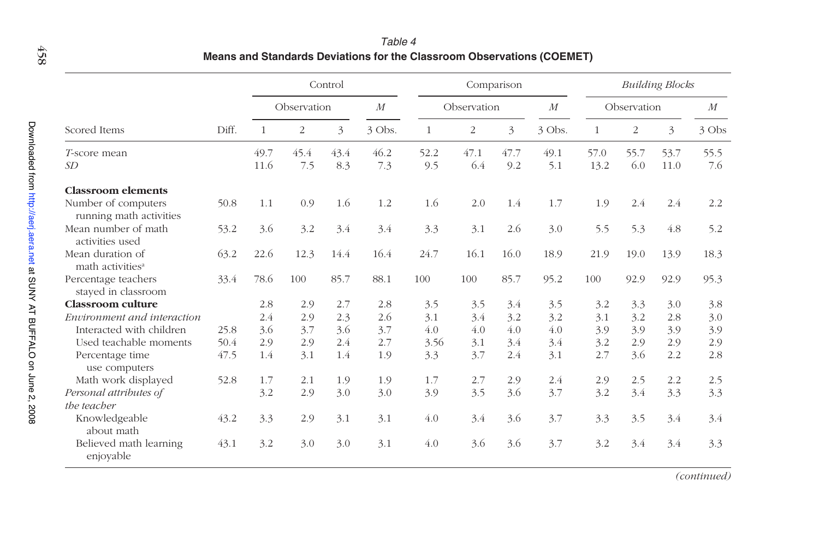| Table 4                                                                |  |
|------------------------------------------------------------------------|--|
| Means and Standards Deviations for the Classroom Observations (COEMET) |  |

|                                                  |       |              |                | Control     |             |              |                | Comparison     |             |              |                | <b>Building Blocks</b>   |             |
|--------------------------------------------------|-------|--------------|----------------|-------------|-------------|--------------|----------------|----------------|-------------|--------------|----------------|--------------------------|-------------|
|                                                  |       |              | Observation    |             | M           |              | Observation    |                | M           |              | Observation    |                          | M           |
| Scored Items                                     | Diff. | $\mathbf{1}$ | $\overline{2}$ | 3           | 3 Obs.      | $\mathbf{1}$ | $\overline{2}$ | $\overline{3}$ | 3 Obs.      | $\mathbf{1}$ | $\overline{2}$ | $\overline{\mathcal{L}}$ | 3 Obs       |
| T-score mean<br>SD                               |       | 49.7<br>11.6 | 45.4<br>7.5    | 43.4<br>8.3 | 46.2<br>7.3 | 52.2<br>9.5  | 47.1<br>6.4    | 47.7<br>9.2    | 49.1<br>5.1 | 57.0<br>13.2 | 55.7<br>6.0    | 53.7<br>11.0             | 55.5<br>7.6 |
| <b>Classroom</b> elements                        |       |              |                |             |             |              |                |                |             |              |                |                          |             |
| Number of computers<br>running math activities   | 50.8  | 1.1          | 0.9            | 1.6         | 1.2         | 1.6          | 2.0            | 1.4            | 1.7         | 1.9          | 2.4            | 2.4                      | 2.2         |
| Mean number of math<br>activities used           | 53.2  | 3.6          | 3.2            | 3.4         | 3.4         | 3.3          | 3.1            | 2.6            | 3.0         | 5.5          | 5.3            | 4.8                      | 5.2         |
| Mean duration of<br>math activities <sup>a</sup> | 63.2  | 22.6         | 12.3           | 14.4        | 16.4        | 24.7         | 16.1           | 16.0           | 18.9        | 21.9         | 19.0           | 13.9                     | 18.3        |
| Percentage teachers<br>stayed in classroom       | 33.4  | 78.6         | 100            | 85.7        | 88.1        | 100          | 100            | 85.7           | 95.2        | 100          | 92.9           | 92.9                     | 95.3        |
| <b>Classroom</b> culture                         |       | 2.8          | 2.9            | 2.7         | 2.8         | 3.5          | 3.5            | 3.4            | 3.5         | 3.2          | 3.3            | 3.0                      | 3.8         |
| Environment and interaction                      |       | 2.4          | 2.9            | 2.3         | 2.6         | 3.1          | 3.4            | 3.2            | 3.2         | 3.1          | 3.2            | 2.8                      | 3.0         |
| Interacted with children                         | 25.8  | 3.6          | 3.7            | 3.6         | 3.7         | 4.0          | 4.0            | 4.0            | 4.0         | 3.9          | 3.9            | 3.9                      | 3.9         |
| Used teachable moments                           | 50.4  | 2.9          | 2.9            | 2.4         | 2.7         | 3.56         | 3.1            | 3.4            | 3.4         | 3.2          | 2.9            | 2.9                      | 2.9         |
| Percentage time<br>use computers                 | 47.5  | 1.4          | 3.1            | 1.4         | 1.9         | 3.3          | 3.7            | 2.4            | 3.1         | 2.7          | 3.6            | 2.2                      | 2.8         |
| Math work displayed                              | 52.8  | 1.7          | 2.1            | 1.9         | 1.9         | 1.7          | 2.7            | 2.9            | 2.4         | 2.9          | 2.5            | 2.2                      | 2.5         |
| Personal attributes of                           |       | 3.2          | 2.9            | 3.0         | 3.0         | 3.9          | 3.5            | 3.6            | 3.7         | 3.2          | 3.4            | 3.3                      | 3.3         |
| the teacher                                      |       |              |                |             |             |              |                |                |             |              |                |                          |             |
| Knowledgeable<br>about math                      | 43.2  | 3.3          | 2.9            | 3.1         | 3.1         | 4.0          | 3.4            | 3.6            | 3.7         | 3.3          | 3.5            | 3.4                      | 3.4         |
| Believed math learning<br>enjoyable              | 43.1  | 3.2          | 3.0            | 3.0         | 3.1         | 4.0          | 3.6            | 3.6            | 3.7         | 3.2          | 3.4            | 3.4                      | 3.3         |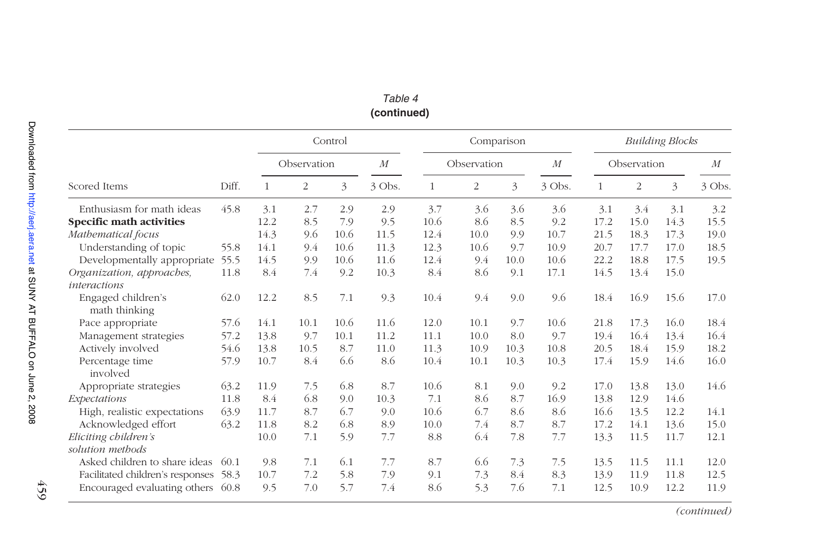### Table 4 **(continued)**

|                                     |       |      |             | Control |        |              |                | Comparison     |        | <b>Building Blocks</b> |                |                |        |  |
|-------------------------------------|-------|------|-------------|---------|--------|--------------|----------------|----------------|--------|------------------------|----------------|----------------|--------|--|
|                                     |       |      | Observation |         | M      |              | Observation    |                | M      |                        | Observation    |                | M      |  |
| Scored Items                        | Diff. |      | 2           | 3       | 3 Obs. | $\mathbf{1}$ | $\overline{2}$ | $\overline{3}$ | 3 Obs. | 1                      | $\overline{c}$ | $\overline{3}$ | 3 Obs. |  |
| Enthusiasm for math ideas           | 45.8  | 3.1  | 2.7         | 2.9     | 2.9    | 3.7          | 3.6            | 3.6            | 3.6    | 3.1                    | 3.4            | 3.1            | 3.2    |  |
| <b>Specific math activities</b>     |       | 12.2 | 8.5         | 7.9     | 9.5    | 10.6         | 8.6            | 8.5            | 9.2    | 17.2                   | 15.0           | 14.3           | 15.5   |  |
| Mathematical focus                  |       | 14.3 | 9.6         | 10.6    | 11.5   | 12.4         | 10.0           | 9.9            | 10.7   | 21.5                   | 18.3           | 17.3           | 19.0   |  |
| Understanding of topic              | 55.8  | 14.1 | 9.4         | 10.6    | 11.3   | 12.3         | 10.6           | 9.7            | 10.9   | 20.7                   | 17.7           | 17.0           | 18.5   |  |
| Developmentally appropriate         | 55.5  | 14.5 | 9.9         | 10.6    | 11.6   | 12.4         | 9.4            | 10.0           | 10.6   | 22.2                   | 18.8           | 17.5           | 19.5   |  |
| Organization, approaches,           | 11.8  | 8.4  | 7.4         | 9.2     | 10.3   | 8.4          | 8.6            | 9.1            | 17.1   | 14.5                   | 13.4           | 15.0           |        |  |
| interactions                        |       |      |             |         |        |              |                |                |        |                        |                |                |        |  |
| Engaged children's<br>math thinking | 62.0  | 12.2 | 8.5         | 7.1     | 9.3    | 10.4         | 9.4            | 9.0            | 9.6    | 18.4                   | 16.9           | 15.6           | 17.0   |  |
| Pace appropriate                    | 57.6  | 14.1 | 10.1        | 10.6    | 11.6   | 12.0         | 10.1           | 9.7            | 10.6   | 21.8                   | 17.3           | 16.0           | 18.4   |  |
| Management strategies               | 57.2  | 13.8 | 9.7         | 10.1    | 11.2   | 11.1         | 10.0           | 8.0            | 9.7    | 19.4                   | 16.4           | 13.4           | 16.4   |  |
| Actively involved                   | 54.6  | 13.8 | 10.5        | 8.7     | 11.0   | 11.3         | 10.9           | 10.3           | 10.8   | 20.5                   | 18.4           | 15.9           | 18.2   |  |
| Percentage time<br>involved         | 57.9  | 10.7 | 8.4         | 6.6     | 8.6    | 10.4         | 10.1           | 10.3           | 10.3   | 17.4                   | 15.9           | 14.6           | 16.0   |  |
| Appropriate strategies              | 63.2  | 11.9 | 7.5         | 6.8     | 8.7    | 10.6         | 8.1            | 9.0            | 9.2    | 17.0                   | 13.8           | 13.0           | 14.6   |  |
| Expectations                        | 11.8  | 8.4  | 6.8         | 9.0     | 10.3   | 7.1          | 8.6            | 8.7            | 16.9   | 13.8                   | 12.9           | 14.6           |        |  |
| High, realistic expectations        | 63.9  | 11.7 | 8.7         | 6.7     | 9.0    | 10.6         | 6.7            | 8.6            | 8.6    | 16.6                   | 13.5           | 12.2           | 14.1   |  |
| Acknowledged effort                 | 63.2  | 11.8 | 8.2         | 6.8     | 8.9    | 10.0         | 7.4            | 8.7            | 8.7    | 17.2                   | 14.1           | 13.6           | 15.0   |  |
| Eliciting children's                |       | 10.0 | 7.1         | 5.9     | 7.7    | 8.8          | 6.4            | 7.8            | 7.7    | 13.3                   | 11.5           | 11.7           | 12.1   |  |
| solution methods                    |       |      |             |         |        |              |                |                |        |                        |                |                |        |  |
| Asked children to share ideas       | 60.1  | 9.8  | 7.1         | 6.1     | 7.7    | 8.7          | 6.6            | 7.3            | 7.5    | 13.5                   | 11.5           | 11.1           | 12.0   |  |
| Facilitated children's responses    | 58.3  | 10.7 | 7.2         | 5.8     | 7.9    | 9.1          | 7.3            | 8.4            | 8.3    | 13.9                   | 11.9           | 11.8           | 12.5   |  |
| Encouraged evaluating others        | 60.8  | 9.5  | 7.0         | 5.7     | 7.4    | 8.6          | 5.3            | 7.6            | 7.1    | 12.5                   | 10.9           | 12.2           | 11.9   |  |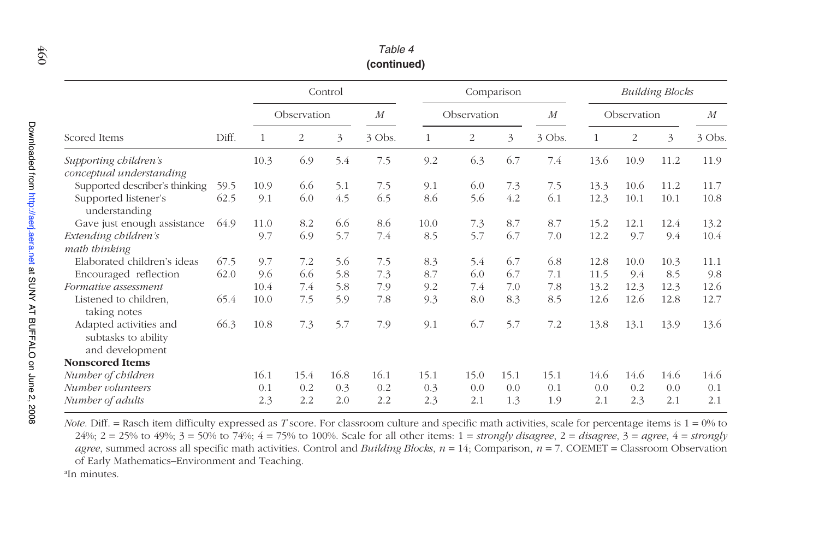|                                                                  |       |      |             | Control        |        |              |             | Comparison     |        |      |             | <b>Building Blocks</b> |                  |
|------------------------------------------------------------------|-------|------|-------------|----------------|--------|--------------|-------------|----------------|--------|------|-------------|------------------------|------------------|
|                                                                  |       |      | Observation |                | M      |              | Observation |                | M      |      | Observation |                        | $\boldsymbol{M}$ |
| Scored Items                                                     | Diff. | 1    | 2           | $\overline{3}$ | 3 Obs. | $\mathbf{1}$ | 2           | $\overline{3}$ | 3 Obs. | 1    | 2           | 3                      | 3 Obs.           |
| Supporting children's<br>conceptual understanding                |       | 10.3 | 6.9         | 5.4            | 7.5    | 9.2          | 6.3         | 6.7            | 7.4    | 13.6 | 10.9        | 11.2                   | 11.9             |
| Supported describer's thinking                                   | 59.5  | 10.9 | 6.6         | 5.1            | 7.5    | 9.1          | 6.0         | 7.3            | 7.5    | 13.3 | 10.6        | 11.2                   | 11.7             |
| Supported listener's<br>understanding                            | 62.5  | 9.1  | 6.0         | 4.5            | 6.5    | 8.6          | 5.6         | 4.2            | 6.1    | 12.3 | 10.1        | 10.1                   | 10.8             |
| Gave just enough assistance                                      | 64.9  | 11.0 | 8.2         | 6.6            | 8.6    | 10.0         | 7.3         | 8.7            | 8.7    | 15.2 | 12.1        | 12.4                   | 13.2             |
| Extending children's<br>math thinking                            |       | 9.7  | 6.9         | 5.7            | 7.4    | 8.5          | 5.7         | 6.7            | 7.0    | 12.2 | 9.7         | 9.4                    | 10.4             |
| Elaborated children's ideas                                      | 67.5  | 9.7  | 7.2         | 5.6            | 7.5    | 8.3          | 5.4         | 6.7            | 6.8    | 12.8 | 10.0        | 10.3                   | 11.1             |
| Encouraged reflection                                            | 62.0  | 9.6  | 6.6         | 5.8            | 7.3    | 8.7          | 6.0         | 6.7            | 7.1    | 11.5 | 9.4         | 8.5                    | 9.8              |
| Formative assessment                                             |       | 10.4 | 7.4         | 5.8            | 7.9    | 9.2          | 7.4         | 7.0            | 7.8    | 13.2 | 12.3        | 12.3                   | 12.6             |
| Listened to children,<br>taking notes                            | 65.4  | 10.0 | 7.5         | 5.9            | 7.8    | 9.3          | 8.0         | 8.3            | 8.5    | 12.6 | 12.6        | 12.8                   | 12.7             |
| Adapted activities and<br>subtasks to ability<br>and development | 66.3  | 10.8 | 7.3         | 5.7            | 7.9    | 9.1          | 6.7         | 5.7            | 7.2    | 13.8 | 13.1        | 13.9                   | 13.6             |
| <b>Nonscored Items</b>                                           |       |      |             |                |        |              |             |                |        |      |             |                        |                  |
| Number of children                                               |       | 16.1 | 15.4        | 16.8           | 16.1   | 15.1         | 15.0        | 15.1           | 15.1   | 14.6 | 14.6        | 14.6                   | 14.6             |
| Number volunteers                                                |       | 0.1  | 0.2         | 0.3            | 0.2    | 0.3          | 0.0         | 0.0            | 0.1    | 0.0  | 0.2         | 0.0                    | 0.1              |
| Number of adults                                                 |       | 2.3  | 2.2         | 2.0            | 2.2    | 2.3          | 2.1         | 1.3            | 1.9    | 2.1  | 2.3         | 2.1                    | 2.1              |

*Note*. Diff. = Rasch item difficulty expressed as *T* score. For classroom culture and specific math activities, scale for percentage items is 1 <sup>=</sup> 0% to 24%;  $2 = 25\%$  to 49%;  $3 = 50\%$  to 74%;  $4 = 75\%$  to 100%. Scale for all other items:  $1 = strongly \, disagree, \, 2 = disagree, \, 3 = agree, \, 4 = strongly$ *agree*, summed across all specific math activities. Control and *Building Blocks*, *<sup>n</sup>* <sup>=</sup> 14; Comparison, *n* <sup>=</sup> 7. COEMET <sup>=</sup> Classroom Observation of Early Mathematics–Environment and Teaching.

aIn minutes.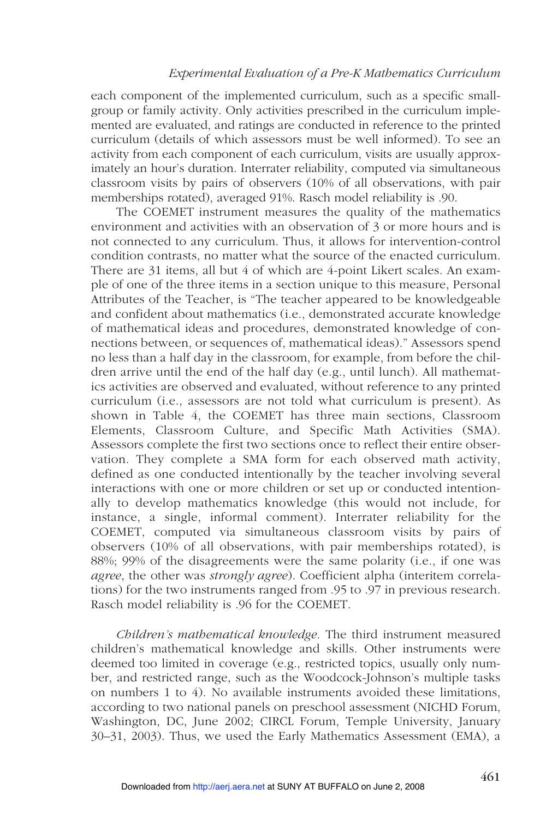each component of the implemented curriculum, such as a specific smallgroup or family activity. Only activities prescribed in the curriculum implemented are evaluated, and ratings are conducted in reference to the printed curriculum (details of which assessors must be well informed). To see an activity from each component of each curriculum, visits are usually approximately an hour's duration. Interrater reliability, computed via simultaneous classroom visits by pairs of observers (10% of all observations, with pair memberships rotated), averaged 91%. Rasch model reliability is .90.

The COEMET instrument measures the quality of the mathematics environment and activities with an observation of 3 or more hours and is not connected to any curriculum. Thus, it allows for intervention-control condition contrasts, no matter what the source of the enacted curriculum. There are 31 items, all but 4 of which are 4-point Likert scales. An example of one of the three items in a section unique to this measure, Personal Attributes of the Teacher, is "The teacher appeared to be knowledgeable and confident about mathematics (i.e., demonstrated accurate knowledge of mathematical ideas and procedures, demonstrated knowledge of connections between, or sequences of, mathematical ideas)." Assessors spend no less than a half day in the classroom, for example, from before the children arrive until the end of the half day (e.g., until lunch). All mathematics activities are observed and evaluated, without reference to any printed curriculum (i.e., assessors are not told what curriculum is present). As shown in Table 4, the COEMET has three main sections, Classroom Elements, Classroom Culture, and Specific Math Activities (SMA). Assessors complete the first two sections once to reflect their entire observation. They complete a SMA form for each observed math activity, defined as one conducted intentionally by the teacher involving several interactions with one or more children or set up or conducted intentionally to develop mathematics knowledge (this would not include, for instance, a single, informal comment). Interrater reliability for the COEMET, computed via simultaneous classroom visits by pairs of observers (10% of all observations, with pair memberships rotated), is 88%; 99% of the disagreements were the same polarity (i.e., if one was *agree*, the other was *strongly agree*). Coefficient alpha (interitem correlations) for the two instruments ranged from .95 to .97 in previous research. Rasch model reliability is .96 for the COEMET.

*Children's mathematical knowledge.* The third instrument measured children's mathematical knowledge and skills. Other instruments were deemed too limited in coverage (e.g., restricted topics, usually only number, and restricted range, such as the Woodcock-Johnson's multiple tasks on numbers 1 to 4). No available instruments avoided these limitations, according to two national panels on preschool assessment (NICHD Forum, Washington, DC, June 2002; CIRCL Forum, Temple University, January 30–31, 2003). Thus, we used the Early Mathematics Assessment (EMA), a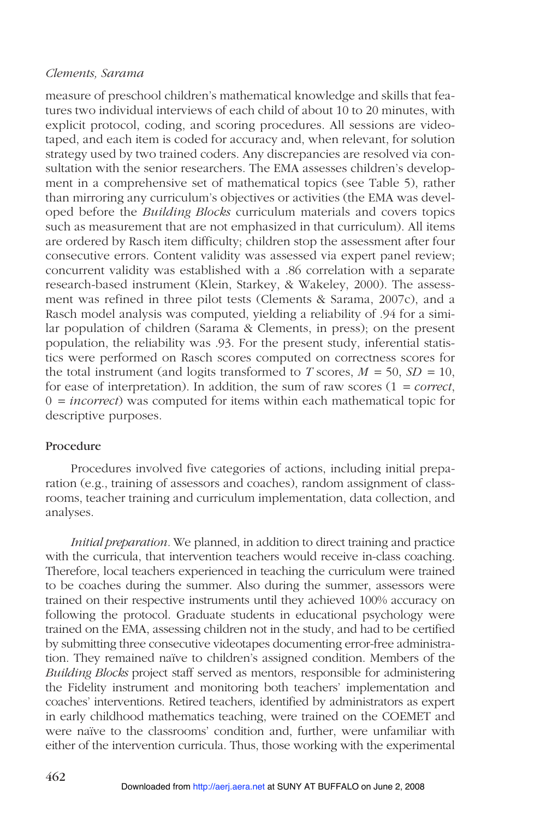measure of preschool children's mathematical knowledge and skills that features two individual interviews of each child of about 10 to 20 minutes, with explicit protocol, coding, and scoring procedures. All sessions are videotaped, and each item is coded for accuracy and, when relevant, for solution strategy used by two trained coders. Any discrepancies are resolved via consultation with the senior researchers. The EMA assesses children's development in a comprehensive set of mathematical topics (see Table 5), rather than mirroring any curriculum's objectives or activities (the EMA was developed before the *Building Blocks* curriculum materials and covers topics such as measurement that are not emphasized in that curriculum). All items are ordered by Rasch item difficulty; children stop the assessment after four consecutive errors. Content validity was assessed via expert panel review; concurrent validity was established with a .86 correlation with a separate research-based instrument (Klein, Starkey, & Wakeley, 2000). The assessment was refined in three pilot tests (Clements & Sarama, 2007c), and a Rasch model analysis was computed, yielding a reliability of .94 for a similar population of children (Sarama & Clements, in press); on the present population, the reliability was .93. For the present study, inferential statistics were performed on Rasch scores computed on correctness scores for the total instrument (and logits transformed to *T* scores,  $M = 50$ ,  $SD = 10$ , for ease of interpretation). In addition, the sum of raw scores (1 = *correct*, 0 = *incorrect*) was computed for items within each mathematical topic for descriptive purposes.

#### Procedure

Procedures involved five categories of actions, including initial preparation (e.g., training of assessors and coaches), random assignment of classrooms, teacher training and curriculum implementation, data collection, and analyses.

*Initial preparation.* We planned, in addition to direct training and practice with the curricula, that intervention teachers would receive in-class coaching. Therefore, local teachers experienced in teaching the curriculum were trained to be coaches during the summer. Also during the summer, assessors were trained on their respective instruments until they achieved 100% accuracy on following the protocol. Graduate students in educational psychology were trained on the EMA, assessing children not in the study, and had to be certified by submitting three consecutive videotapes documenting error-free administration. They remained naïve to children's assigned condition. Members of the *Building Blocks* project staff served as mentors, responsible for administering the Fidelity instrument and monitoring both teachers' implementation and coaches' interventions. Retired teachers, identified by administrators as expert in early childhood mathematics teaching, were trained on the COEMET and were naïve to the classrooms' condition and, further, were unfamiliar with either of the intervention curricula. Thus, those working with the experimental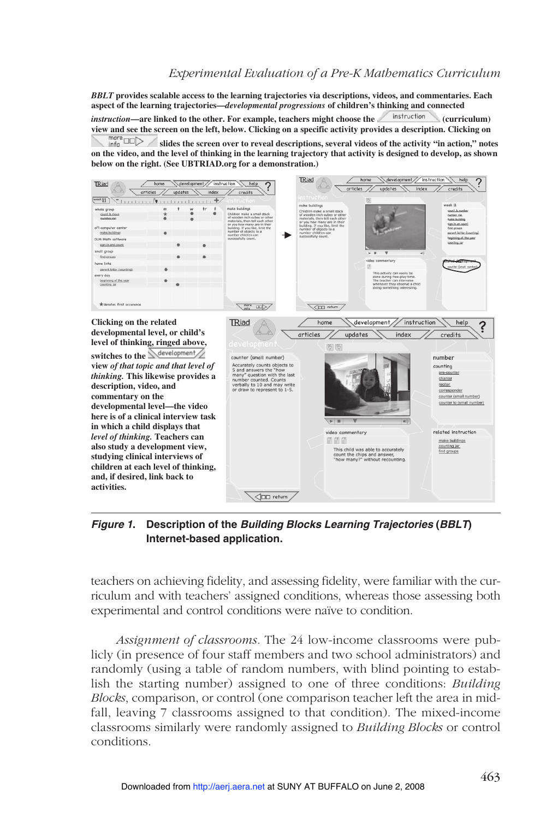*BBLT* **provides scalable access to the learning trajectories via descriptions, videos, and commentaries. Each aspect of the learning trajectories—***developmental progressions* **of children's thinking and connected** 

*instruction*—are linked to the other. For example, teachers might choose the *instruction* (curriculum) **view and see the screen on the left, below. Clicking on a specific activity provides a description. Clicking on** 

 $\overline{\text{image}}$ **slides the screen over to reveal descriptions, several videos of the activity "in action," notes**  on the video, and the level of thinking in the learning trajectory that activity is designed to develop, as shown **below on the right. (See UBTRIAD.org for a demonstration.)** 



**Figure 1. Description of the Building Blocks Learning Trajectories (BBLT) Internet-based application.**

teachers on achieving fidelity, and assessing fidelity, were familiar with the curriculum and with teachers' assigned conditions, whereas those assessing both experimental and control conditions were naïve to condition.

*Assignment of classrooms.* The 24 low-income classrooms were publicly (in presence of four staff members and two school administrators) and randomly (using a table of random numbers, with blind pointing to establish the starting number) assigned to one of three conditions: *Building Blocks*, comparison, or control (one comparison teacher left the area in midfall, leaving 7 classrooms assigned to that condition). The mixed-income classrooms similarly were randomly assigned to *Building Blocks* or control conditions.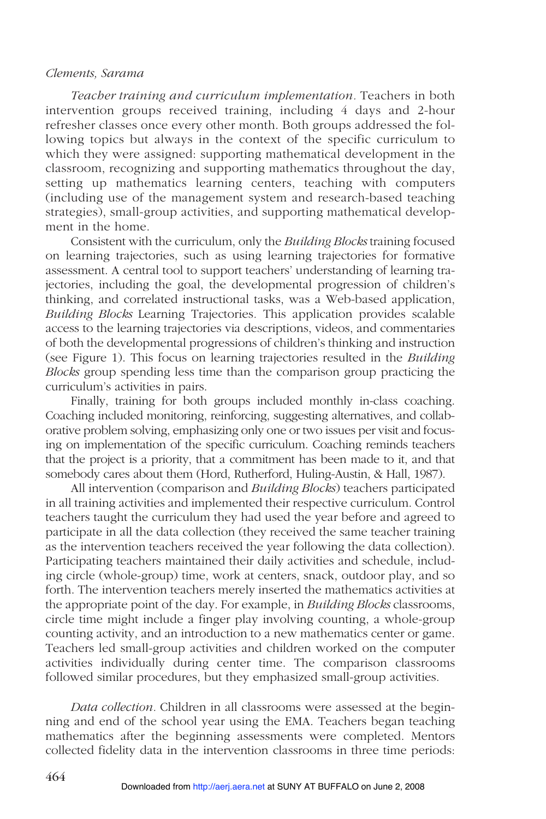*Teacher training and curriculum implementation.* Teachers in both intervention groups received training, including 4 days and 2-hour refresher classes once every other month. Both groups addressed the following topics but always in the context of the specific curriculum to which they were assigned: supporting mathematical development in the classroom, recognizing and supporting mathematics throughout the day, setting up mathematics learning centers, teaching with computers (including use of the management system and research-based teaching strategies), small-group activities, and supporting mathematical development in the home.

Consistent with the curriculum, only the *Building Blocks* training focused on learning trajectories, such as using learning trajectories for formative assessment. A central tool to support teachers' understanding of learning trajectories, including the goal, the developmental progression of children's thinking, and correlated instructional tasks, was a Web-based application, *Building Blocks* Learning Trajectories*.* This application provides scalable access to the learning trajectories via descriptions, videos, and commentaries of both the developmental progressions of children's thinking and instruction (see Figure 1). This focus on learning trajectories resulted in the *Building Blocks* group spending less time than the comparison group practicing the curriculum's activities in pairs.

Finally, training for both groups included monthly in-class coaching. Coaching included monitoring, reinforcing, suggesting alternatives, and collaborative problem solving, emphasizing only one or two issues per visit and focusing on implementation of the specific curriculum. Coaching reminds teachers that the project is a priority, that a commitment has been made to it, and that somebody cares about them (Hord, Rutherford, Huling-Austin, & Hall, 1987).

All intervention (comparison and *Building Blocks*) teachers participated in all training activities and implemented their respective curriculum. Control teachers taught the curriculum they had used the year before and agreed to participate in all the data collection (they received the same teacher training as the intervention teachers received the year following the data collection). Participating teachers maintained their daily activities and schedule, including circle (whole-group) time, work at centers, snack, outdoor play, and so forth. The intervention teachers merely inserted the mathematics activities at the appropriate point of the day. For example, in *Building Blocks* classrooms, circle time might include a finger play involving counting, a whole-group counting activity, and an introduction to a new mathematics center or game. Teachers led small-group activities and children worked on the computer activities individually during center time. The comparison classrooms followed similar procedures, but they emphasized small-group activities.

*Data collection.* Children in all classrooms were assessed at the beginning and end of the school year using the EMA. Teachers began teaching mathematics after the beginning assessments were completed. Mentors collected fidelity data in the intervention classrooms in three time periods: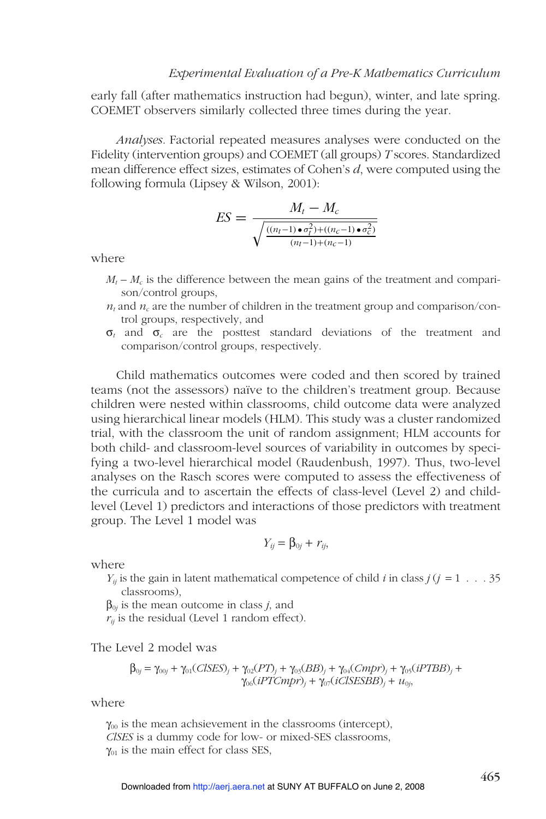early fall (after mathematics instruction had begun), winter, and late spring. COEMET observers similarly collected three times during the year.

*Analyses.* Factorial repeated measures analyses were conducted on the Fidelity (intervention groups) and COEMET (all groups) *T* scores. Standardized mean difference effect sizes, estimates of Cohen's *d*, were computed using the following formula (Lipsey & Wilson, 2001):

$$
ES = \frac{M_t - M_c}{\sqrt{\frac{((n_t - 1) \bullet \sigma_t^2) + ((n_c - 1) \bullet \sigma_c^2)}{(n_t - 1) + (n_c - 1)}}
$$

where

- $M_t M_c$  is the difference between the mean gains of the treatment and comparison/control groups,
- $n_t$  and  $n_c$  are the number of children in the treatment group and comparison/control groups, respectively, and
- σ*<sup>t</sup>* and σ*<sup>c</sup>* are the posttest standard deviations of the treatment and comparison/control groups, respectively.

Child mathematics outcomes were coded and then scored by trained teams (not the assessors) naïve to the children's treatment group. Because children were nested within classrooms, child outcome data were analyzed using hierarchical linear models (HLM). This study was a cluster randomized trial, with the classroom the unit of random assignment; HLM accounts for both child- and classroom-level sources of variability in outcomes by specifying a two-level hierarchical model (Raudenbush, 1997). Thus, two-level analyses on the Rasch scores were computed to assess the effectiveness of the curricula and to ascertain the effects of class-level (Level 2) and childlevel (Level 1) predictors and interactions of those predictors with treatment group. The Level 1 model was

$$
Y_{ij} = \beta_{0j} + r_{ij},
$$

where

- $Y_{ii}$  is the gain in latent mathematical competence of child *i* in class  $j$  ( $j = 1, \ldots, 35$ ) classrooms),
- $β<sub>0j</sub>$  is the mean outcome in class *j*, and

 $r_{ij}$  is the residual (Level 1 random effect).

The Level 2 model was

$$
\beta_{0j} = \gamma_{00j} + \gamma_{01}(CISES)_j + \gamma_{02}(PT)_j + \gamma_{03}(BB)_j + \gamma_{04}(Cmpr)_j + \gamma_{05}(iPTBB)_j + \gamma_{06}(iPTCmpr)_j + \gamma_{07}(iCISESB)_j + u_{0j}
$$

where

 $\gamma_{00}$  is the mean achsievement in the classrooms (intercept), *ClSES* is a dummy code for low- or mixed-SES classrooms,  $γ<sub>01</sub>$  is the main effect for class SES,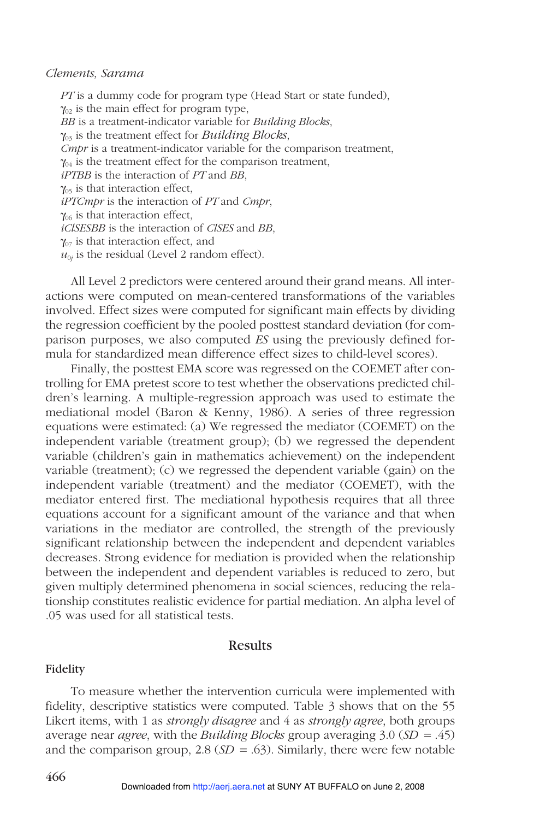*PT* is a dummy code for program type (Head Start or state funded),  $\gamma_{02}$  is the main effect for program type, *BB* is a treatment-indicator variable for *Building Blocks*, γ<sup>03</sup> is the treatment effect for *Building Blocks*, *Cmpr* is a treatment-indicator variable for the comparison treatment,  $\gamma_{04}$  is the treatment effect for the comparison treatment, *iPTBB* is the interaction of *PT* and *BB*,  $γ<sub>05</sub>$  is that interaction effect, *iPTCmpr* is the interaction of *PT* and *Cmpr*,  $γ<sub>06</sub>$  is that interaction effect, *iClSESBB* is the interaction of *ClSES* and *BB*,  $γ<sub>07</sub>$  is that interaction effect, and  $u_{0j}$  is the residual (Level 2 random effect).

All Level 2 predictors were centered around their grand means. All interactions were computed on mean-centered transformations of the variables involved. Effect sizes were computed for significant main effects by dividing the regression coefficient by the pooled posttest standard deviation (for comparison purposes, we also computed *ES* using the previously defined formula for standardized mean difference effect sizes to child-level scores).

Finally, the posttest EMA score was regressed on the COEMET after controlling for EMA pretest score to test whether the observations predicted children's learning. A multiple-regression approach was used to estimate the mediational model (Baron & Kenny, 1986). A series of three regression equations were estimated: (a) We regressed the mediator (COEMET) on the independent variable (treatment group); (b) we regressed the dependent variable (children's gain in mathematics achievement) on the independent variable (treatment); (c) we regressed the dependent variable (gain) on the independent variable (treatment) and the mediator (COEMET), with the mediator entered first. The mediational hypothesis requires that all three equations account for a significant amount of the variance and that when variations in the mediator are controlled, the strength of the previously significant relationship between the independent and dependent variables decreases. Strong evidence for mediation is provided when the relationship between the independent and dependent variables is reduced to zero, but given multiply determined phenomena in social sciences, reducing the relationship constitutes realistic evidence for partial mediation. An alpha level of .05 was used for all statistical tests.

### Results

### Fidelity

To measure whether the intervention curricula were implemented with fidelity, descriptive statistics were computed. Table 3 shows that on the 55 Likert items, with 1 as *strongly disagree* and 4 as *strongly agree*, both groups average near *agree*, with the *Building Blocks* group averaging 3.0 (*SD* = .45) and the comparison group,  $2.8$  ( $SD = .63$ ). Similarly, there were few notable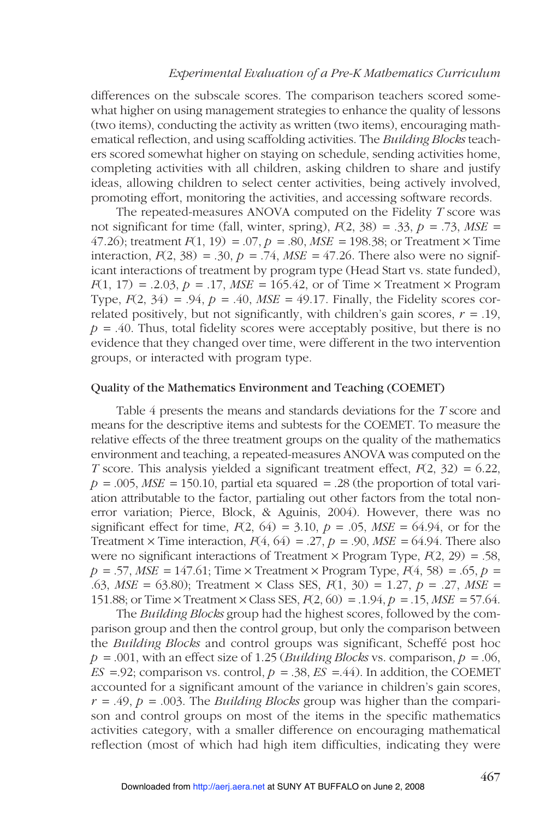differences on the subscale scores. The comparison teachers scored somewhat higher on using management strategies to enhance the quality of lessons (two items), conducting the activity as written (two items), encouraging mathematical reflection, and using scaffolding activities. The *Building Blocks* teachers scored somewhat higher on staying on schedule, sending activities home, completing activities with all children, asking children to share and justify ideas, allowing children to select center activities, being actively involved, promoting effort, monitoring the activities, and accessing software records.

The repeated-measures ANOVA computed on the Fidelity *T* score was not significant for time (fall, winter, spring),  $F(2, 38) = .33$ ,  $p = .73$ ,  $MSE =$ 47.26); treatment  $F(1, 19) = .07$ ,  $p = .80$ ,  $MSE = 198.38$ ; or Treatment  $\times$  Time interaction,  $F(2, 38) = 0.30$ ,  $p = 0.74$ ,  $MSE = 47.26$ . There also were no significant interactions of treatment by program type (Head Start vs. state funded),  $F(1, 17) = .2.03, p = .17, MSE = 165.42$ , or of Time  $\times$  Treatment  $\times$  Program Type,  $F(2, 34) = .94$ ,  $p = .40$ ,  $MSE = 49.17$ . Finally, the Fidelity scores correlated positively, but not significantly, with children's gain scores,  $r = .19$ ,  $p = .40$ . Thus, total fidelity scores were acceptably positive, but there is no evidence that they changed over time, were different in the two intervention groups, or interacted with program type.

#### Quality of the Mathematics Environment and Teaching (COEMET)

Table 4 presents the means and standards deviations for the *T* score and means for the descriptive items and subtests for the COEMET. To measure the relative effects of the three treatment groups on the quality of the mathematics environment and teaching, a repeated-measures ANOVA was computed on the *T* score. This analysis yielded a significant treatment effect, *F*(2, 32) = 6.22,  $p = .005$ ,  $MSE = 150.10$ , partial eta squared = .28 (the proportion of total variation attributable to the factor, partialing out other factors from the total nonerror variation; Pierce, Block, & Aguinis, 2004). However, there was no significant effect for time,  $F(2, 64) = 3.10$ ,  $p = .05$ ,  $MSE = 64.94$ , or for the Treatment  $\times$  Time interaction,  $F(4, 64) = .27$ ,  $p = .90$ ,  $MSE = 64.94$ . There also were no significant interactions of Treatment  $\times$  Program Type,  $F(2, 29) = .58$ ,  $p = .57$ , *MSE* = 147.61; Time  $\times$  Treatment  $\times$  Program Type,  $F(4, 58) = .65$ ,  $p =$ .63, *MSE* = 63.80); Treatment × Class SES, *F*(1, 30) = 1.27, *p* = .27, *MSE* = 151.88; or Time × Treatment × Class SES, *F*(2, 60) = .1.94, *p* = .15, *MSE* = 57.64.

The *Building Blocks* group had the highest scores, followed by the comparison group and then the control group, but only the comparison between the *Building Blocks* and control groups was significant, Scheffé post hoc  $p = .001$ , with an effect size of 1.25 (*Building Blocks* vs. comparison,  $p = .06$ , *ES* =.92; comparison vs. control,  $p = 0.38$ ,  $ES = 0.44$ ). In addition, the COEMET accounted for a significant amount of the variance in children's gain scores,  $r = .49$ ,  $p = .003$ . The *Building Blocks* group was higher than the comparison and control groups on most of the items in the specific mathematics activities category, with a smaller difference on encouraging mathematical reflection (most of which had high item difficulties, indicating they were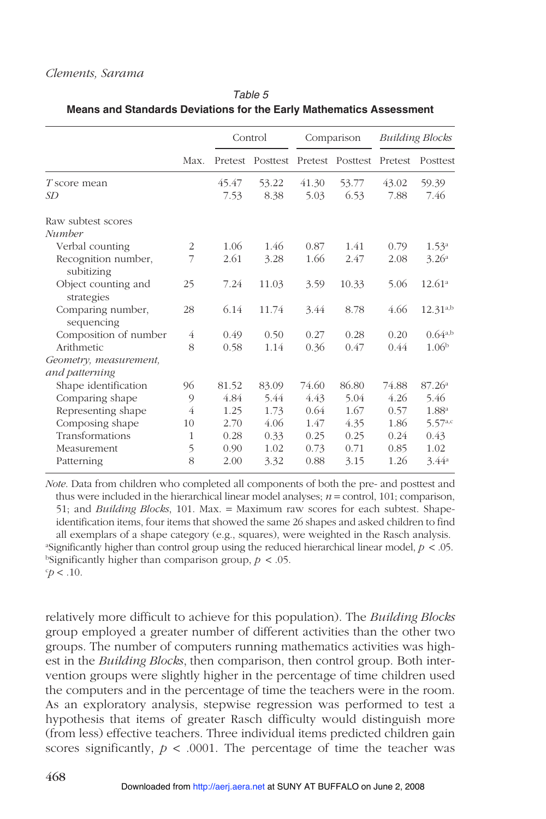|                                   |                |         | Control  |         | Comparison | <b>Building Blocks</b> |                    |
|-----------------------------------|----------------|---------|----------|---------|------------|------------------------|--------------------|
|                                   | Max.           | Pretest | Posttest | Pretest | Posttest   | Pretest                | Posttest           |
| T score mean                      |                | 45.47   | 53.22    | 41.30   | 53.77      | 43.02                  | 59.39              |
| SD                                |                | 7.53    | 8.38     | 5.03    | 6.53       | 7.88                   | 7.46               |
| Raw subtest scores<br>Number      |                |         |          |         |            |                        |                    |
| Verbal counting                   | $\overline{2}$ | 1.06    | 1.46     | 0.87    | 1.41       | 0.79                   | $1.53^{\circ}$     |
| Recognition number,<br>subitizing | 7              | 2.61    | 3.28     | 1.66    | 2.47       | 2.08                   | 3.26 <sup>a</sup>  |
| Object counting and<br>strategies | 25             | 7.24    | 11.03    | 3.59    | 10.33      | 5.06                   | $12.61^a$          |
| Comparing number,<br>sequencing   | 28             | 6.14    | 11.74    | 3.44    | 8.78       | 4.66                   | $12.31^{a,b}$      |
| Composition of number             | 4              | 0.49    | 0.50     | 0.27    | 0.28       | 0.20                   | $0.64^{a,b}$       |
| Arithmetic                        | 8              | 0.58    | 1.14     | 0.36    | 0.47       | 0.44                   | 1.06 <sup>b</sup>  |
| Geometry, measurement,            |                |         |          |         |            |                        |                    |
| and patterning                    |                |         |          |         |            |                        |                    |
| Shape identification              | 96             | 81.52   | 83.09    | 74.60   | 86.80      | 74.88                  | 87.26 <sup>a</sup> |
| Comparing shape                   | 9              | 4.84    | 5.44     | 4.43    | 5.04       | 4.26                   | 5.46               |
| Representing shape                | 4              | 1.25    | 1.73     | 0.64    | 1.67       | 0.57                   | $1.88^{a}$         |
| Composing shape                   | 10             | 2.70    | 4.06     | 1.47    | 4.35       | 1.86                   | $5.57^{a,c}$       |
| Transformations                   | 1              | 0.28    | 0.33     | 0.25    | 0.25       | 0.24                   | 0.43               |
| Measurement                       | 5              | 0.90    | 1.02     | 0.73    | 0.71       | 0.85                   | 1.02               |
| Patterning                        | 8              | 2.00    | 3.32     | 0.88    | 3.15       | 1.26                   | $3.44^a$           |

Table 5 **Means and Standards Deviations for the Early Mathematics Assessment**

*Note*. Data from children who completed all components of both the pre- and posttest and thus were included in the hierarchical linear model analyses;  $n =$  control, 101; comparison, 51; and *Building Blocks*, 101. Max. = Maximum raw scores for each subtest. Shapeidentification items, four items that showed the same 26 shapes and asked children to find all exemplars of a shape category (e.g., squares), were weighted in the Rasch analysis. "Significantly higher than control group using the reduced hierarchical linear model,  $p < .05$ . bSignificantly higher than comparison group,  $p < 0.05$ .  $p < .10$ .

relatively more difficult to achieve for this population). The *Building Blocks* group employed a greater number of different activities than the other two groups. The number of computers running mathematics activities was highest in the *Building Blocks*, then comparison, then control group. Both intervention groups were slightly higher in the percentage of time children used the computers and in the percentage of time the teachers were in the room. As an exploratory analysis, stepwise regression was performed to test a hypothesis that items of greater Rasch difficulty would distinguish more (from less) effective teachers. Three individual items predicted children gain scores significantly,  $p < .0001$ . The percentage of time the teacher was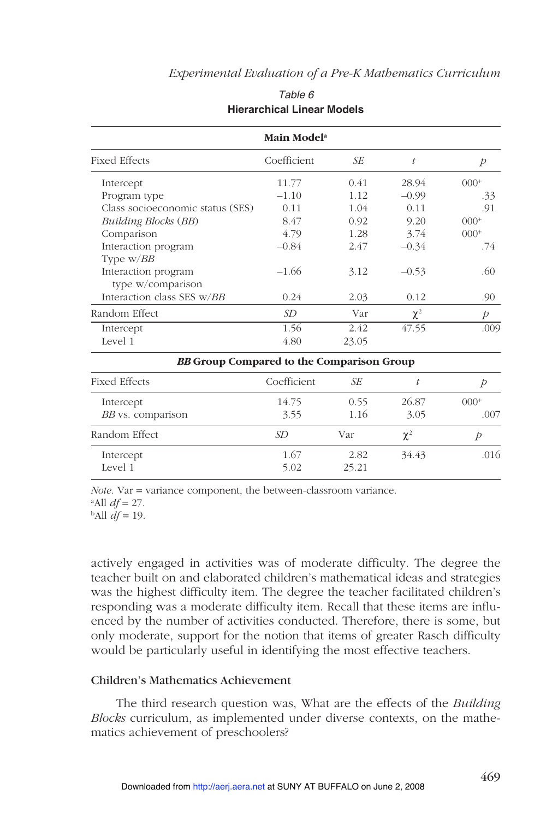|                                  | Main Model <sup>a</sup> |       |          |        |
|----------------------------------|-------------------------|-------|----------|--------|
| <b>Fixed Effects</b>             | Coefficient             | SE    | t        | Þ      |
| Intercept                        | 11.77                   | 0.41  | 28.94    | $000+$ |
| Program type                     | $-1.10$                 | 1.12  | $-0.99$  | .33    |
| Class socioeconomic status (SES) | 0.11                    | 1.04  | 0.11     | .91    |
| <b>Building Blocks (BB)</b>      | 8.47                    | 0.92  | 9.20     | $000+$ |
| Comparison                       | 4.79                    | 1.28  | 3.74     | $000+$ |
| Interaction program              | $-0.84$                 | 2.47  | $-0.34$  | .74    |
| Type $w/BB$                      |                         |       |          |        |
| Interaction program              | $-1.66$                 | 3.12  | $-0.53$  | .60    |
| type w/comparison                |                         |       |          |        |
| Interaction class SES $w/BB$     | 0.24                    | 2.03  | 0.12     | .90    |
| Random Effect                    | SD                      | Var   | $\chi^2$ | Þ      |
| Intercept                        | 1.56                    | 2.42  | 47.55    | .009   |
| Level 1                          | 4.80                    | 23.05 |          |        |
|                                  |                         |       |          |        |

### Table 6 **Hierarchical Linear Models**

| BB Group Compared to the Comparison Group |             |       |          |        |  |  |  |  |
|-------------------------------------------|-------------|-------|----------|--------|--|--|--|--|
| Fixed Effects                             | Coefficient | SE    |          |        |  |  |  |  |
| Intercept                                 | 14.75       | 0.55  | 26.87    | $000+$ |  |  |  |  |
| BB vs. comparison                         | 3.55        | 1.16  | 3.05     | .007   |  |  |  |  |
| Random Effect                             | SD          | Var   | $\chi^2$ |        |  |  |  |  |
| Intercept                                 | 1.67        | 2.82  | 34.43    | .016   |  |  |  |  |
| Level 1                                   | 5.02        | 25.21 |          |        |  |  |  |  |

*Note.* Var = variance component, the between-classroom variance.  $^{a}$ All  $df = 27$ .

 $b$ All  $df = 19$ .

actively engaged in activities was of moderate difficulty. The degree the teacher built on and elaborated children's mathematical ideas and strategies was the highest difficulty item. The degree the teacher facilitated children's responding was a moderate difficulty item. Recall that these items are influenced by the number of activities conducted. Therefore, there is some, but only moderate, support for the notion that items of greater Rasch difficulty would be particularly useful in identifying the most effective teachers.

### Children's Mathematics Achievement

The third research question was, What are the effects of the *Building Blocks* curriculum, as implemented under diverse contexts, on the mathematics achievement of preschoolers?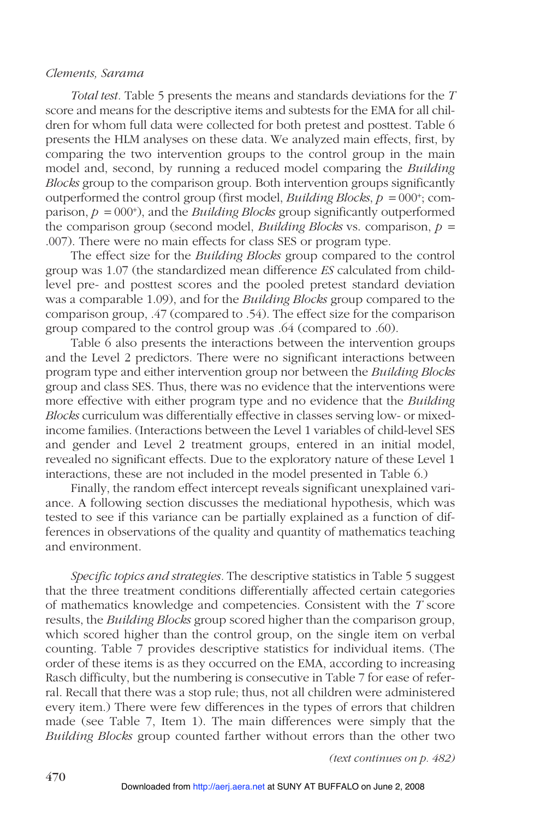*Total test.* Table 5 presents the means and standards deviations for the *T* score and means for the descriptive items and subtests for the EMA for all children for whom full data were collected for both pretest and posttest. Table 6 presents the HLM analyses on these data. We analyzed main effects, first, by comparing the two intervention groups to the control group in the main model and, second, by running a reduced model comparing the *Building Blocks* group to the comparison group. Both intervention groups significantly outperformed the control group (first model, *Building Blocks*, *p* = 000+; comparison,  $p = 000<sup>+</sup>$ , and the *Building Blocks* group significantly outperformed the comparison group (second model, *Building Blocks* vs. comparison,  $p =$ .007). There were no main effects for class SES or program type.

The effect size for the *Building Blocks* group compared to the control group was 1.07 (the standardized mean difference *ES* calculated from childlevel pre- and posttest scores and the pooled pretest standard deviation was a comparable 1.09), and for the *Building Blocks* group compared to the comparison group, .47 (compared to .54). The effect size for the comparison group compared to the control group was .64 (compared to .60).

Table 6 also presents the interactions between the intervention groups and the Level 2 predictors. There were no significant interactions between program type and either intervention group nor between the *Building Blocks* group and class SES. Thus, there was no evidence that the interventions were more effective with either program type and no evidence that the *Building Blocks* curriculum was differentially effective in classes serving low- or mixedincome families. (Interactions between the Level 1 variables of child-level SES and gender and Level 2 treatment groups, entered in an initial model, revealed no significant effects. Due to the exploratory nature of these Level 1 interactions, these are not included in the model presented in Table 6.)

Finally, the random effect intercept reveals significant unexplained variance. A following section discusses the mediational hypothesis, which was tested to see if this variance can be partially explained as a function of differences in observations of the quality and quantity of mathematics teaching and environment.

*Specific topics and strategies.* The descriptive statistics in Table 5 suggest that the three treatment conditions differentially affected certain categories of mathematics knowledge and competencies. Consistent with the *T* score results, the *Building Blocks* group scored higher than the comparison group, which scored higher than the control group, on the single item on verbal counting. Table 7 provides descriptive statistics for individual items. (The order of these items is as they occurred on the EMA, according to increasing Rasch difficulty, but the numbering is consecutive in Table 7 for ease of referral. Recall that there was a stop rule; thus, not all children were administered every item.) There were few differences in the types of errors that children made (see Table 7, Item 1). The main differences were simply that the *Building Blocks* group counted farther without errors than the other two

*(text continues on p. 482)*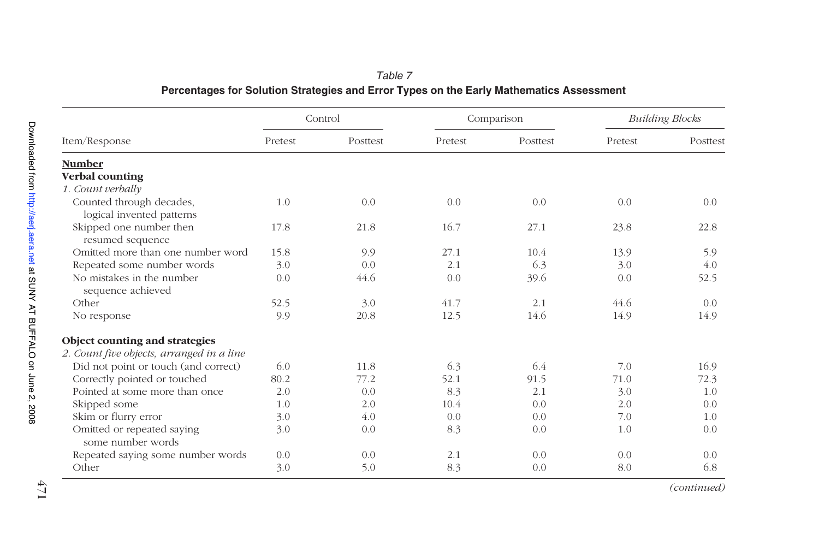| Table 7                                                                                 |  |
|-----------------------------------------------------------------------------------------|--|
| Percentages for Solution Strategies and Error Types on the Early Mathematics Assessment |  |

| Item/Response<br><b>Number</b><br><b>Verbal counting</b><br>1. Count verbally<br>Counted through decades,<br>logical invented patterns<br>Skipped one number then<br>resumed sequence<br>Omitted more than one number word<br>Repeated some number words<br>No mistakes in the number<br>sequence achieved<br>Other<br>No response |         | Control  | Comparison |          | <b>Building Blocks</b> |          |
|------------------------------------------------------------------------------------------------------------------------------------------------------------------------------------------------------------------------------------------------------------------------------------------------------------------------------------|---------|----------|------------|----------|------------------------|----------|
|                                                                                                                                                                                                                                                                                                                                    | Pretest | Posttest | Pretest    | Posttest | Pretest                | Posttest |
|                                                                                                                                                                                                                                                                                                                                    |         |          |            |          |                        |          |
|                                                                                                                                                                                                                                                                                                                                    |         |          |            |          |                        |          |
|                                                                                                                                                                                                                                                                                                                                    |         |          |            |          |                        |          |
|                                                                                                                                                                                                                                                                                                                                    | 1.0     | 0.0      | 0.0        | 0.0      | 0.0                    | 0.0      |
|                                                                                                                                                                                                                                                                                                                                    |         |          |            |          |                        |          |
|                                                                                                                                                                                                                                                                                                                                    | 17.8    | 21.8     | 16.7       | 27.1     | 23.8                   | 22.8     |
|                                                                                                                                                                                                                                                                                                                                    |         |          |            |          |                        |          |
|                                                                                                                                                                                                                                                                                                                                    | 15.8    | 9.9      | 27.1       | 10.4     | 13.9                   | 5.9      |
|                                                                                                                                                                                                                                                                                                                                    | 3.0     | 0.0      | 2.1        | 6.3      | 3.0                    | 4.0      |
|                                                                                                                                                                                                                                                                                                                                    | 0.0     | 44.6     | 0.0        | 39.6     | 0.0                    | 52.5     |
|                                                                                                                                                                                                                                                                                                                                    |         |          |            |          |                        |          |
|                                                                                                                                                                                                                                                                                                                                    | 52.5    | 3.0      | 41.7       | 2.1      | 44.6                   | 0.0      |
|                                                                                                                                                                                                                                                                                                                                    | 9.9     | 20.8     | 12.5       | 14.6     | 14.9                   | 14.9     |
| Object counting and strategies                                                                                                                                                                                                                                                                                                     |         |          |            |          |                        |          |
| 2. Count five objects, arranged in a line                                                                                                                                                                                                                                                                                          |         |          |            |          |                        |          |
| Did not point or touch (and correct)                                                                                                                                                                                                                                                                                               | 6.0     | 11.8     | 6.3        | 6.4      | 7.0                    | 16.9     |
| Correctly pointed or touched                                                                                                                                                                                                                                                                                                       | 80.2    | 77.2     | 52.1       | 91.5     | 71.0                   | 72.3     |
| Pointed at some more than once                                                                                                                                                                                                                                                                                                     | 2.0     | 0.0      | 8.3        | 2.1      | 3.0                    | 1.0      |
| Skipped some                                                                                                                                                                                                                                                                                                                       | 1.0     | 2.0      | 10.4       | 0.0      | 2.0                    | 0.0      |
| Skim or flurry error                                                                                                                                                                                                                                                                                                               | 3.0     | 4.0      | 0.0        | 0.0      | 7.0                    | 1.0      |
| Omitted or repeated saying                                                                                                                                                                                                                                                                                                         | 3.0     | 0.0      | 8.3        | 0.0      | 1.0                    | 0.0      |
| some number words                                                                                                                                                                                                                                                                                                                  |         |          |            |          |                        |          |
| Repeated saying some number words                                                                                                                                                                                                                                                                                                  | 0.0     | 0.0      | 2.1        | 0.0      | 0.0                    | 0.0      |
| Other                                                                                                                                                                                                                                                                                                                              | 3.0     | 5.0      | 8.3        | 0.0      | 8.0                    | 6.8      |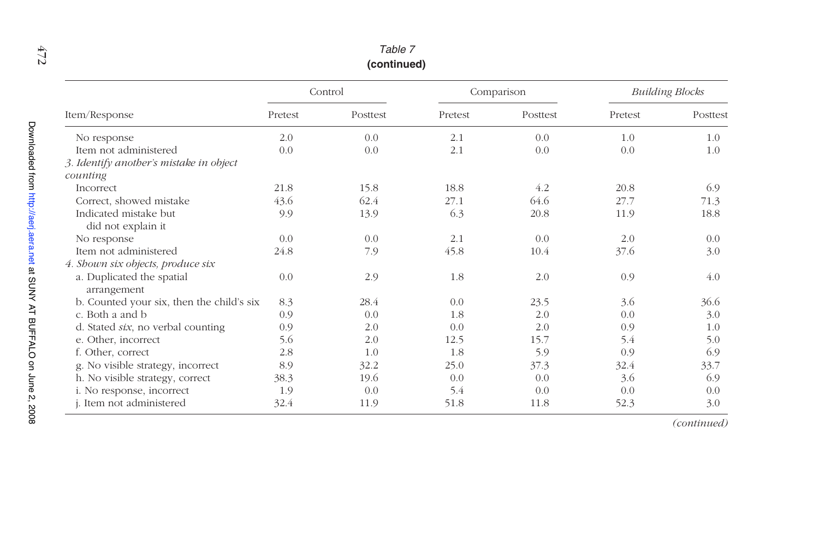#### + Table<br>
→ Table<br>
→ Continu 7 **(continued)**

|                                           | Control |          | Comparison |          | <b>Building Blocks</b> |          |
|-------------------------------------------|---------|----------|------------|----------|------------------------|----------|
| Item/Response                             | Pretest | Posttest | Pretest    | Posttest | Pretest                | Posttest |
| No response                               | 2.0     | 0.0      | 2.1        | 0.0      | 1.0                    | 1.0      |
| Item not administered                     | 0.0     | 0.0      | 2.1        | 0.0      | 0.0                    | 1.0      |
| 3. Identify another's mistake in object   |         |          |            |          |                        |          |
| counting                                  |         |          |            |          |                        |          |
| <b>Incorrect</b>                          | 21.8    | 15.8     | 18.8       | 4.2      | 20.8                   | 6.9      |
| Correct, showed mistake                   | 43.6    | 62.4     | 27.1       | 64.6     | 27.7                   | 71.3     |
| Indicated mistake but                     | 9.9     | 13.9     | 6.3        | 20.8     | 11.9                   | 18.8     |
| did not explain it                        |         |          |            |          |                        |          |
| No response                               | 0.0     | 0.0      | 2.1        | 0.0      | 2.0                    | 0.0      |
| Item not administered                     | 24.8    | 7.9      | 45.8       | 10.4     | 37.6                   | 3.0      |
| 4. Shown six objects, produce six         |         |          |            |          |                        |          |
| a. Duplicated the spatial                 | 0.0     | 2.9      | 1.8        | 2.0      | 0.9                    | 4.0      |
| arrangement                               |         |          |            |          |                        |          |
| b. Counted your six, then the child's six | 8.3     | 28.4     | 0.0        | 23.5     | 3.6                    | 36.6     |
| c. Both a and b                           | 0.9     | 0.0      | 1.8        | 2.0      | 0.0                    | 3.0      |
| d. Stated <i>six</i> , no verbal counting | 0.9     | 2.0      | 0.0        | 2.0      | 0.9                    | 1.0      |
| e. Other, incorrect                       | 5.6     | 2.0      | 12.5       | 15.7     | 5.4                    | 5.0      |
| f. Other, correct                         | 2.8     | 1.0      | 1.8        | 5.9      | 0.9                    | 6.9      |
| g. No visible strategy, incorrect         | 8.9     | 32.2     | 25.0       | 37.3     | 32.4                   | 33.7     |
| h. No visible strategy, correct           | 38.3    | 19.6     | 0.0        | 0.0      | 3.6                    | 6.9      |
| i. No response, incorrect                 | 1.9     | 0.0      | 5.4        | 0.0      | 0.0                    | 0.0      |
| j. Item not administered                  | 32.4    | 11.9     | 51.8       | 11.8     | 52.3                   | 3.0      |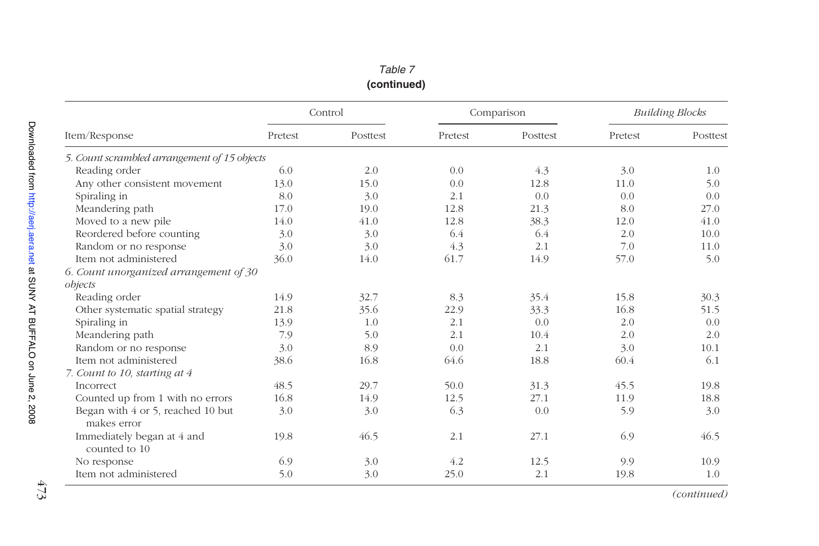|                                                  |         | Control  |         | Comparison | <b>Building Blocks</b> |          |
|--------------------------------------------------|---------|----------|---------|------------|------------------------|----------|
| Item/Response                                    | Pretest | Posttest | Pretest | Posttest   | Pretest                | Posttest |
| 5. Count scrambled arrangement of 15 objects     |         |          |         |            |                        |          |
| Reading order                                    | 6.0     | 2.0      | 0.0     | 4.3        | 3.0                    | 1.0      |
| Any other consistent movement                    | 13.0    | 15.0     | 0.0     | 12.8       | 11.0                   | 5.0      |
| Spiraling in                                     | 8.0     | 3.0      | 2.1     | 0.0        | 0.0                    | 0.0      |
| Meandering path                                  | 17.0    | 19.0     | 12.8    | 21.3       | 8.0                    | 27.0     |
| Moved to a new pile                              | 14.0    | 41.0     | 12.8    | 38.3       | 12.0                   | 41.0     |
| Reordered before counting                        | 3.0     | 3.0      | 6.4     | 6.4        | 2.0                    | 10.0     |
| Random or no response                            | 3.0     | 3.0      | 4.3     | 2.1        | 7.0                    | 11.0     |
| Item not administered                            | 36.0    | 14.0     | 61.7    | 14.9       | 57.0                   | 5.0      |
| 6. Count unorganized arrangement of 30           |         |          |         |            |                        |          |
| objects                                          |         |          |         |            |                        |          |
| Reading order                                    | 14.9    | 32.7     | 8.3     | 35.4       | 15.8                   | 30.3     |
| Other systematic spatial strategy                | 21.8    | 35.6     | 22.9    | 33.3       | 16.8                   | 51.5     |
| Spiraling in                                     | 13.9    | 1.0      | 2.1     | 0.0        | 2.0                    | 0.0      |
| Meandering path                                  | 7.9     | 5.0      | 2.1     | 10.4       | 2.0                    | 2.0      |
| Random or no response                            | 3.0     | 8.9      | 0.0     | 2.1        | 3.0                    | 10.1     |
| Item not administered                            | 38.6    | 16.8     | 64.6    | 18.8       | 60.4                   | 6.1      |
| 7. Count to 10, starting at 4                    |         |          |         |            |                        |          |
| Incorrect                                        | 48.5    | 29.7     | 50.0    | 31.3       | 45.5                   | 19.8     |
| Counted up from 1 with no errors                 | 16.8    | 14.9     | 12.5    | 27.1       | 11.9                   | 18.8     |
| Began with 4 or 5, reached 10 but<br>makes error | 3.0     | 3.0      | 6.3     | 0.0        | 5.9                    | 3.0      |
| Immediately began at 4 and<br>counted to 10      | 19.8    | 46.5     | 2.1     | 27.1       | 6.9                    | 46.5     |
| No response                                      | 6.9     | 3.0      | 4.2     | 12.5       | 9.9                    | 10.9     |
| Item not administered                            | 5.0     | 3.0      | 25.0    | 2.1        | 19.8                   | 1.0      |

÷.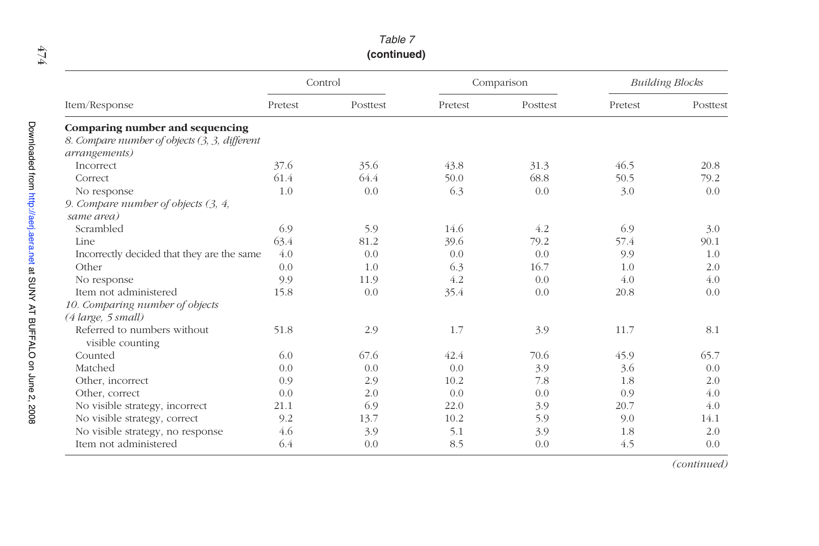### Table 7 **(continued)**

|                                               | Control |          | Comparison |          | <b>Building Blocks</b> |          |
|-----------------------------------------------|---------|----------|------------|----------|------------------------|----------|
| Item/Response                                 | Pretest | Posttest | Pretest    | Posttest | Pretest                | Posttest |
| Comparing number and sequencing               |         |          |            |          |                        |          |
| 8. Compare number of objects (3, 3, different |         |          |            |          |                        |          |
| <i>arrangements</i> )                         |         |          |            |          |                        |          |
| <b>Incorrect</b>                              | 37.6    | 35.6     | 43.8       | 31.3     | 46.5                   | 20.8     |
| Correct                                       | 61.4    | 64.4     | 50.0       | 68.8     | 50.5                   | 79.2     |
| No response                                   | 1.0     | 0.0      | 6.3        | 0.0      | 3.0                    | 0.0      |
| 9. Compare number of objects (3, 4,           |         |          |            |          |                        |          |
| same area)                                    |         |          |            |          |                        |          |
| Scrambled                                     | 6.9     | 5.9      | 14.6       | 4.2      | 6.9                    | 3.0      |
| Line                                          | 63.4    | 81.2     | 39.6       | 79.2     | 57.4                   | 90.1     |
| Incorrectly decided that they are the same    | 4.0     | 0.0      | 0.0        | 0.0      | 9.9                    | 1.0      |
| Other                                         | 0.0     | 1.0      | 6.3        | 16.7     | 1.0                    | 2.0      |
| No response                                   | 9.9     | 11.9     | 4.2        | 0.0      | 4.0                    | 4.0      |
| Item not administered                         | 15.8    | 0.0      | 35.4       | 0.0      | 20.8                   | 0.0      |
| 10. Comparing number of objects               |         |          |            |          |                        |          |
| $(4 \text{ large}, 5 \text{ small})$          |         |          |            |          |                        |          |
| Referred to numbers without                   | 51.8    | 2.9      | 1.7        | 3.9      | 11.7                   | 8.1      |
| visible counting                              |         |          |            |          |                        |          |
| Counted                                       | 6.0     | 67.6     | 42.4       | 70.6     | 45.9                   | 65.7     |
| Matched                                       | 0.0     | 0.0      | 0.0        | 3.9      | 3.6                    | 0.0      |
| Other, incorrect                              | 0.9     | 2.9      | 10.2       | 7.8      | 1.8                    | 2.0      |
| Other, correct                                | 0.0     | 2.0      | 0.0        | 0.0      | 0.9                    | 4.0      |
| No visible strategy, incorrect                | 21.1    | 6.9      | 22.0       | 3.9      | 20.7                   | 4.0      |
| No visible strategy, correct                  | 9.2     | 13.7     | 10.2       | 5.9      | 9.0                    | 14.1     |
| No visible strategy, no response              | 4.6     | 3.9      | 5.1        | 3.9      | 1.8                    | 2.0      |
| Item not administered                         | 6.4     | 0.0      | 8.5        | 0.0      | 4.5                    | 0.0      |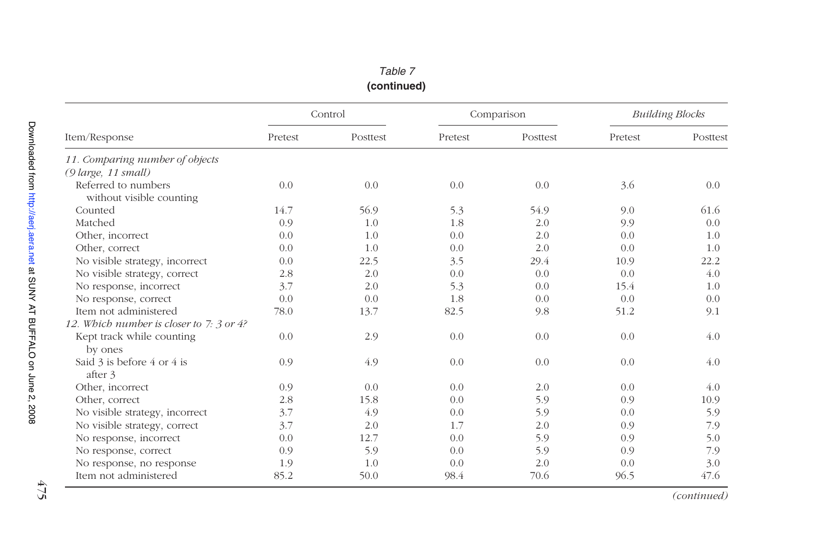|                                                 |         | Control  | Comparison |          | <b>Building Blocks</b> |          |
|-------------------------------------------------|---------|----------|------------|----------|------------------------|----------|
| Item/Response                                   | Pretest | Posttest | Pretest    | Posttest | Pretest                | Posttest |
| 11. Comparing number of objects                 |         |          |            |          |                        |          |
| (9 large, 11 small)                             |         |          |            |          |                        |          |
| Referred to numbers<br>without visible counting | 0.0     | 0.0      | 0.0        | 0.0      | 3.6                    | 0.0      |
| Counted                                         | 14.7    | 56.9     | 5.3        | 54.9     | 9.0                    | 61.6     |
| Matched                                         | 0.9     | 1.0      | 1.8        | 2.0      | 9.9                    | 0.0      |
| Other, incorrect                                | 0.0     | 1.0      | 0.0        | 2.0      | 0.0                    | 1.0      |
| Other, correct                                  | 0.0     | 1.0      | 0.0        | 2.0      | 0.0                    | 1.0      |
| No visible strategy, incorrect                  | 0.0     | 22.5     | 3.5        | 29.4     | 10.9                   | 22.2     |
| No visible strategy, correct                    | 2.8     | 2.0      | 0.0        | 0.0      | 0.0                    | 4.0      |
| No response, incorrect                          | 3.7     | 2.0      | 5.3        | 0.0      | 15.4                   | 1.0      |
| No response, correct                            | 0.0     | 0.0      | 1.8        | 0.0      | 0.0                    | 0.0      |
| Item not administered                           | 78.0    | 13.7     | 82.5       | 9.8      | 51.2                   | 9.1      |
| 12. Which number is closer to 7: 3 or 4?        |         |          |            |          |                        |          |
| Kept track while counting<br>by ones            | 0.0     | 2.9      | 0.0        | 0.0      | 0.0                    | 4.0      |
| Said 3 is before 4 or 4 is<br>after 3           | 0.9     | 4.9      | 0.0        | 0.0      | 0.0                    | 4.0      |
| Other, incorrect                                | 0.9     | 0.0      | 0.0        | 2.0      | 0.0                    | 4.0      |
| Other, correct                                  | 2.8     | 15.8     | 0.0        | 5.9      | 0.9                    | 10.9     |
| No visible strategy, incorrect                  | 3.7     | 4.9      | 0.0        | 5.9      | 0.0                    | 5.9      |
| No visible strategy, correct                    | 3.7     | 2.0      | 1.7        | 2.0      | 0.9                    | 7.9      |
| No response, incorrect                          | 0.0     | 12.7     | 0.0        | 5.9      | 0.9                    | 5.0      |
| No response, correct                            | 0.9     | 5.9      | 0.0        | 5.9      | 0.9                    | 7.9      |
| No response, no response                        | 1.9     | 1.0      | 0.0        | 2.0      | 0.0                    | 3.0      |
| Item not administered                           | 85.2    | 50.0     | 98.4       | 70.6     | 96.5                   | 47.6     |

### Table 7 **(continued)**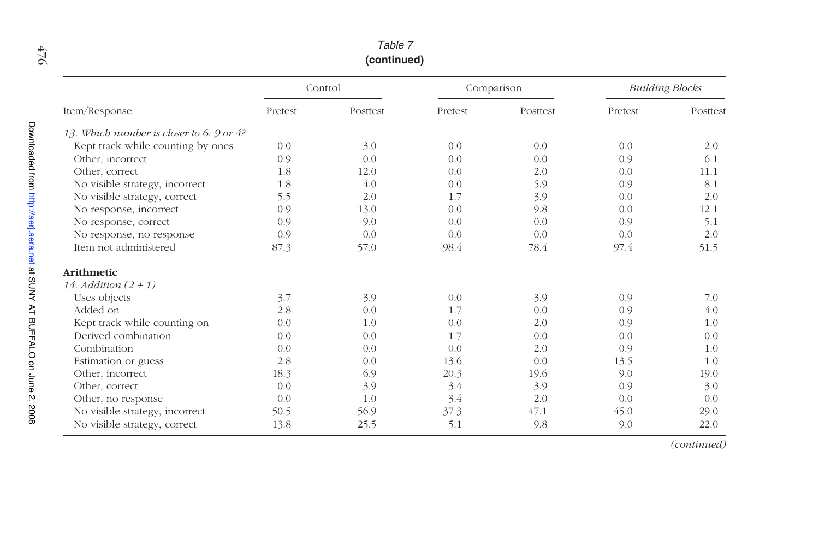| $\overline{+}$                      | Table 7     |
|-------------------------------------|-------------|
| $\overline{\phantom{0}}$<br>$\circ$ | (continued) |

|                                          | Control |          | Comparison |          | <b>Building Blocks</b> |          |
|------------------------------------------|---------|----------|------------|----------|------------------------|----------|
| Item/Response                            | Pretest | Posttest | Pretest    | Posttest | Pretest                | Posttest |
| 13. Which number is closer to 6: 9 or 4? |         |          |            |          |                        |          |
| Kept track while counting by ones        | 0.0     | 3.0      | 0.0        | 0.0      | 0.0                    | 2.0      |
| Other, incorrect                         | 0.9     | 0.0      | 0.0        | 0.0      | 0.9                    | 6.1      |
| Other, correct                           | 1.8     | 12.0     | 0.0        | 2.0      | 0.0                    | 11.1     |
| No visible strategy, incorrect           | 1.8     | 4.0      | 0.0        | 5.9      | 0.9                    | 8.1      |
| No visible strategy, correct             | 5.5     | 2.0      | 1.7        | 3.9      | 0.0                    | 2.0      |
| No response, incorrect                   | 0.9     | 13.0     | 0.0        | 9.8      | 0.0                    | 12.1     |
| No response, correct                     | 0.9     | 9.0      | 0.0        | 0.0      | 0.9                    | 5.1      |
| No response, no response                 | 0.9     | 0.0      | 0.0        | 0.0      | 0.0                    | 2.0      |
| Item not administered                    | 87.3    | 57.0     | 98.4       | 78.4     | 97.4                   | 51.5     |
| <b>Arithmetic</b>                        |         |          |            |          |                        |          |
| 14. Addition $(2 + 1)$                   |         |          |            |          |                        |          |
| Uses objects                             | 3.7     | 3.9      | 0.0        | 3.9      | 0.9                    | 7.0      |
| Added on                                 | 2.8     | 0.0      | 1.7        | 0.0      | 0.9                    | 4.0      |
| Kept track while counting on             | 0.0     | 1.0      | 0.0        | 2.0      | 0.9                    | 1.0      |
| Derived combination                      | 0.0     | 0.0      | 1.7        | 0.0      | 0.0                    | 0.0      |
| Combination                              | 0.0     | 0.0      | 0.0        | 2.0      | 0.9                    | 1.0      |
| Estimation or guess                      | 2.8     | 0.0      | 13.6       | 0.0      | 13.5                   | 1.0      |
| Other, incorrect                         | 18.3    | 6.9      | 20.3       | 19.6     | 9.0                    | 19.0     |
| Other, correct                           | 0.0     | 3.9      | 3.4        | 3.9      | 0.9                    | 3.0      |
| Other, no response                       | 0.0     | 1.0      | 3.4        | 2.0      | 0.0                    | 0.0      |
| No visible strategy, incorrect           | 50.5    | 56.9     | 37.3       | 47.1     | 45.0                   | 29.0     |
| No visible strategy, correct             | 13.8    | 25.5     | 5.1        | 9.8      | 9.0                    | 22.0     |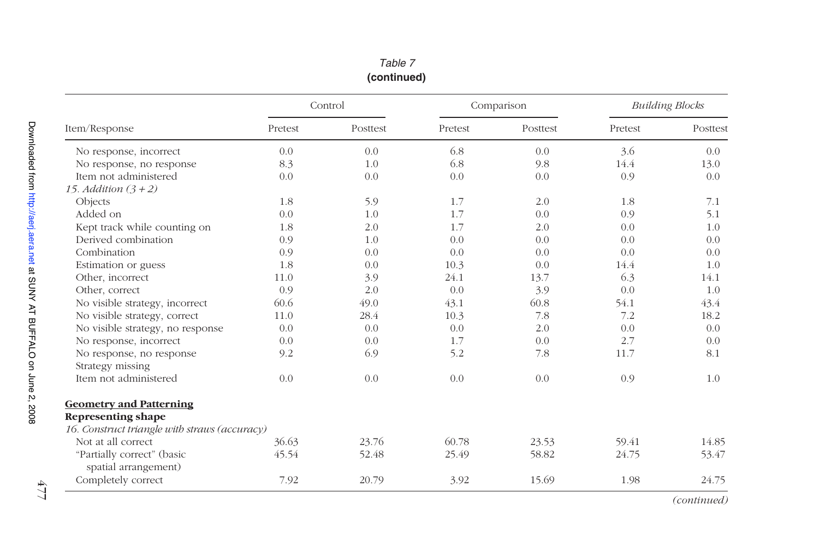|                                                    |         | Control  |         | Comparison | <b>Building Blocks</b> |          |
|----------------------------------------------------|---------|----------|---------|------------|------------------------|----------|
| Item/Response                                      | Pretest | Posttest | Pretest | Posttest   | Pretest                | Posttest |
| No response, incorrect                             | 0.0     | 0.0      | 6.8     | 0.0        | 3.6                    | 0.0      |
| No response, no response                           | 8.3     | 1.0      | 6.8     | 9.8        | 14.4                   | 13.0     |
| Item not administered                              | 0.0     | 0.0      | 0.0     | 0.0        | 0.9                    | 0.0      |
| 15. Addition $(3+2)$                               |         |          |         |            |                        |          |
| Objects                                            | 1.8     | 5.9      | 1.7     | 2.0        | 1.8                    | 7.1      |
| Added on                                           | 0.0     | 1.0      | 1.7     | 0.0        | 0.9                    | 5.1      |
| Kept track while counting on                       | 1.8     | 2.0      | 1.7     | 2.0        | 0.0                    | 1.0      |
| Derived combination                                | 0.9     | 1.0      | 0.0     | 0.0        | 0.0                    | 0.0      |
| Combination                                        | 0.9     | 0.0      | 0.0     | 0.0        | 0.0                    | 0.0      |
| Estimation or guess                                | 1.8     | 0.0      | 10.3    | 0.0        | 14.4                   | 1.0      |
| Other, incorrect                                   | 11.0    | 3.9      | 24.1    | 13.7       | 6.3                    | 14.1     |
| Other, correct                                     | 0.9     | 2.0      | 0.0     | 3.9        | 0.0                    | 1.0      |
| No visible strategy, incorrect                     | 60.6    | 49.0     | 43.1    | 60.8       | 54.1                   | 43.4     |
| No visible strategy, correct                       | 11.0    | 28.4     | 10.3    | 7.8        | 7.2                    | 18.2     |
| No visible strategy, no response                   | 0.0     | 0.0      | 0.0     | 2.0        | 0.0                    | 0.0      |
| No response, incorrect                             | 0.0     | 0.0      | 1.7     | 0.0        | 2.7                    | 0.0      |
| No response, no response                           | 9.2     | 6.9      | 5.2     | 7.8        | 11.7                   | 8.1      |
| Strategy missing                                   |         |          |         |            |                        |          |
| Item not administered                              | 0.0     | 0.0      | 0.0     | 0.0        | 0.9                    | 1.0      |
| <b>Geometry and Patterning</b>                     |         |          |         |            |                        |          |
| <b>Representing shape</b>                          |         |          |         |            |                        |          |
| 16. Construct triangle with straws (accuracy)      |         |          |         |            |                        |          |
| Not at all correct                                 | 36.63   | 23.76    | 60.78   | 23.53      | 59.41                  | 14.85    |
| "Partially correct" (basic<br>spatial arrangement) | 45.54   | 52.48    | 25.49   | 58.82      | 24.75                  | 53.47    |
| Completely correct                                 | 7.92    | 20.79    | 3.92    | 15.69      | 1.98                   | 24.75    |

| Table 7     |
|-------------|
| (continued) |

*(continued)*

477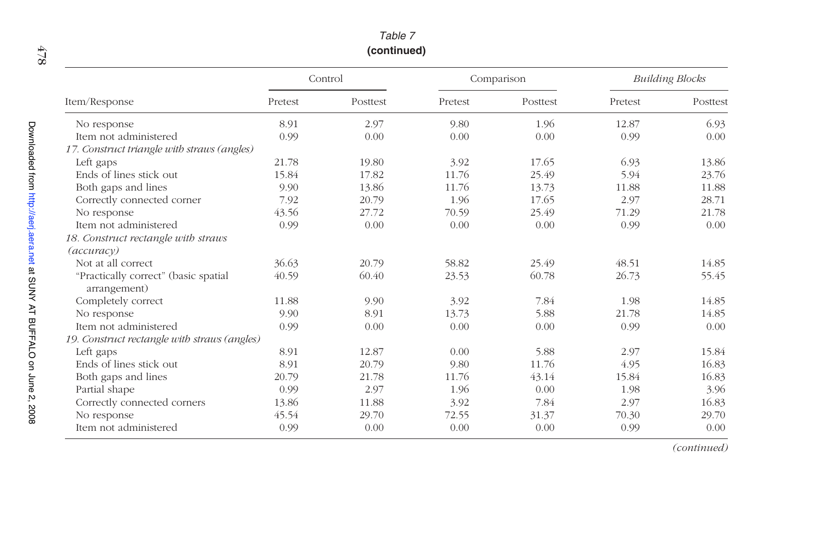### Table 7 **(continued)**

| Item/Response                                        | Control |          | Comparison |          | <b>Building Blocks</b> |          |
|------------------------------------------------------|---------|----------|------------|----------|------------------------|----------|
|                                                      | Pretest | Posttest | Pretest    | Posttest | Pretest                | Posttest |
| No response                                          | 8.91    | 2.97     | 9.80       | 1.96     | 12.87                  | 6.93     |
| Item not administered                                | 0.99    | 0.00     | 0.00       | 0.00     | 0.99                   | 0.00     |
| 17. Construct triangle with straws (angles)          |         |          |            |          |                        |          |
| Left gaps                                            | 21.78   | 19.80    | 3.92       | 17.65    | 6.93                   | 13.86    |
| Ends of lines stick out                              | 15.84   | 17.82    | 11.76      | 25.49    | 5.94                   | 23.76    |
| Both gaps and lines                                  | 9.90    | 13.86    | 11.76      | 13.73    | 11.88                  | 11.88    |
| Correctly connected corner                           | 7.92    | 20.79    | 1.96       | 17.65    | 2.97                   | 28.71    |
| No response                                          | 43.56   | 27.72    | 70.59      | 25.49    | 71.29                  | 21.78    |
| Item not administered                                | 0.99    | 0.00     | 0.00       | 0.00     | 0.99                   | 0.00     |
| 18. Construct rectangle with straws                  |         |          |            |          |                        |          |
| (accuracy)                                           |         |          |            |          |                        |          |
| Not at all correct                                   | 36.63   | 20.79    | 58.82      | 25.49    | 48.51                  | 14.85    |
| "Practically correct" (basic spatial<br>arrangement) | 40.59   | 60.40    | 23.53      | 60.78    | 26.73                  | 55.45    |
| Completely correct                                   | 11.88   | 9.90     | 3.92       | 7.84     | 1.98                   | 14.85    |
| No response                                          | 9.90    | 8.91     | 13.73      | 5.88     | 21.78                  | 14.85    |
| Item not administered                                | 0.99    | 0.00     | 0.00       | 0.00     | 0.99                   | 0.00     |
| 19. Construct rectangle with straws (angles)         |         |          |            |          |                        |          |
| Left gaps                                            | 8.91    | 12.87    | 0.00       | 5.88     | 2.97                   | 15.84    |
| Ends of lines stick out                              | 8.91    | 20.79    | 9.80       | 11.76    | 4.95                   | 16.83    |
| Both gaps and lines                                  | 20.79   | 21.78    | 11.76      | 43.14    | 15.84                  | 16.83    |
| Partial shape                                        | 0.99    | 2.97     | 1.96       | 0.00     | 1.98                   | 3.96     |
| Correctly connected corners                          | 13.86   | 11.88    | 3.92       | 7.84     | 2.97                   | 16.83    |
| No response                                          | 45.54   | 29.70    | 72.55      | 31.37    | 70.30                  | 29.70    |
| Item not administered                                | 0.99    | 0.00     | 0.00       | 0.00     | 0.99                   | 0.00     |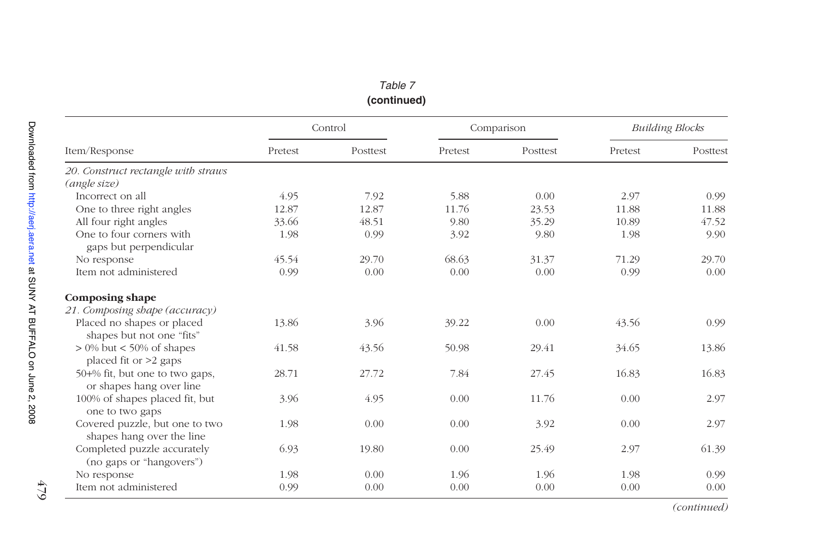### Table 7 **(continued)**

| Item/Response                                               | Control |          | Comparison |          | <b>Building Blocks</b> |          |
|-------------------------------------------------------------|---------|----------|------------|----------|------------------------|----------|
|                                                             | Pretest | Posttest | Pretest    | Posttest | Pretest                | Posttest |
| 20. Construct rectangle with straws                         |         |          |            |          |                        |          |
| (angle size)                                                |         |          |            |          |                        |          |
| Incorrect on all                                            | 4.95    | 7.92     | 5.88       | 0.00     | 2.97                   | 0.99     |
| One to three right angles                                   | 12.87   | 12.87    | 11.76      | 23.53    | 11.88                  | 11.88    |
| All four right angles                                       | 33.66   | 48.51    | 9.80       | 35.29    | 10.89                  | 47.52    |
| One to four corners with<br>gaps but perpendicular          | 1.98    | 0.99     | 3.92       | 9.80     | 1.98                   | 9.90     |
| No response                                                 | 45.54   | 29.70    | 68.63      | 31.37    | 71.29                  | 29.70    |
| Item not administered                                       | 0.99    | 0.00     | 0.00       | 0.00     | 0.99                   | 0.00     |
| <b>Composing shape</b>                                      |         |          |            |          |                        |          |
| 21. Composing shape (accuracy)                              |         |          |            |          |                        |          |
| Placed no shapes or placed                                  | 13.86   | 3.96     | 39.22      | 0.00     | 43.56                  | 0.99     |
| shapes but not one "fits"                                   |         |          |            |          |                        |          |
| $> 0\%$ but < 50% of shapes<br>placed fit or >2 gaps        | 41.58   | 43.56    | 50.98      | 29.41    | 34.65                  | 13.86    |
| 50+% fit, but one to two gaps,<br>or shapes hang over line  | 28.71   | 27.72    | 7.84       | 27.45    | 16.83                  | 16.83    |
| 100% of shapes placed fit, but<br>one to two gaps           | 3.96    | 4.95     | 0.00       | 11.76    | 0.00                   | 2.97     |
| Covered puzzle, but one to two<br>shapes hang over the line | 1.98    | 0.00     | 0.00       | 3.92     | 0.00                   | 2.97     |
| Completed puzzle accurately<br>(no gaps or "hangovers")     | 6.93    | 19.80    | 0.00       | 25.49    | 2.97                   | 61.39    |
| No response                                                 | 1.98    | 0.00     | 1.96       | 1.96     | 1.98                   | 0.99     |
| Item not administered                                       | 0.99    | 0.00     | 0.00       | 0.00     | 0.00                   | 0.00     |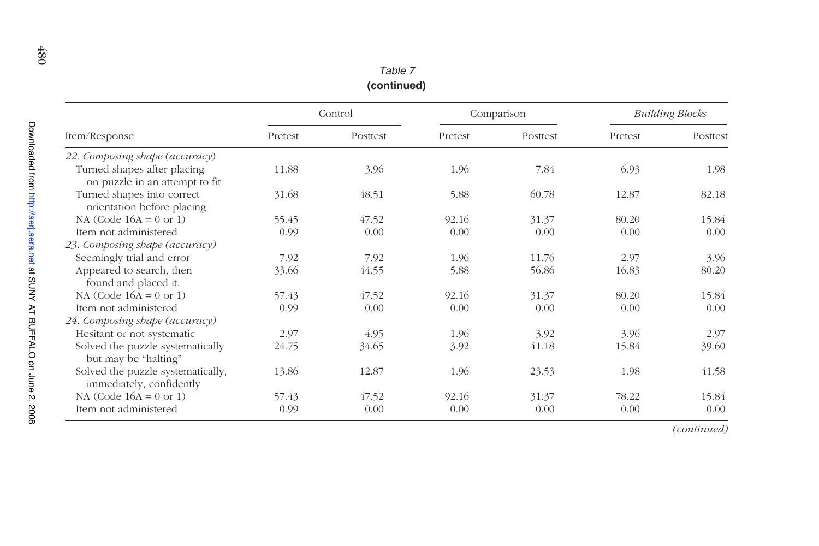| Item/Response                                                 | Control |          | Comparison |          | <b>Building Blocks</b> |          |
|---------------------------------------------------------------|---------|----------|------------|----------|------------------------|----------|
|                                                               | Pretest | Posttest | Pretest    | Posttest | Pretest                | Posttest |
| 22. Composing shape (accuracy)                                |         |          |            |          |                        |          |
| Turned shapes after placing<br>on puzzle in an attempt to fit | 11.88   | 3.96     | 1.96       | 7.84     | 6.93                   | 1.98     |
| Turned shapes into correct<br>orientation before placing      | 31.68   | 48.51    | 5.88       | 60.78    | 12.87                  | 82.18    |
| NA (Code $16A = 0$ or 1)                                      | 55.45   | 47.52    | 92.16      | 31.37    | 80.20                  | 15.84    |
| Item not administered                                         | 0.99    | 0.00     | 0.00       | 0.00     | 0.00                   | 0.00     |
| 23. Composing shape (accuracy)                                |         |          |            |          |                        |          |
| Seemingly trial and error                                     | 7.92    | 7.92     | 1.96       | 11.76    | 2.97                   | 3.96     |
| Appeared to search, then<br>found and placed it.              | 33.66   | 44.55    | 5.88       | 56.86    | 16.83                  | 80.20    |
| NA (Code $16A = 0$ or 1)                                      | 57.43   | 47.52    | 92.16      | 31.37    | 80.20                  | 15.84    |
| Item not administered                                         | 0.99    | 0.00     | 0.00       | 0.00     | 0.00                   | 0.00     |
| 24. Composing shape (accuracy)                                |         |          |            |          |                        |          |
| Hesitant or not systematic                                    | 2.97    | 4.95     | 1.96       | 3.92     | 3.96                   | 2.97     |
| Solved the puzzle systematically<br>but may be "halting"      | 24.75   | 34.65    | 3.92       | 41.18    | 15.84                  | 39.60    |
| Solved the puzzle systematically,<br>immediately, confidently | 13.86   | 12.87    | 1.96       | 23.53    | 1.98                   | 41.58    |
| NA (Code $16A = 0$ or 1)                                      | 57.43   | 47.52    | 92.16      | 31.37    | 78.22                  | 15.84    |
| Item not administered                                         | 0.99    | 0.00     | 0.00       | 0.00     | 0.00                   | 0.00     |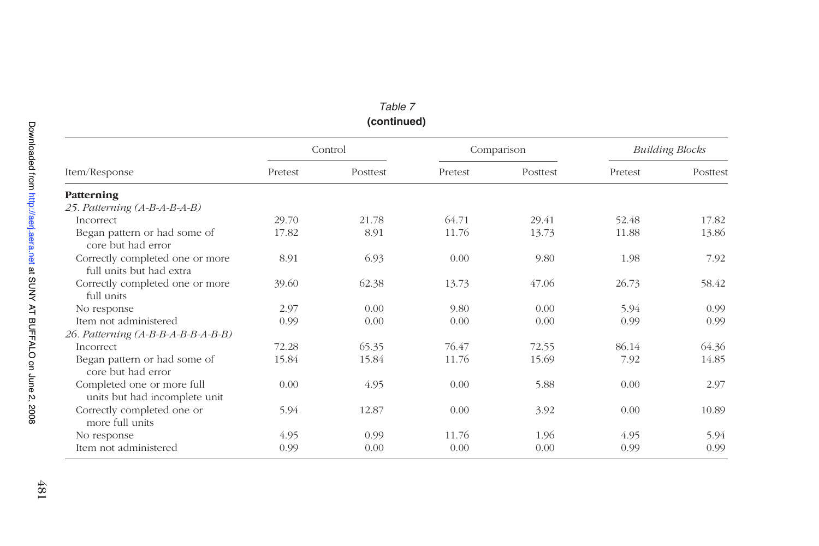#### Control Comparison *Building Blocks* Item/Response Pretest Posttest Pretest Posttest Pretest Posttest **Patterning** *25. Patterning (A-B-A-B-A-B)* Incorrect 29.70 21.78 64.71 29.41 52.48 17.82 Began pattern or had some of 17.82 8.91 11.76 13.73 11.88 13.86 core but had errorCorrectly completed one or more 8.91 6.93 0.00 9.80 1.98 7.92 full units but had extraCorrectly completed one or more 39.60 62.38 13.73 47.06 26.73 58.42 full unitsNo response 6 1 2.97 0.00 9.80 0.00 5.94 0.99 Item not administeredd 0.99 0.00 0.00 0.00 0.00 0.99 0.99 *26. Patterning (A-B-B-A-B-B-A-B-B)* **Incorrect**  72.28 65.35 76.47 72.55 86.14 64.36 Began pattern or had some of 15.84 15.84 11.76 15.69 15.69 7.92 14.85 core but had errorCompleted one or more full  $0.00$   $4.95$   $0.00$   $5.88$   $0.00$   $2.97$ units but had incomplete unit Correctly completed one or  $5.94$  12.87 0.00 3.92 0.00 10.89 more full unitsNo response 4.95 0.99 11.76 1.96 4.95 5.94 Item not administeredd 0.99 0.00 0.00 0.00 0.00 0.99 0.99

Table 7**(continued)**

481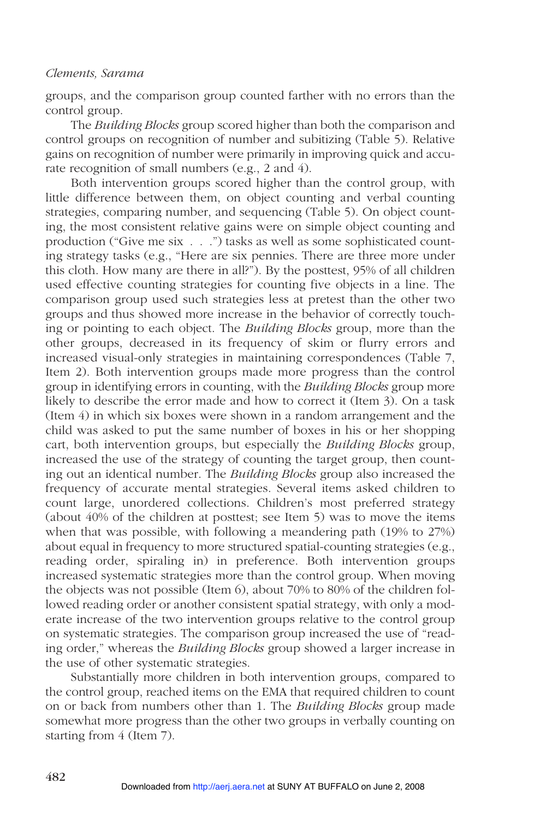groups, and the comparison group counted farther with no errors than the control group.

The *Building Blocks* group scored higher than both the comparison and control groups on recognition of number and subitizing (Table 5). Relative gains on recognition of number were primarily in improving quick and accurate recognition of small numbers (e.g., 2 and 4).

Both intervention groups scored higher than the control group, with little difference between them, on object counting and verbal counting strategies, comparing number, and sequencing (Table 5). On object counting, the most consistent relative gains were on simple object counting and production ("Give me six . . .") tasks as well as some sophisticated counting strategy tasks (e.g., "Here are six pennies. There are three more under this cloth. How many are there in all?"). By the posttest, 95% of all children used effective counting strategies for counting five objects in a line. The comparison group used such strategies less at pretest than the other two groups and thus showed more increase in the behavior of correctly touching or pointing to each object. The *Building Blocks* group, more than the other groups, decreased in its frequency of skim or flurry errors and increased visual-only strategies in maintaining correspondences (Table 7, Item 2). Both intervention groups made more progress than the control group in identifying errors in counting, with the *Building Blocks* group more likely to describe the error made and how to correct it (Item 3). On a task (Item 4) in which six boxes were shown in a random arrangement and the child was asked to put the same number of boxes in his or her shopping cart, both intervention groups, but especially the *Building Blocks* group, increased the use of the strategy of counting the target group, then counting out an identical number. The *Building Blocks* group also increased the frequency of accurate mental strategies. Several items asked children to count large, unordered collections. Children's most preferred strategy (about 40% of the children at posttest; see Item 5) was to move the items when that was possible, with following a meandering path (19% to 27%) about equal in frequency to more structured spatial-counting strategies (e.g., reading order, spiraling in) in preference. Both intervention groups increased systematic strategies more than the control group. When moving the objects was not possible (Item 6), about 70% to 80% of the children followed reading order or another consistent spatial strategy, with only a moderate increase of the two intervention groups relative to the control group on systematic strategies. The comparison group increased the use of "reading order," whereas the *Building Blocks* group showed a larger increase in the use of other systematic strategies.

Substantially more children in both intervention groups, compared to the control group, reached items on the EMA that required children to count on or back from numbers other than 1. The *Building Blocks* group made somewhat more progress than the other two groups in verbally counting on starting from 4 (Item 7).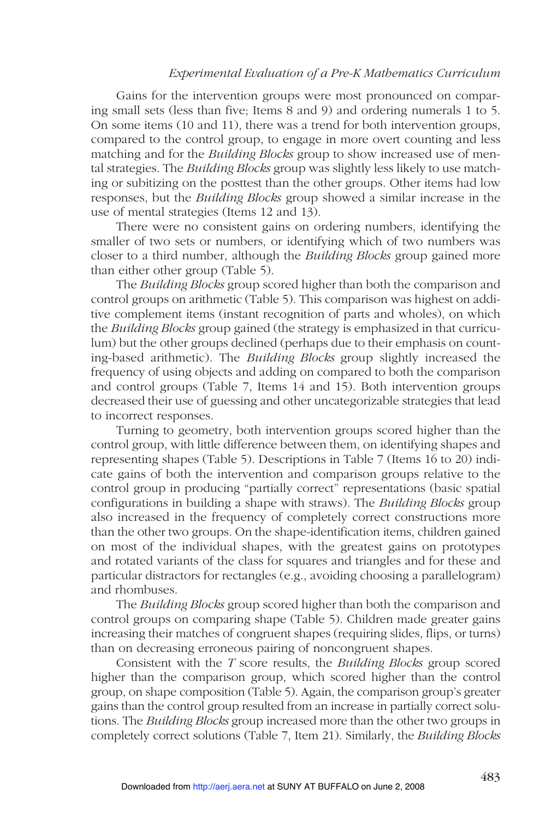Gains for the intervention groups were most pronounced on comparing small sets (less than five; Items 8 and 9) and ordering numerals 1 to 5. On some items (10 and 11), there was a trend for both intervention groups, compared to the control group, to engage in more overt counting and less matching and for the *Building Blocks* group to show increased use of mental strategies. The *Building Blocks* group was slightly less likely to use matching or subitizing on the posttest than the other groups. Other items had low responses, but the *Building Blocks* group showed a similar increase in the use of mental strategies (Items 12 and 13).

There were no consistent gains on ordering numbers, identifying the smaller of two sets or numbers, or identifying which of two numbers was closer to a third number, although the *Building Blocks* group gained more than either other group (Table 5).

The *Building Blocks* group scored higher than both the comparison and control groups on arithmetic (Table 5). This comparison was highest on additive complement items (instant recognition of parts and wholes), on which the *Building Blocks* group gained (the strategy is emphasized in that curriculum) but the other groups declined (perhaps due to their emphasis on counting-based arithmetic). The *Building Blocks* group slightly increased the frequency of using objects and adding on compared to both the comparison and control groups (Table 7, Items 14 and 15). Both intervention groups decreased their use of guessing and other uncategorizable strategies that lead to incorrect responses.

Turning to geometry, both intervention groups scored higher than the control group, with little difference between them, on identifying shapes and representing shapes (Table 5). Descriptions in Table 7 (Items 16 to 20) indicate gains of both the intervention and comparison groups relative to the control group in producing "partially correct" representations (basic spatial configurations in building a shape with straws). The *Building Blocks* group also increased in the frequency of completely correct constructions more than the other two groups. On the shape-identification items, children gained on most of the individual shapes, with the greatest gains on prototypes and rotated variants of the class for squares and triangles and for these and particular distractors for rectangles (e.g., avoiding choosing a parallelogram) and rhombuses.

The *Building Blocks* group scored higher than both the comparison and control groups on comparing shape (Table 5). Children made greater gains increasing their matches of congruent shapes (requiring slides, flips, or turns) than on decreasing erroneous pairing of noncongruent shapes.

Consistent with the *T* score results, the *Building Blocks* group scored higher than the comparison group, which scored higher than the control group, on shape composition (Table 5). Again, the comparison group's greater gains than the control group resulted from an increase in partially correct solutions. The *Building Blocks* group increased more than the other two groups in completely correct solutions (Table 7, Item 21). Similarly, the *Building Blocks*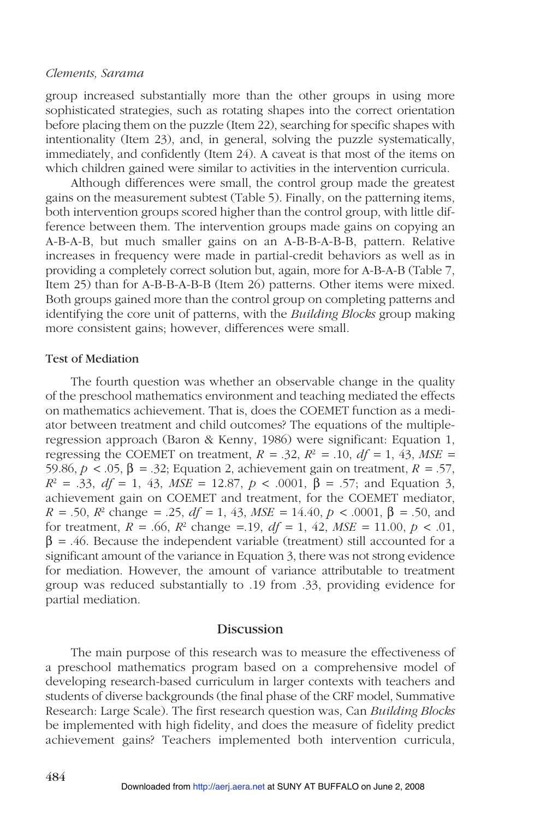group increased substantially more than the other groups in using more sophisticated strategies, such as rotating shapes into the correct orientation before placing them on the puzzle (Item 22), searching for specific shapes with intentionality (Item 23), and, in general, solving the puzzle systematically, immediately, and confidently (Item 24). A caveat is that most of the items on which children gained were similar to activities in the intervention curricula.

Although differences were small, the control group made the greatest gains on the measurement subtest (Table 5). Finally, on the patterning items, both intervention groups scored higher than the control group, with little difference between them. The intervention groups made gains on copying an A-B-A-B, but much smaller gains on an A-B-B-A-B-B, pattern. Relative increases in frequency were made in partial-credit behaviors as well as in providing a completely correct solution but, again, more for A-B-A-B (Table 7, Item 25) than for A-B-B-A-B-B (Item 26) patterns. Other items were mixed. Both groups gained more than the control group on completing patterns and identifying the core unit of patterns, with the *Building Blocks* group making more consistent gains; however, differences were small.

### Test of Mediation

The fourth question was whether an observable change in the quality of the preschool mathematics environment and teaching mediated the effects on mathematics achievement. That is, does the COEMET function as a mediator between treatment and child outcomes? The equations of the multipleregression approach (Baron & Kenny, 1986) were significant: Equation 1, regressing the COEMET on treatment,  $R = .32$ ,  $R^2 = .10$ ,  $df = 1$ , 43,  $MSE =$ 59.86,  $p < .05$ ,  $\beta = .32$ ; Equation 2, achievement gain on treatment,  $R = .57$ ,  $R^2 = .33$ ,  $df = 1$ , 43,  $MSE = 12.87$ ,  $p < .0001$ ,  $\beta = .57$ ; and Equation 3, achievement gain on COEMET and treatment, for the COEMET mediator, *R* = .50, *R*<sup>2</sup> change = .25, *df* = 1, 43, *MSE* = 14.40, *p* < .0001,  $\beta$  = .50, and for treatment,  $R = .66$ ,  $R^2$  change =.19,  $df = 1$ , 42,  $MSE = 11.00$ ,  $p < .01$ ,  $\beta$  = .46. Because the independent variable (treatment) still accounted for a significant amount of the variance in Equation 3, there was not strong evidence for mediation. However, the amount of variance attributable to treatment group was reduced substantially to .19 from .33, providing evidence for partial mediation.

### **Discussion**

The main purpose of this research was to measure the effectiveness of a preschool mathematics program based on a comprehensive model of developing research-based curriculum in larger contexts with teachers and students of diverse backgrounds (the final phase of the CRF model, Summative Research: Large Scale). The first research question was, Can *Building Blocks* be implemented with high fidelity, and does the measure of fidelity predict achievement gains? Teachers implemented both intervention curricula,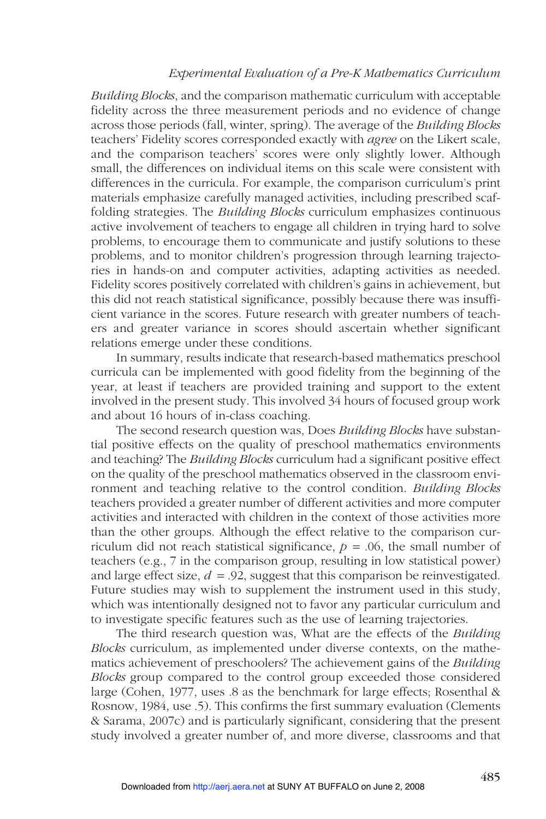*Building Blocks*, and the comparison mathematic curriculum with acceptable fidelity across the three measurement periods and no evidence of change across those periods (fall, winter, spring). The average of the *Building Blocks* teachers' Fidelity scores corresponded exactly with *agree* on the Likert scale, and the comparison teachers' scores were only slightly lower. Although small, the differences on individual items on this scale were consistent with differences in the curricula. For example, the comparison curriculum's print materials emphasize carefully managed activities, including prescribed scaffolding strategies. The *Building Blocks* curriculum emphasizes continuous active involvement of teachers to engage all children in trying hard to solve problems, to encourage them to communicate and justify solutions to these problems, and to monitor children's progression through learning trajectories in hands-on and computer activities, adapting activities as needed. Fidelity scores positively correlated with children's gains in achievement, but this did not reach statistical significance, possibly because there was insufficient variance in the scores. Future research with greater numbers of teachers and greater variance in scores should ascertain whether significant relations emerge under these conditions.

In summary, results indicate that research-based mathematics preschool curricula can be implemented with good fidelity from the beginning of the year, at least if teachers are provided training and support to the extent involved in the present study. This involved 34 hours of focused group work and about 16 hours of in-class coaching.

The second research question was, Does *Building Blocks* have substantial positive effects on the quality of preschool mathematics environments and teaching? The *Building Blocks* curriculum had a significant positive effect on the quality of the preschool mathematics observed in the classroom environment and teaching relative to the control condition. *Building Blocks* teachers provided a greater number of different activities and more computer activities and interacted with children in the context of those activities more than the other groups. Although the effect relative to the comparison curriculum did not reach statistical significance,  $p = 0.06$ , the small number of teachers (e.g., 7 in the comparison group, resulting in low statistical power) and large effect size,  $d = 0.92$ , suggest that this comparison be reinvestigated. Future studies may wish to supplement the instrument used in this study, which was intentionally designed not to favor any particular curriculum and to investigate specific features such as the use of learning trajectories.

The third research question was, What are the effects of the *Building Blocks* curriculum, as implemented under diverse contexts, on the mathematics achievement of preschoolers? The achievement gains of the *Building Blocks* group compared to the control group exceeded those considered large (Cohen, 1977, uses .8 as the benchmark for large effects; Rosenthal & Rosnow, 1984, use .5). This confirms the first summary evaluation (Clements & Sarama, 2007c) and is particularly significant, considering that the present study involved a greater number of, and more diverse, classrooms and that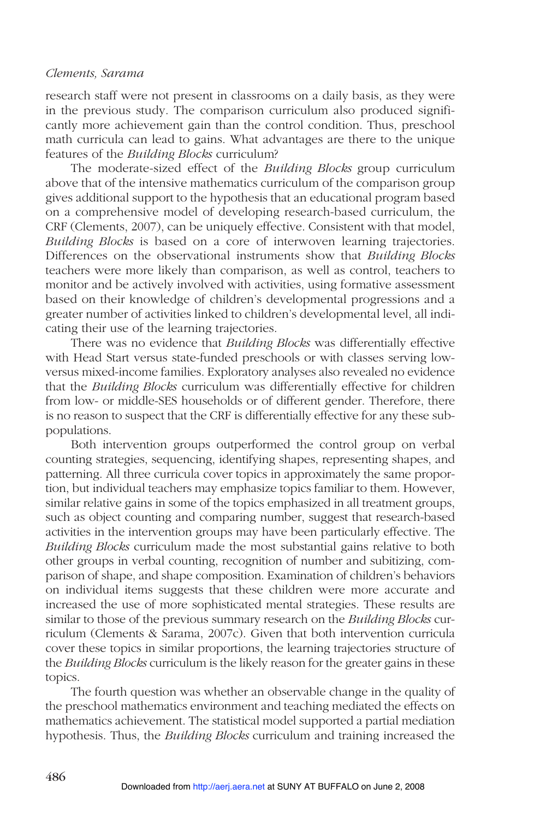research staff were not present in classrooms on a daily basis, as they were in the previous study. The comparison curriculum also produced significantly more achievement gain than the control condition. Thus, preschool math curricula can lead to gains. What advantages are there to the unique features of the *Building Blocks* curriculum?

The moderate-sized effect of the *Building Blocks* group curriculum above that of the intensive mathematics curriculum of the comparison group gives additional support to the hypothesis that an educational program based on a comprehensive model of developing research-based curriculum, the CRF (Clements, 2007), can be uniquely effective. Consistent with that model, *Building Blocks* is based on a core of interwoven learning trajectories. Differences on the observational instruments show that *Building Blocks* teachers were more likely than comparison, as well as control, teachers to monitor and be actively involved with activities, using formative assessment based on their knowledge of children's developmental progressions and a greater number of activities linked to children's developmental level, all indicating their use of the learning trajectories.

There was no evidence that *Building Blocks* was differentially effective with Head Start versus state-funded preschools or with classes serving lowversus mixed-income families. Exploratory analyses also revealed no evidence that the *Building Blocks* curriculum was differentially effective for children from low- or middle-SES households or of different gender. Therefore, there is no reason to suspect that the CRF is differentially effective for any these subpopulations.

Both intervention groups outperformed the control group on verbal counting strategies, sequencing, identifying shapes, representing shapes, and patterning. All three curricula cover topics in approximately the same proportion, but individual teachers may emphasize topics familiar to them. However, similar relative gains in some of the topics emphasized in all treatment groups, such as object counting and comparing number, suggest that research-based activities in the intervention groups may have been particularly effective. The *Building Blocks* curriculum made the most substantial gains relative to both other groups in verbal counting, recognition of number and subitizing, comparison of shape, and shape composition. Examination of children's behaviors on individual items suggests that these children were more accurate and increased the use of more sophisticated mental strategies. These results are similar to those of the previous summary research on the *Building Blocks* curriculum (Clements & Sarama, 2007c). Given that both intervention curricula cover these topics in similar proportions, the learning trajectories structure of the *Building Blocks* curriculum is the likely reason for the greater gains in these topics.

The fourth question was whether an observable change in the quality of the preschool mathematics environment and teaching mediated the effects on mathematics achievement. The statistical model supported a partial mediation hypothesis. Thus, the *Building Blocks* curriculum and training increased the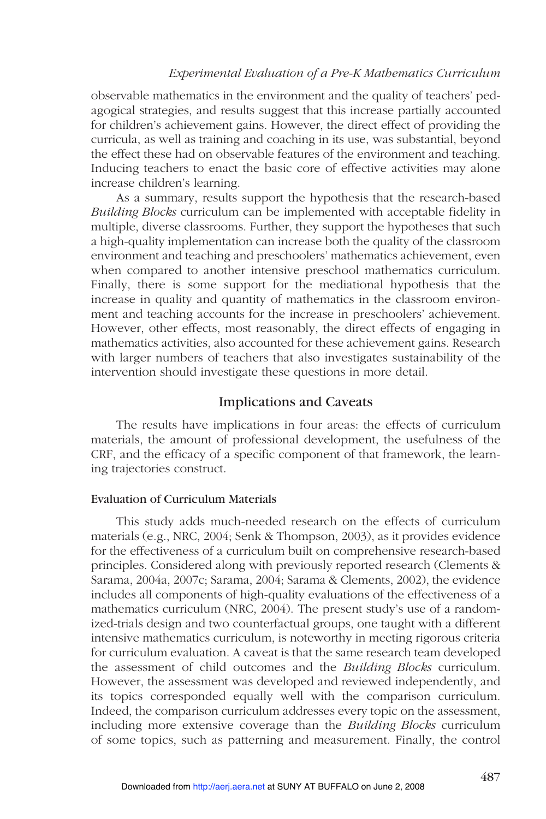observable mathematics in the environment and the quality of teachers' pedagogical strategies, and results suggest that this increase partially accounted for children's achievement gains. However, the direct effect of providing the curricula, as well as training and coaching in its use, was substantial, beyond the effect these had on observable features of the environment and teaching. Inducing teachers to enact the basic core of effective activities may alone increase children's learning.

As a summary, results support the hypothesis that the research-based *Building Blocks* curriculum can be implemented with acceptable fidelity in multiple, diverse classrooms. Further, they support the hypotheses that such a high-quality implementation can increase both the quality of the classroom environment and teaching and preschoolers' mathematics achievement, even when compared to another intensive preschool mathematics curriculum. Finally, there is some support for the mediational hypothesis that the increase in quality and quantity of mathematics in the classroom environment and teaching accounts for the increase in preschoolers' achievement. However, other effects, most reasonably, the direct effects of engaging in mathematics activities, also accounted for these achievement gains. Research with larger numbers of teachers that also investigates sustainability of the intervention should investigate these questions in more detail.

### Implications and Caveats

The results have implications in four areas: the effects of curriculum materials, the amount of professional development, the usefulness of the CRF, and the efficacy of a specific component of that framework, the learning trajectories construct.

### Evaluation of Curriculum Materials

This study adds much-needed research on the effects of curriculum materials (e.g., NRC, 2004; Senk & Thompson, 2003), as it provides evidence for the effectiveness of a curriculum built on comprehensive research-based principles. Considered along with previously reported research (Clements & Sarama, 2004a, 2007c; Sarama, 2004; Sarama & Clements, 2002), the evidence includes all components of high-quality evaluations of the effectiveness of a mathematics curriculum (NRC, 2004). The present study's use of a randomized-trials design and two counterfactual groups, one taught with a different intensive mathematics curriculum, is noteworthy in meeting rigorous criteria for curriculum evaluation. A caveat is that the same research team developed the assessment of child outcomes and the *Building Blocks* curriculum. However, the assessment was developed and reviewed independently, and its topics corresponded equally well with the comparison curriculum. Indeed, the comparison curriculum addresses every topic on the assessment, including more extensive coverage than the *Building Blocks* curriculum of some topics, such as patterning and measurement. Finally, the control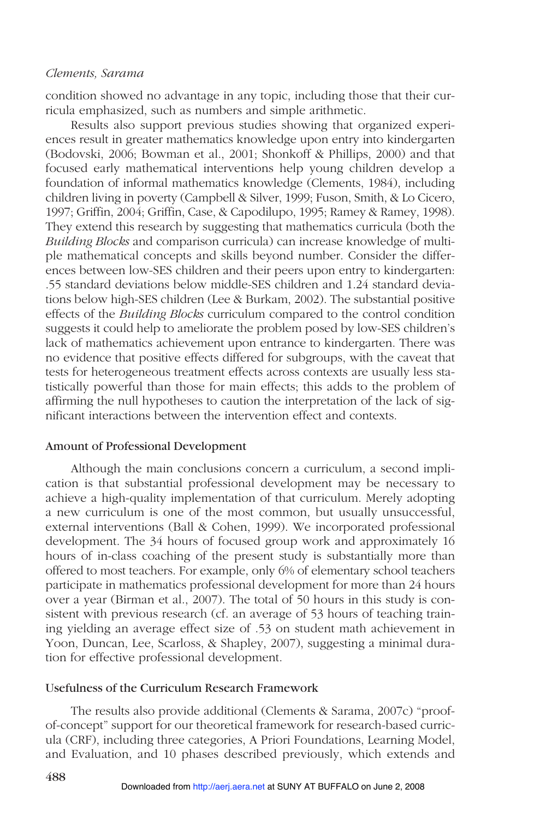condition showed no advantage in any topic, including those that their curricula emphasized, such as numbers and simple arithmetic.

Results also support previous studies showing that organized experiences result in greater mathematics knowledge upon entry into kindergarten (Bodovski, 2006; Bowman et al., 2001; Shonkoff & Phillips, 2000) and that focused early mathematical interventions help young children develop a foundation of informal mathematics knowledge (Clements, 1984), including children living in poverty (Campbell & Silver, 1999; Fuson, Smith, & Lo Cicero, 1997; Griffin, 2004; Griffin, Case, & Capodilupo, 1995; Ramey & Ramey, 1998). They extend this research by suggesting that mathematics curricula (both the *Building Blocks* and comparison curricula) can increase knowledge of multiple mathematical concepts and skills beyond number. Consider the differences between low-SES children and their peers upon entry to kindergarten: .55 standard deviations below middle-SES children and 1.24 standard deviations below high-SES children (Lee & Burkam, 2002). The substantial positive effects of the *Building Blocks* curriculum compared to the control condition suggests it could help to ameliorate the problem posed by low-SES children's lack of mathematics achievement upon entrance to kindergarten. There was no evidence that positive effects differed for subgroups, with the caveat that tests for heterogeneous treatment effects across contexts are usually less statistically powerful than those for main effects; this adds to the problem of affirming the null hypotheses to caution the interpretation of the lack of significant interactions between the intervention effect and contexts.

#### Amount of Professional Development

Although the main conclusions concern a curriculum, a second implication is that substantial professional development may be necessary to achieve a high-quality implementation of that curriculum. Merely adopting a new curriculum is one of the most common, but usually unsuccessful, external interventions (Ball & Cohen, 1999). We incorporated professional development. The 34 hours of focused group work and approximately 16 hours of in-class coaching of the present study is substantially more than offered to most teachers. For example, only 6% of elementary school teachers participate in mathematics professional development for more than 24 hours over a year (Birman et al., 2007). The total of 50 hours in this study is consistent with previous research (cf. an average of 53 hours of teaching training yielding an average effect size of .53 on student math achievement in Yoon, Duncan, Lee, Scarloss, & Shapley, 2007), suggesting a minimal duration for effective professional development.

### Usefulness of the Curriculum Research Framework

The results also provide additional (Clements & Sarama, 2007c) "proofof-concept" support for our theoretical framework for research-based curricula (CRF), including three categories, A Priori Foundations, Learning Model, and Evaluation, and 10 phases described previously, which extends and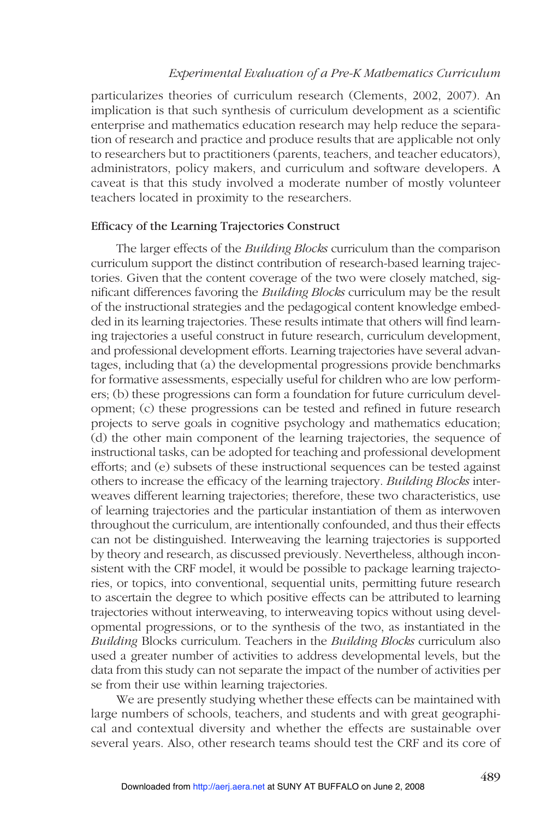particularizes theories of curriculum research (Clements, 2002, 2007). An implication is that such synthesis of curriculum development as a scientific enterprise and mathematics education research may help reduce the separation of research and practice and produce results that are applicable not only to researchers but to practitioners (parents, teachers, and teacher educators), administrators, policy makers, and curriculum and software developers. A caveat is that this study involved a moderate number of mostly volunteer teachers located in proximity to the researchers.

#### Efficacy of the Learning Trajectories Construct

The larger effects of the *Building Blocks* curriculum than the comparison curriculum support the distinct contribution of research-based learning trajectories. Given that the content coverage of the two were closely matched, significant differences favoring the *Building Blocks* curriculum may be the result of the instructional strategies and the pedagogical content knowledge embedded in its learning trajectories. These results intimate that others will find learning trajectories a useful construct in future research, curriculum development, and professional development efforts. Learning trajectories have several advantages, including that (a) the developmental progressions provide benchmarks for formative assessments, especially useful for children who are low performers; (b) these progressions can form a foundation for future curriculum development; (c) these progressions can be tested and refined in future research projects to serve goals in cognitive psychology and mathematics education; (d) the other main component of the learning trajectories, the sequence of instructional tasks, can be adopted for teaching and professional development efforts; and (e) subsets of these instructional sequences can be tested against others to increase the efficacy of the learning trajectory. *Building Blocks* interweaves different learning trajectories; therefore, these two characteristics, use of learning trajectories and the particular instantiation of them as interwoven throughout the curriculum, are intentionally confounded, and thus their effects can not be distinguished. Interweaving the learning trajectories is supported by theory and research, as discussed previously. Nevertheless, although inconsistent with the CRF model, it would be possible to package learning trajectories, or topics, into conventional, sequential units, permitting future research to ascertain the degree to which positive effects can be attributed to learning trajectories without interweaving, to interweaving topics without using developmental progressions, or to the synthesis of the two, as instantiated in the *Building* Blocks curriculum. Teachers in the *Building Blocks* curriculum also used a greater number of activities to address developmental levels, but the data from this study can not separate the impact of the number of activities per se from their use within learning trajectories.

We are presently studying whether these effects can be maintained with large numbers of schools, teachers, and students and with great geographical and contextual diversity and whether the effects are sustainable over several years. Also, other research teams should test the CRF and its core of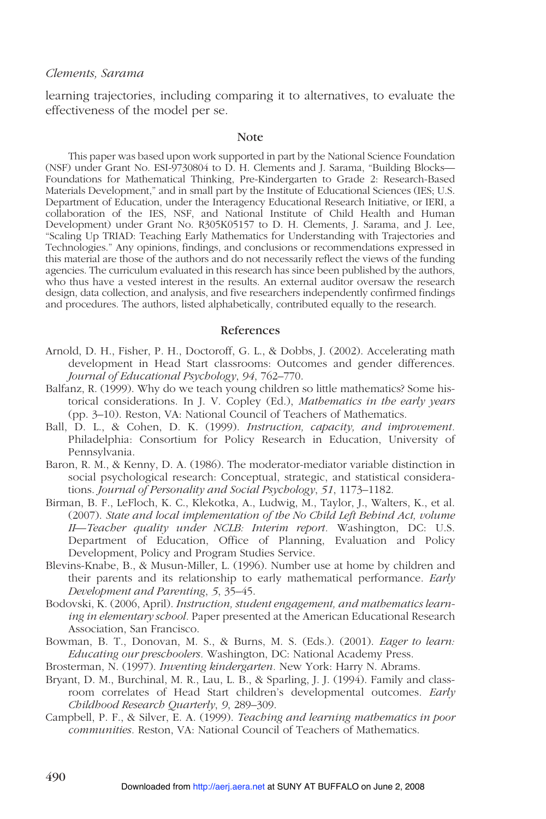learning trajectories, including comparing it to alternatives, to evaluate the effectiveness of the model per se.

#### Note

This paper was based upon work supported in part by the National Science Foundation (NSF) under Grant No. ESI-9730804 to D. H. Clements and J. Sarama, "Building Blocks— Foundations for Mathematical Thinking, Pre-Kindergarten to Grade 2: Research-Based Materials Development," and in small part by the Institute of Educational Sciences (IES; U.S. Department of Education, under the Interagency Educational Research Initiative, or IERI, a collaboration of the IES, NSF, and National Institute of Child Health and Human Development) under Grant No. R305K05157 to D. H. Clements, J. Sarama, and J. Lee, "Scaling Up TRIAD: Teaching Early Mathematics for Understanding with Trajectories and Technologies." Any opinions, findings, and conclusions or recommendations expressed in this material are those of the authors and do not necessarily reflect the views of the funding agencies. The curriculum evaluated in this research has since been published by the authors, who thus have a vested interest in the results. An external auditor oversaw the research design, data collection, and analysis, and five researchers independently confirmed findings and procedures. The authors, listed alphabetically, contributed equally to the research.

#### References

- Arnold, D. H., Fisher, P. H., Doctoroff, G. L., & Dobbs, J. (2002). Accelerating math development in Head Start classrooms: Outcomes and gender differences. *Journal of Educational Psychology*, *94*, 762–770.
- Balfanz, R. (1999). Why do we teach young children so little mathematics? Some historical considerations. In J. V. Copley (Ed.), *Mathematics in the early years* (pp. 3–10). Reston, VA: National Council of Teachers of Mathematics.
- Ball, D. L., & Cohen, D. K. (1999). *Instruction, capacity, and improvement.* Philadelphia: Consortium for Policy Research in Education, University of Pennsylvania.
- Baron, R. M., & Kenny, D. A. (1986). The moderator-mediator variable distinction in social psychological research: Conceptual, strategic, and statistical considerations. *Journal of Personality and Social Psychology*, *51*, 1173–1182.
- Birman, B. F., LeFloch, K. C., Klekotka, A., Ludwig, M., Taylor, J., Walters, K., et al. (2007). *State and local implementation of the No Child Left Behind Act, volume II—Teacher quality under NCLB: Interim report.* Washington, DC: U.S. Department of Education, Office of Planning, Evaluation and Policy Development, Policy and Program Studies Service.
- Blevins-Knabe, B., & Musun-Miller, L. (1996). Number use at home by children and their parents and its relationship to early mathematical performance. *Early Development and Parenting*, *5*, 35–45.
- Bodovski, K. (2006, April). *Instruction, student engagement, and mathematics learning in elementary school.* Paper presented at the American Educational Research Association, San Francisco.
- Bowman, B. T., Donovan, M. S., & Burns, M. S. (Eds.). (2001). *Eager to learn: Educating our preschoolers.* Washington, DC: National Academy Press.
- Brosterman, N. (1997). *Inventing kindergarten.* New York: Harry N. Abrams.
- Bryant, D. M., Burchinal, M. R., Lau, L. B., & Sparling, J. J. (1994). Family and classroom correlates of Head Start children's developmental outcomes. *Early Childhood Research Quarterly*, *9*, 289–309.
- Campbell, P. F., & Silver, E. A. (1999). *Teaching and learning mathematics in poor communities.* Reston, VA: National Council of Teachers of Mathematics.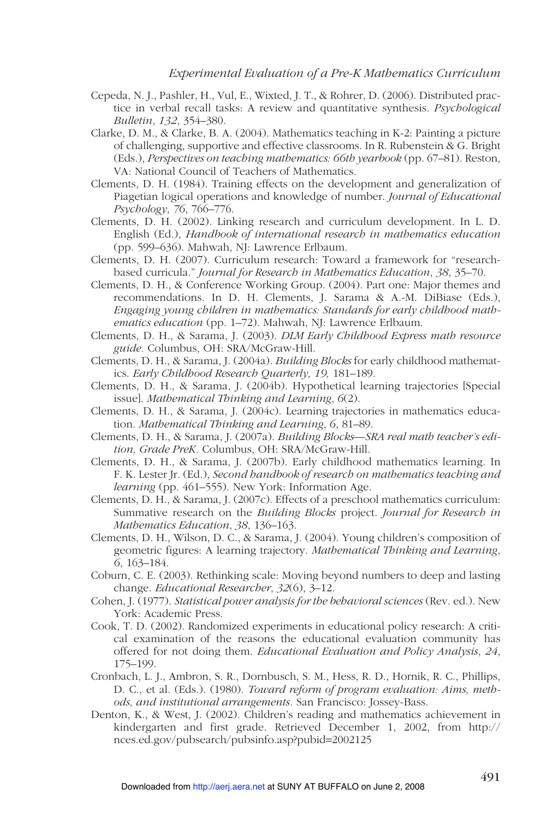- Cepeda, N. J., Pashler, H., Vul, E., Wixted, J. T., & Rohrer, D. (2006). Distributed practice in verbal recall tasks: A review and quantitative synthesis. *Psychological Bulletin*, *132*, 354–380.
- Clarke, D. M., & Clarke, B. A. (2004). Mathematics teaching in K-2: Painting a picture of challenging, supportive and effective classrooms. In R. Rubenstein & G. Bright (Eds.), *Perspectives on teaching mathematics: 66th yearbook* (pp. 67–81). Reston, VA: National Council of Teachers of Mathematics.
- Clements, D. H. (1984). Training effects on the development and generalization of Piagetian logical operations and knowledge of number. *Journal of Educational Psychology*, *76*, 766–776.
- Clements, D. H. (2002). Linking research and curriculum development. In L. D. English (Ed.), *Handbook of international research in mathematics education* (pp. 599–636). Mahwah, NJ: Lawrence Erlbaum.
- Clements, D. H. (2007). Curriculum research: Toward a framework for "researchbased curricula." *Journal for Research in Mathematics Education*, *38*, 35–70.
- Clements, D. H., & Conference Working Group. (2004). Part one: Major themes and recommendations. In D. H. Clements, J. Sarama & A.-M. DiBiase (Eds.), *Engaging young children in mathematics: Standards for early childhood mathematics education* (pp. 1–72). Mahwah, NJ: Lawrence Erlbaum.
- Clements, D. H., & Sarama, J. (2003). *DLM Early Childhood Express math resource guide.* Columbus, OH: SRA/McGraw-Hill.
- Clements, D. H., & Sarama, J. (2004a). *Building Blocks* for early childhood mathematics. *Early Childhood Research Quarterly, 19,* 181–189.
- Clements, D. H., & Sarama, J. (2004b). Hypothetical learning trajectories [Special issue]. *Mathematical Thinking and Learning*, *6*(2).
- Clements, D. H., & Sarama, J. (2004c). Learning trajectories in mathematics education. *Mathematical Thinking and Learning*, *6*, 81–89.
- Clements, D. H., & Sarama, J. (2007a). *Building Blocks—SRA real math teacher's edition, Grade PreK.* Columbus, OH: SRA/McGraw-Hill.
- Clements, D. H., & Sarama, J. (2007b). Early childhood mathematics learning. In F. K. Lester Jr. (Ed.), *Second handbook of research on mathematics teaching and learning* (pp. 461–555). New York: Information Age.
- Clements, D. H., & Sarama, J. (2007c). Effects of a preschool mathematics curriculum: Summative research on the *Building Blocks* project. *Journal for Research in Mathematics Education*, *38*, 136–163.
- Clements, D. H., Wilson, D. C., & Sarama, J. (2004). Young children's composition of geometric figures: A learning trajectory. *Mathematical Thinking and Learning*, *6*, 163–184.
- Coburn, C. E. (2003). Rethinking scale: Moving beyond numbers to deep and lasting change. *Educational Researcher*, *32*(6), 3–12.
- Cohen, J. (1977). *Statistical power analysis for the behavioral sciences* (Rev. ed.). New York: Academic Press.
- Cook, T. D. (2002). Randomized experiments in educational policy research: A critical examination of the reasons the educational evaluation community has offered for not doing them. *Educational Evaluation and Policy Analysis*, *24*, 175–199.
- Cronbach, L. J., Ambron, S. R., Dornbusch, S. M., Hess, R. D., Hornik, R. C., Phillips, D. C., et al. (Eds.). (1980). *Toward reform of program evaluation: Aims, methods, and institutional arrangements.* San Francisco: Jossey-Bass.
- Denton, K., & West, J. (2002). Children's reading and mathematics achievement in kindergarten and first grade. Retrieved December 1, 2002, from http:// nces.ed.gov/pubsearch/pubsinfo.asp?pubid=2002125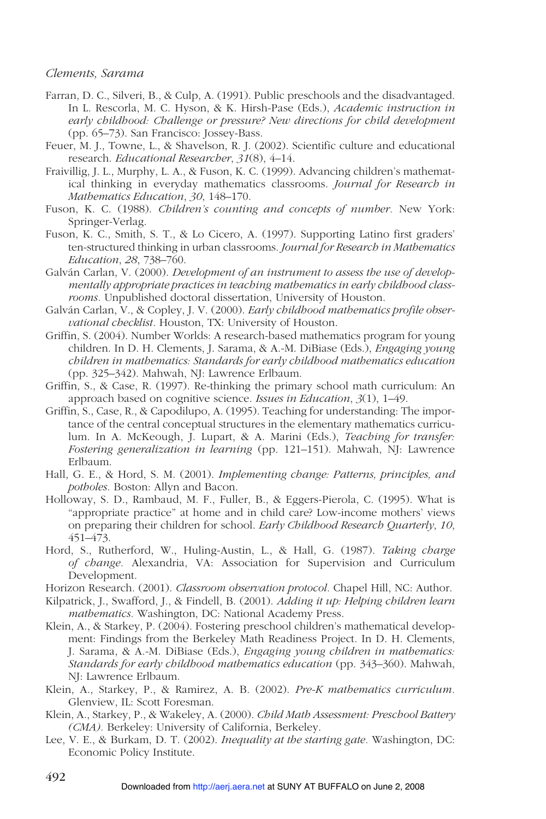- Farran, D. C., Silveri, B., & Culp, A. (1991). Public preschools and the disadvantaged. In L. Rescorla, M. C. Hyson, & K. Hirsh-Pase (Eds.), *Academic instruction in early childhood: Challenge or pressure? New directions for child development* (pp. 65–73). San Francisco: Jossey-Bass.
- Feuer, M. J., Towne, L., & Shavelson, R. J. (2002). Scientific culture and educational research. *Educational Researcher*, *31*(8), 4–14.
- Fraivillig, J. L., Murphy, L. A., & Fuson, K. C. (1999). Advancing children's mathematical thinking in everyday mathematics classrooms. *Journal for Research in Mathematics Education*, *30*, 148–170.
- Fuson, K. C. (1988). *Children's counting and concepts of number.* New York: Springer-Verlag.
- Fuson, K. C., Smith, S. T., & Lo Cicero, A. (1997). Supporting Latino first graders' ten-structured thinking in urban classrooms. *Journal for Research in Mathematics Education*, *28*, 738–760.
- Galván Carlan, V. (2000). *Development of an instrument to assess the use of developmentally appropriate practices in teaching mathematics in early childhood classrooms.* Unpublished doctoral dissertation, University of Houston.
- Galván Carlan, V., & Copley, J. V. (2000). *Early childhood mathematics profile observational checklist.* Houston, TX: University of Houston.
- Griffin, S. (2004). Number Worlds: A research-based mathematics program for young children. In D. H. Clements, J. Sarama, & A.-M. DiBiase (Eds.), *Engaging young children in mathematics: Standards for early childhood mathematics education* (pp. 325–342). Mahwah, NJ: Lawrence Erlbaum.
- Griffin, S., & Case, R. (1997). Re-thinking the primary school math curriculum: An approach based on cognitive science. *Issues in Education*, *3*(1), 1–49.
- Griffin, S., Case, R., & Capodilupo, A. (1995). Teaching for understanding: The importance of the central conceptual structures in the elementary mathematics curriculum. In A. McKeough, J. Lupart, & A. Marini (Eds.), *Teaching for transfer: Fostering generalization in learning* (pp. 121–151). Mahwah, NJ: Lawrence Erlbaum.
- Hall, G. E., & Hord, S. M. (2001). *Implementing change: Patterns, principles, and potholes.* Boston: Allyn and Bacon.
- Holloway, S. D., Rambaud, M. F., Fuller, B., & Eggers-Pierola, C. (1995). What is "appropriate practice" at home and in child care? Low-income mothers' views on preparing their children for school. *Early Childhood Research Quarterly*, *10*, 451–473.
- Hord, S., Rutherford, W., Huling-Austin, L., & Hall, G. (1987). *Taking charge of change.* Alexandria, VA: Association for Supervision and Curriculum Development.
- Horizon Research. (2001). *Classroom observation protocol.* Chapel Hill, NC: Author.
- Kilpatrick, J., Swafford, J., & Findell, B. (2001). *Adding it up: Helping children learn mathematics.* Washington, DC: National Academy Press.
- Klein, A., & Starkey, P. (2004). Fostering preschool children's mathematical development: Findings from the Berkeley Math Readiness Project. In D. H. Clements, J. Sarama, & A.-M. DiBiase (Eds.), *Engaging young children in mathematics: Standards for early childhood mathematics education* (pp. 343–360). Mahwah, NJ: Lawrence Erlbaum.
- Klein, A., Starkey, P., & Ramirez, A. B. (2002). *Pre-K mathematics curriculum.* Glenview, IL: Scott Foresman.
- Klein, A., Starkey, P., & Wakeley, A. (2000). *Child Math Assessment: Preschool Battery (CMA).* Berkeley: University of California, Berkeley.
- Lee, V. E., & Burkam, D. T. (2002). *Inequality at the starting gate.* Washington, DC: Economic Policy Institute.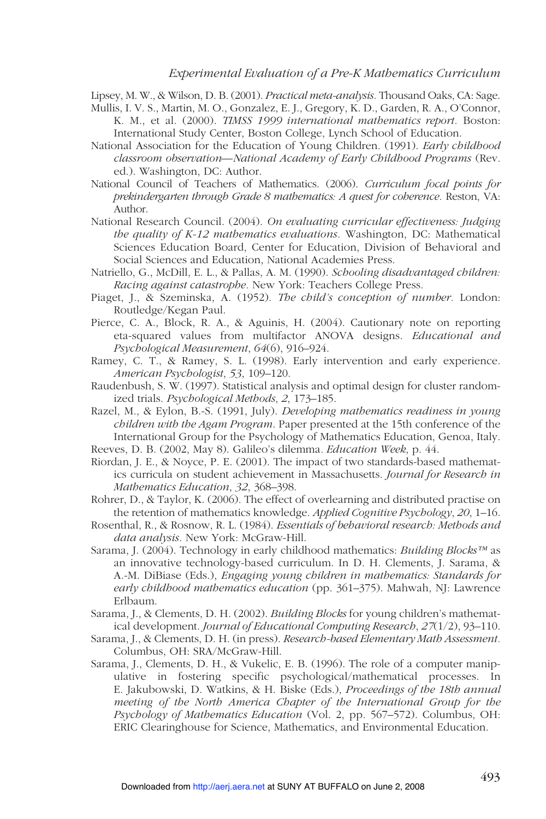- Lipsey, M. W., & Wilson, D. B. (2001). *Practical meta-analysis.* Thousand Oaks, CA: Sage.
- Mullis, I. V. S., Martin, M. O., Gonzalez, E. J., Gregory, K. D., Garden, R. A., O'Connor, K. M., et al. (2000). *TIMSS 1999 international mathematics report.* Boston: International Study Center, Boston College, Lynch School of Education.
- National Association for the Education of Young Children. (1991). *Early childhood classroom observation—National Academy of Early Childhood Programs* (Rev. ed.). Washington, DC: Author.
- National Council of Teachers of Mathematics. (2006). *Curriculum focal points for prekindergarten through Grade 8 mathematics: A quest for coherence.* Reston, VA: Author.
- National Research Council. (2004). *On evaluating curricular effectiveness: Judging the quality of K-12 mathematics evaluations.* Washington, DC: Mathematical Sciences Education Board, Center for Education, Division of Behavioral and Social Sciences and Education, National Academies Press.
- Natriello, G., McDill, E. L., & Pallas, A. M. (1990). *Schooling disadvantaged children: Racing against catastrophe.* New York: Teachers College Press.
- Piaget, J., & Szeminska, A. (1952). *The child's conception of number.* London: Routledge/Kegan Paul.
- Pierce, C. A., Block, R. A., & Aguinis, H. (2004). Cautionary note on reporting eta-squared values from multifactor ANOVA designs. *Educational and Psychological Measurement*, *64*(6), 916–924.
- Ramey, C. T., & Ramey, S. L. (1998). Early intervention and early experience. *American Psychologist*, *53*, 109–120.
- Raudenbush, S. W. (1997). Statistical analysis and optimal design for cluster randomized trials. *Psychological Methods*, *2*, 173–185.
- Razel, M., & Eylon, B.-S. (1991, July). *Developing mathematics readiness in young children with the Agam Program*. Paper presented at the 15th conference of the International Group for the Psychology of Mathematics Education, Genoa, Italy.
- Reeves, D. B. (2002, May 8). Galileo's dilemma*. Education Week*, p. 44.
- Riordan, J. E., & Noyce, P. E. (2001). The impact of two standards-based mathematics curricula on student achievement in Massachusetts. *Journal for Research in Mathematics Education*, *32*, 368–398.
- Rohrer, D., & Taylor, K. (2006). The effect of overlearning and distributed practise on the retention of mathematics knowledge. *Applied Cognitive Psychology*, *20*, 1–16.
- Rosenthal, R., & Rosnow, R. L. (1984). *Essentials of behavioral research: Methods and data analysis.* New York: McGraw-Hill.
- Sarama, J. (2004). Technology in early childhood mathematics: *Building Blocks™* as an innovative technology-based curriculum. In D. H. Clements, J. Sarama, & A.-M. DiBiase (Eds.), *Engaging young children in mathematics: Standards for early childhood mathematics education* (pp. 361–375). Mahwah, NJ: Lawrence Erlbaum.
- Sarama, J., & Clements, D. H. (2002). *Building Blocks* for young children's mathematical development. *Journal of Educational Computing Research*, *27*(1/2), 93–110.
- Sarama, J., & Clements, D. H. (in press). *Research-based Elementary Math Assessment.* Columbus, OH: SRA/McGraw-Hill.
- Sarama, J., Clements, D. H., & Vukelic, E. B. (1996). The role of a computer manipulative in fostering specific psychological/mathematical processes. In E. Jakubowski, D. Watkins, & H. Biske (Eds.), *Proceedings of the 18th annual meeting of the North America Chapter of the International Group for the Psychology of Mathematics Education* (Vol. 2, pp. 567–572). Columbus, OH: ERIC Clearinghouse for Science, Mathematics, and Environmental Education.